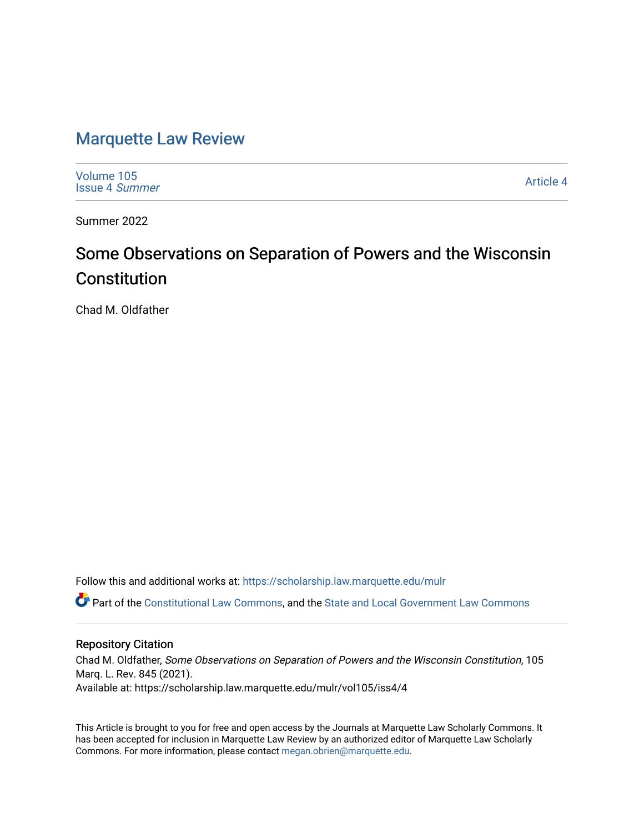# [Marquette Law Review](https://scholarship.law.marquette.edu/mulr)

[Volume 105](https://scholarship.law.marquette.edu/mulr/vol105) [Issue 4](https://scholarship.law.marquette.edu/mulr/vol105/iss4) Summer

[Article 4](https://scholarship.law.marquette.edu/mulr/vol105/iss4/4) 

Summer 2022

# Some Observations on Separation of Powers and the Wisconsin Constitution

Chad M. Oldfather

Follow this and additional works at: [https://scholarship.law.marquette.edu/mulr](https://scholarship.law.marquette.edu/mulr?utm_source=scholarship.law.marquette.edu%2Fmulr%2Fvol105%2Fiss4%2F4&utm_medium=PDF&utm_campaign=PDFCoverPages) 

Part of the [Constitutional Law Commons,](https://network.bepress.com/hgg/discipline/589?utm_source=scholarship.law.marquette.edu%2Fmulr%2Fvol105%2Fiss4%2F4&utm_medium=PDF&utm_campaign=PDFCoverPages) and the [State and Local Government Law Commons](https://network.bepress.com/hgg/discipline/879?utm_source=scholarship.law.marquette.edu%2Fmulr%2Fvol105%2Fiss4%2F4&utm_medium=PDF&utm_campaign=PDFCoverPages) 

# Repository Citation

Chad M. Oldfather, Some Observations on Separation of Powers and the Wisconsin Constitution, 105 Marq. L. Rev. 845 (2021). Available at: https://scholarship.law.marquette.edu/mulr/vol105/iss4/4

This Article is brought to you for free and open access by the Journals at Marquette Law Scholarly Commons. It has been accepted for inclusion in Marquette Law Review by an authorized editor of Marquette Law Scholarly Commons. For more information, please contact [megan.obrien@marquette.edu](mailto:megan.obrien@marquette.edu).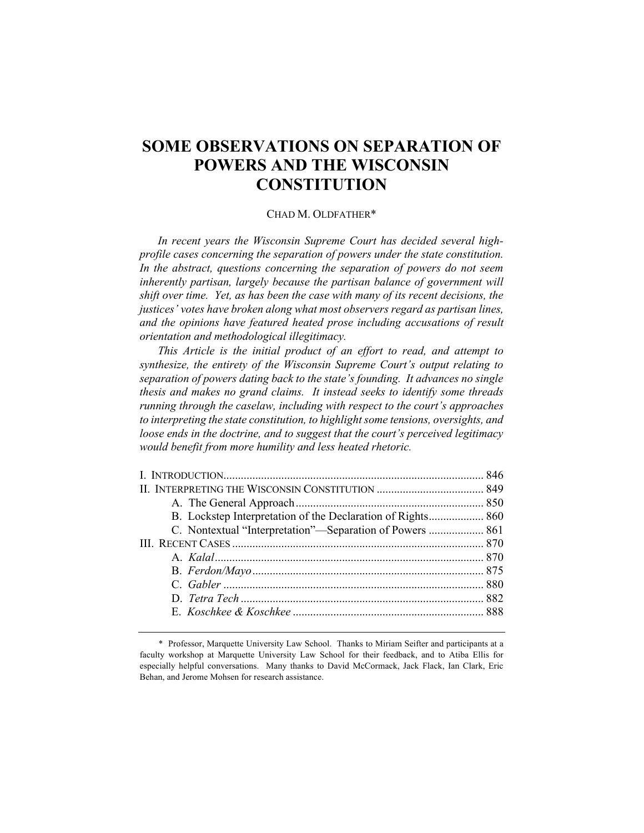# **SOME OBSERVATIONS ON SEPARATION OF POWERS AND THE WISCONSIN CONSTITUTION**

### CHAD M. OLDFATHER\*

*In recent years the Wisconsin Supreme Court has decided several highprofile cases concerning the separation of powers under the state constitution.*  In the abstract, questions concerning the separation of powers do not seem *inherently partisan, largely because the partisan balance of government will shift over time. Yet, as has been the case with many of its recent decisions, the justices' votes have broken along what most observers regard as partisan lines,*  and the opinions have featured heated prose including accusations of result *orientation and methodological illegitimacy.*

*This Article is the initial product of an effort to read, and attempt to synthesize, the entirety of the Wisconsin Supreme Court's output relating to separation of powers dating back to the state's founding. It advances no single thesis and makes no grand claims. It instead seeks to identify some threads running through the caselaw, including with respect to the court's approaches to interpreting the state constitution, to highlight some tensions, oversights, and loose ends in the doctrine, and to suggest that the court's perceived legitimacy would benefit from more humility and less heated rhetoric.*

| B. Lockstep Interpretation of the Declaration of Rights 860 |  |
|-------------------------------------------------------------|--|
| C. Nontextual "Interpretation"—Separation of Powers  861    |  |
|                                                             |  |
|                                                             |  |
|                                                             |  |
|                                                             |  |
|                                                             |  |
|                                                             |  |
|                                                             |  |

<sup>\*</sup> Professor, Marquette University Law School. Thanks to Miriam Seifter and participants at a faculty workshop at Marquette University Law School for their feedback, and to Atiba Ellis for especially helpful conversations. Many thanks to David McCormack, Jack Flack, Ian Clark, Eric Behan, and Jerome Mohsen for research assistance.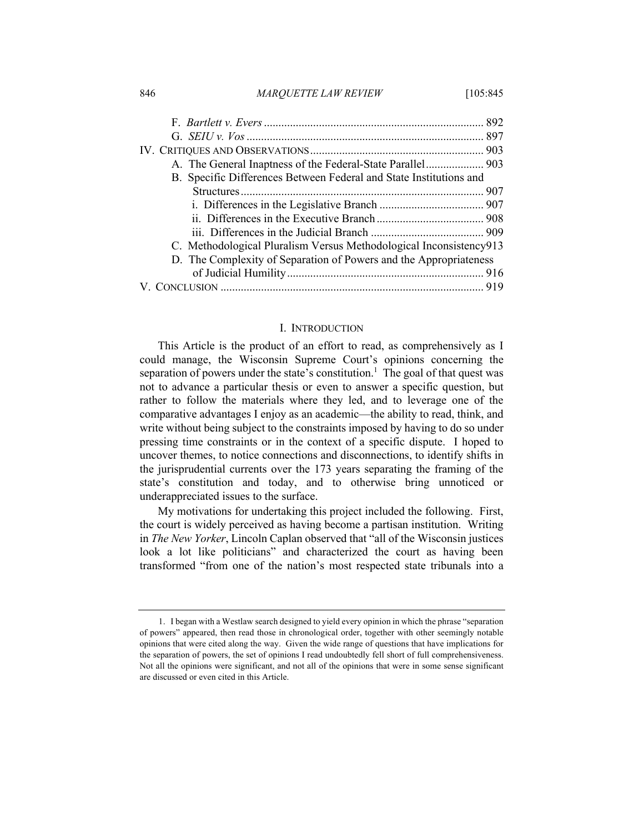| 846 | <i>MAROUETTE LAW REVIEW</i> | [105:845 |
|-----|-----------------------------|----------|
|     |                             |          |

| B. Specific Differences Between Federal and State Institutions and |  |
|--------------------------------------------------------------------|--|
|                                                                    |  |
|                                                                    |  |
|                                                                    |  |
|                                                                    |  |
| C. Methodological Pluralism Versus Methodological Inconsistency913 |  |
| D. The Complexity of Separation of Powers and the Appropriateness  |  |
|                                                                    |  |
|                                                                    |  |

#### I. INTRODUCTION

This Article is the product of an effort to read, as comprehensively as I could manage, the Wisconsin Supreme Court's opinions concerning the separation of powers under the state's constitution.<sup>1</sup> The goal of that quest was not to advance a particular thesis or even to answer a specific question, but rather to follow the materials where they led, and to leverage one of the comparative advantages I enjoy as an academic—the ability to read, think, and write without being subject to the constraints imposed by having to do so under pressing time constraints or in the context of a specific dispute. I hoped to uncover themes, to notice connections and disconnections, to identify shifts in the jurisprudential currents over the 173 years separating the framing of the state's constitution and today, and to otherwise bring unnoticed or underappreciated issues to the surface.

My motivations for undertaking this project included the following. First, the court is widely perceived as having become a partisan institution. Writing in *The New Yorker*, Lincoln Caplan observed that "all of the Wisconsin justices look a lot like politicians" and characterized the court as having been transformed "from one of the nation's most respected state tribunals into a

<sup>1.</sup> I began with a Westlaw search designed to yield every opinion in which the phrase "separation of powers" appeared, then read those in chronological order, together with other seemingly notable opinions that were cited along the way. Given the wide range of questions that have implications for the separation of powers, the set of opinions I read undoubtedly fell short of full comprehensiveness. Not all the opinions were significant, and not all of the opinions that were in some sense significant are discussed or even cited in this Article.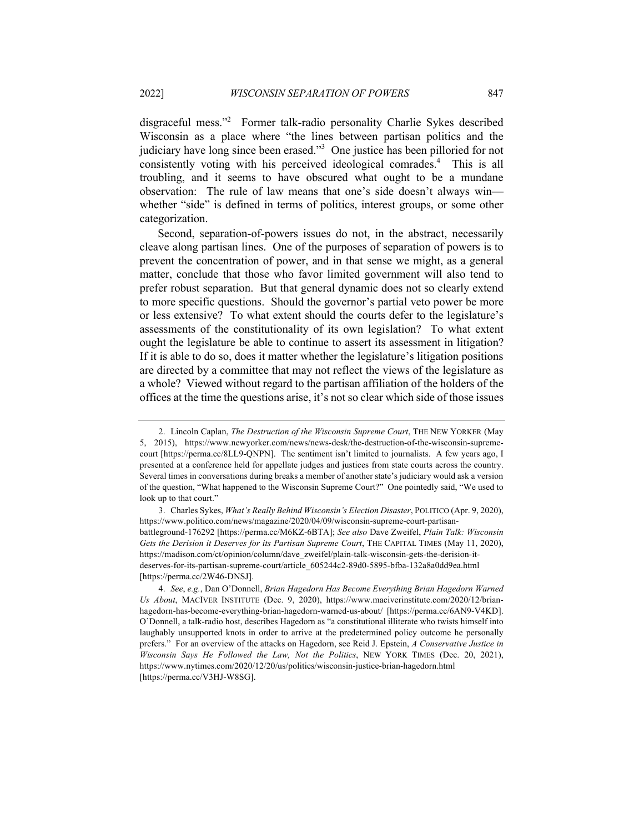disgraceful mess."2 Former talk-radio personality Charlie Sykes described Wisconsin as a place where "the lines between partisan politics and the judiciary have long since been erased."<sup>3</sup> One justice has been pilloried for not consistently voting with his perceived ideological comrades.<sup>4</sup> This is all troubling, and it seems to have obscured what ought to be a mundane observation: The rule of law means that one's side doesn't always win whether "side" is defined in terms of politics, interest groups, or some other categorization.

Second, separation-of-powers issues do not, in the abstract, necessarily cleave along partisan lines. One of the purposes of separation of powers is to prevent the concentration of power, and in that sense we might, as a general matter, conclude that those who favor limited government will also tend to prefer robust separation. But that general dynamic does not so clearly extend to more specific questions. Should the governor's partial veto power be more or less extensive? To what extent should the courts defer to the legislature's assessments of the constitutionality of its own legislation? To what extent ought the legislature be able to continue to assert its assessment in litigation? If it is able to do so, does it matter whether the legislature's litigation positions are directed by a committee that may not reflect the views of the legislature as a whole? Viewed without regard to the partisan affiliation of the holders of the offices at the time the questions arise, it's not so clear which side of those issues

<sup>2.</sup> Lincoln Caplan, *The Destruction of the Wisconsin Supreme Court*, THE NEW YORKER (May 5, 2015), https://www.newyorker.com/news/news-desk/the-destruction-of-the-wisconsin-supremecourt [https://perma.cc/8LL9-QNPN]. The sentiment isn't limited to journalists. A few years ago, I presented at a conference held for appellate judges and justices from state courts across the country. Several times in conversations during breaks a member of another state's judiciary would ask a version of the question, "What happened to the Wisconsin Supreme Court?" One pointedly said, "We used to look up to that court."

<sup>3.</sup> Charles Sykes, *What's Really Behind Wisconsin's Election Disaster*, POLITICO (Apr. 9, 2020), https://www.politico.com/news/magazine/2020/04/09/wisconsin-supreme-court-partisanbattleground-176292 [https://perma.cc/M6KZ-6BTA]; *See also* Dave Zweifel, *Plain Talk: Wisconsin Gets the Derision it Deserves for its Partisan Supreme Court*, THE CAPITAL TIMES (May 11, 2020), https://madison.com/ct/opinion/column/dave\_zweifel/plain-talk-wisconsin-gets-the-derision-itdeserves-for-its-partisan-supreme-court/article\_605244c2-89d0-5895-bfba-132a8a0dd9ea.html [https://perma.cc/2W46-DNSJ].

<sup>4.</sup> *See*, *e.g.*, Dan O'Donnell, *Brian Hagedorn Has Become Everything Brian Hagedorn Warned Us About*, MACIVER INSTITUTE (Dec. 9, 2020), https://www.maciverinstitute.com/2020/12/brianhagedorn-has-become-everything-brian-hagedorn-warned-us-about/ [https://perma.cc/6AN9-V4KD]. O'Donnell, a talk-radio host, describes Hagedorn as "a constitutional illiterate who twists himself into laughably unsupported knots in order to arrive at the predetermined policy outcome he personally prefers." For an overview of the attacks on Hagedorn, see Reid J. Epstein, *A Conservative Justice in Wisconsin Says He Followed the Law, Not the Politics*, NEW YORK TIMES (Dec. 20, 2021), https://www.nytimes.com/2020/12/20/us/politics/wisconsin-justice-brian-hagedorn.html [https://perma.cc/V3HJ-W8SG].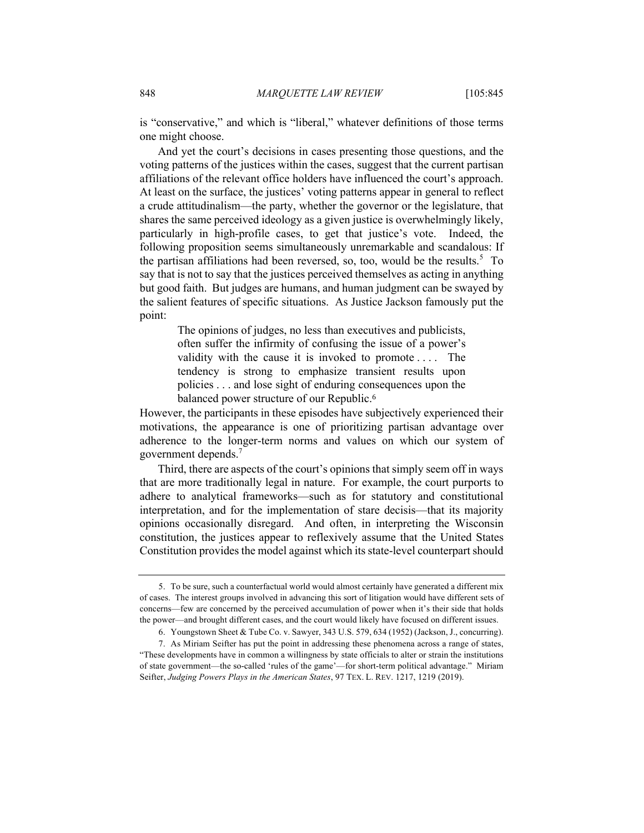is "conservative," and which is "liberal," whatever definitions of those terms one might choose.

And yet the court's decisions in cases presenting those questions, and the voting patterns of the justices within the cases, suggest that the current partisan affiliations of the relevant office holders have influenced the court's approach. At least on the surface, the justices' voting patterns appear in general to reflect a crude attitudinalism—the party, whether the governor or the legislature, that shares the same perceived ideology as a given justice is overwhelmingly likely, particularly in high-profile cases, to get that justice's vote. Indeed, the following proposition seems simultaneously unremarkable and scandalous: If the partisan affiliations had been reversed, so, too, would be the results.<sup>5</sup> To say that is not to say that the justices perceived themselves as acting in anything but good faith. But judges are humans, and human judgment can be swayed by the salient features of specific situations. As Justice Jackson famously put the point:

> The opinions of judges, no less than executives and publicists, often suffer the infirmity of confusing the issue of a power's validity with the cause it is invoked to promote . . . . The tendency is strong to emphasize transient results upon policies . . . and lose sight of enduring consequences upon the balanced power structure of our Republic.<sup>6</sup>

However, the participants in these episodes have subjectively experienced their motivations, the appearance is one of prioritizing partisan advantage over adherence to the longer-term norms and values on which our system of government depends.<sup>7</sup>

Third, there are aspects of the court's opinions that simply seem off in ways that are more traditionally legal in nature. For example, the court purports to adhere to analytical frameworks—such as for statutory and constitutional interpretation, and for the implementation of stare decisis—that its majority opinions occasionally disregard. And often, in interpreting the Wisconsin constitution, the justices appear to reflexively assume that the United States Constitution provides the model against which its state-level counterpart should

<sup>5.</sup> To be sure, such a counterfactual world would almost certainly have generated a different mix of cases. The interest groups involved in advancing this sort of litigation would have different sets of concerns—few are concerned by the perceived accumulation of power when it's their side that holds the power—and brought different cases, and the court would likely have focused on different issues.

<sup>6.</sup> Youngstown Sheet & Tube Co. v. Sawyer, 343 U.S. 579, 634 (1952) (Jackson, J., concurring).

<sup>7.</sup> As Miriam Seifter has put the point in addressing these phenomena across a range of states, "These developments have in common a willingness by state officials to alter or strain the institutions of state government—the so-called 'rules of the game'—for short-term political advantage." Miriam Seifter, *Judging Powers Plays in the American States*, 97 TEX. L. REV. 1217, 1219 (2019).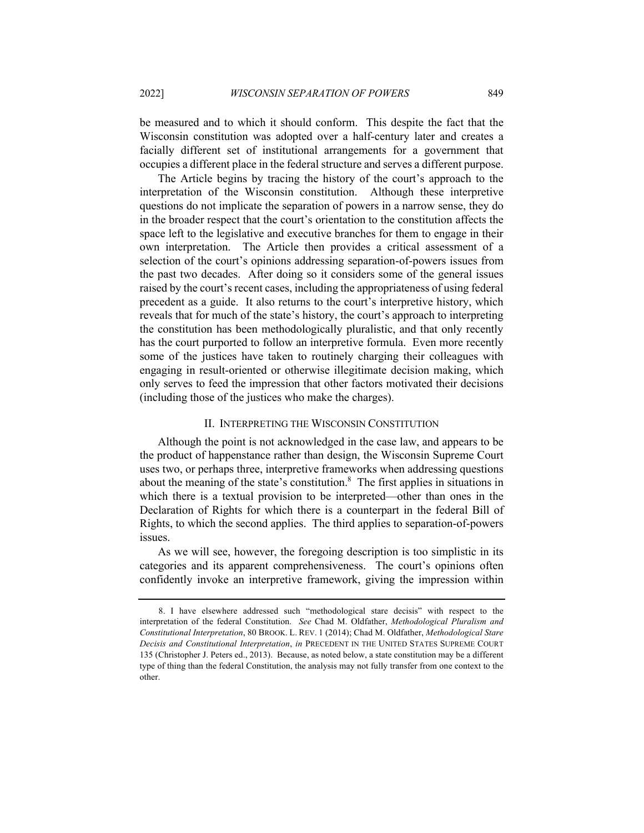be measured and to which it should conform. This despite the fact that the Wisconsin constitution was adopted over a half-century later and creates a facially different set of institutional arrangements for a government that occupies a different place in the federal structure and serves a different purpose.

The Article begins by tracing the history of the court's approach to the interpretation of the Wisconsin constitution. Although these interpretive questions do not implicate the separation of powers in a narrow sense, they do in the broader respect that the court's orientation to the constitution affects the space left to the legislative and executive branches for them to engage in their own interpretation. The Article then provides a critical assessment of a selection of the court's opinions addressing separation-of-powers issues from the past two decades. After doing so it considers some of the general issues raised by the court's recent cases, including the appropriateness of using federal precedent as a guide. It also returns to the court's interpretive history, which reveals that for much of the state's history, the court's approach to interpreting the constitution has been methodologically pluralistic, and that only recently has the court purported to follow an interpretive formula. Even more recently some of the justices have taken to routinely charging their colleagues with engaging in result-oriented or otherwise illegitimate decision making, which only serves to feed the impression that other factors motivated their decisions (including those of the justices who make the charges).

#### II. INTERPRETING THE WISCONSIN CONSTITUTION

Although the point is not acknowledged in the case law, and appears to be the product of happenstance rather than design, the Wisconsin Supreme Court uses two, or perhaps three, interpretive frameworks when addressing questions about the meaning of the state's constitution. $\delta$  The first applies in situations in which there is a textual provision to be interpreted—other than ones in the Declaration of Rights for which there is a counterpart in the federal Bill of Rights, to which the second applies. The third applies to separation-of-powers issues.

As we will see, however, the foregoing description is too simplistic in its categories and its apparent comprehensiveness. The court's opinions often confidently invoke an interpretive framework, giving the impression within

<sup>8.</sup> I have elsewhere addressed such "methodological stare decisis" with respect to the interpretation of the federal Constitution. *See* Chad M. Oldfather, *Methodological Pluralism and Constitutional Interpretation*, 80 BROOK. L. REV. 1 (2014); Chad M. Oldfather, *Methodological Stare Decisis and Constitutional Interpretation*, *in* PRECEDENT IN THE UNITED STATES SUPREME COURT 135 (Christopher J. Peters ed., 2013). Because, as noted below, a state constitution may be a different type of thing than the federal Constitution, the analysis may not fully transfer from one context to the other.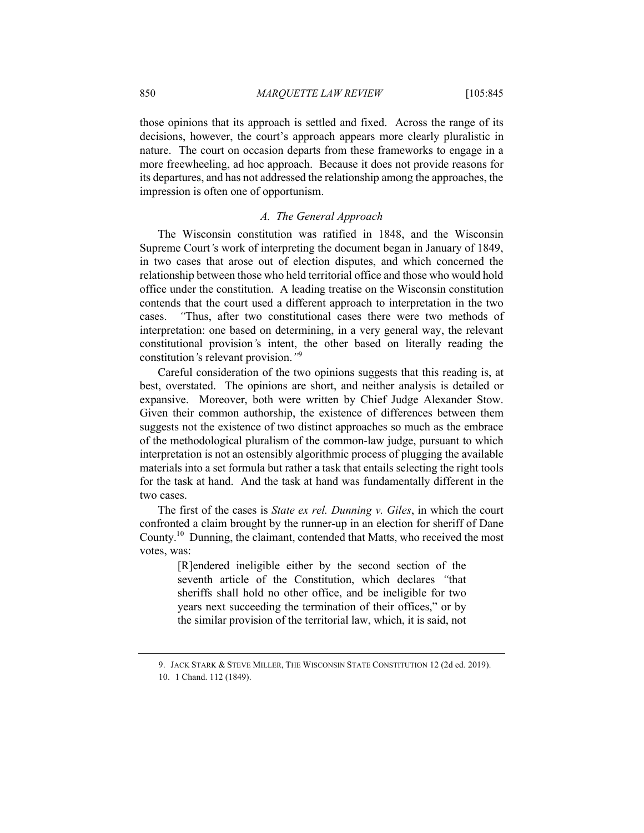those opinions that its approach is settled and fixed. Across the range of its decisions, however, the court's approach appears more clearly pluralistic in nature. The court on occasion departs from these frameworks to engage in a more freewheeling, ad hoc approach. Because it does not provide reasons for its departures, and has not addressed the relationship among the approaches, the impression is often one of opportunism.

#### *A. The General Approach*

The Wisconsin constitution was ratified in 1848, and the Wisconsin Supreme Court*'*s work of interpreting the document began in January of 1849, in two cases that arose out of election disputes, and which concerned the relationship between those who held territorial office and those who would hold office under the constitution. A leading treatise on the Wisconsin constitution contends that the court used a different approach to interpretation in the two cases. *"*Thus, after two constitutional cases there were two methods of interpretation: one based on determining, in a very general way, the relevant constitutional provision*'*s intent, the other based on literally reading the constitution*'*s relevant provision.*"*<sup>9</sup>

Careful consideration of the two opinions suggests that this reading is, at best, overstated. The opinions are short, and neither analysis is detailed or expansive. Moreover, both were written by Chief Judge Alexander Stow. Given their common authorship, the existence of differences between them suggests not the existence of two distinct approaches so much as the embrace of the methodological pluralism of the common-law judge, pursuant to which interpretation is not an ostensibly algorithmic process of plugging the available materials into a set formula but rather a task that entails selecting the right tools for the task at hand. And the task at hand was fundamentally different in the two cases.

The first of the cases is *State ex rel. Dunning v. Giles*, in which the court confronted a claim brought by the runner-up in an election for sheriff of Dane County.10 Dunning, the claimant, contended that Matts, who received the most votes, was:

> [R]endered ineligible either by the second section of the seventh article of the Constitution, which declares *"*that sheriffs shall hold no other office, and be ineligible for two years next succeeding the termination of their offices," or by the similar provision of the territorial law, which, it is said, not

<sup>9.</sup> JACK STARK & STEVE MILLER, THE WISCONSIN STATE CONSTITUTION 12 (2d ed. 2019).

<sup>10.</sup> 1 Chand. 112 (1849).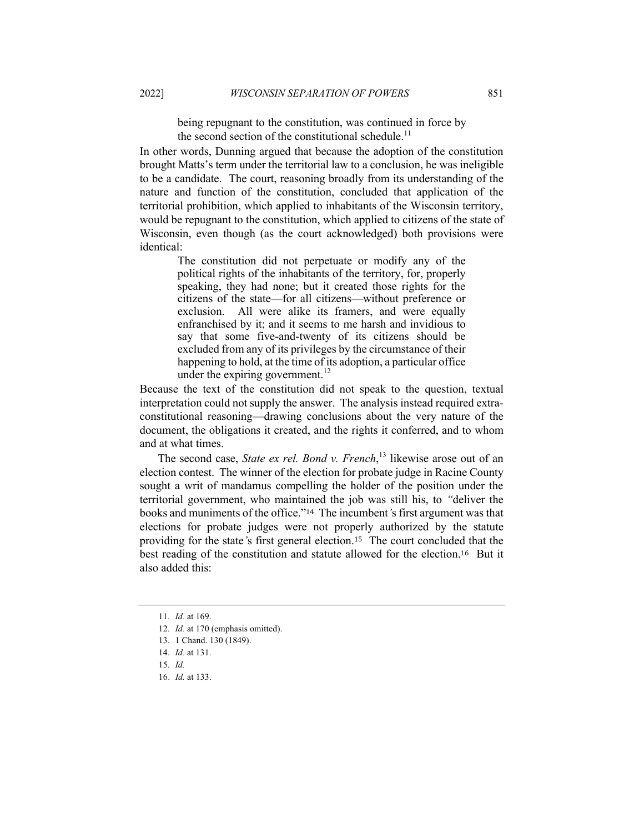being repugnant to the constitution, was continued in force by the second section of the constitutional schedule.<sup>11</sup>

In other words, Dunning argued that because the adoption of the constitution brought Matts's term under the territorial law to a conclusion, he was ineligible to be a candidate. The court, reasoning broadly from its understanding of the nature and function of the constitution, concluded that application of the territorial prohibition, which applied to inhabitants of the Wisconsin territory, would be repugnant to the constitution, which applied to citizens of the state of Wisconsin, even though (as the court acknowledged) both provisions were identical:

> The constitution did not perpetuate or modify any of the political rights of the inhabitants of the territory, for, properly speaking, they had none; but it created those rights for the citizens of the state—for all citizens—without preference or exclusion. All were alike its framers, and were equally enfranchised by it; and it seems to me harsh and invidious to say that some five-and-twenty of its citizens should be excluded from any of its privileges by the circumstance of their happening to hold, at the time of its adoption, a particular office under the expiring government. $^{12}$

Because the text of the constitution did not speak to the question, textual interpretation could not supply the answer. The analysis instead required extraconstitutional reasoning—drawing conclusions about the very nature of the document, the obligations it created, and the rights it conferred, and to whom and at what times.

The second case, *State ex rel. Bond v. French*, <sup>13</sup> likewise arose out of an election contest. The winner of the election for probate judge in Racine County sought a writ of mandamus compelling the holder of the position under the territorial government, who maintained the job was still his, to *"*deliver the books and muniments of the office."<sup>14</sup> The incumbent*'*s first argument was that elections for probate judges were not properly authorized by the statute providing for the state*'*s first general election.15 The court concluded that the best reading of the constitution and statute allowed for the election.<sup>16</sup> But it also added this:

16. *Id.* at 133.

<sup>11.</sup> *Id.* at 169.

<sup>12.</sup> *Id.* at 170 (emphasis omitted).

<sup>13.</sup> 1 Chand. 130 (1849).

<sup>14.</sup> *Id.* at 131.

<sup>15.</sup> *Id.*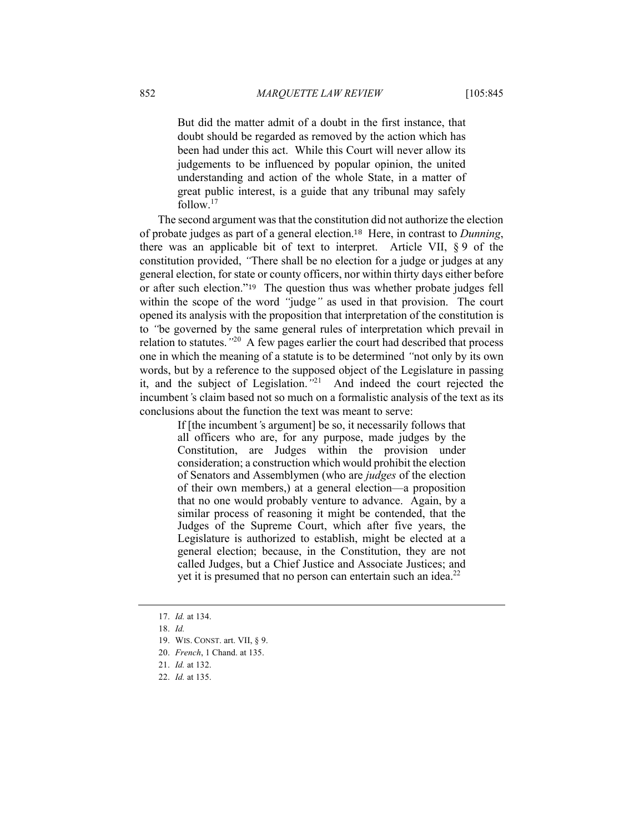But did the matter admit of a doubt in the first instance, that doubt should be regarded as removed by the action which has been had under this act. While this Court will never allow its judgements to be influenced by popular opinion, the united understanding and action of the whole State, in a matter of great public interest, is a guide that any tribunal may safely follow.17

The second argument was that the constitution did not authorize the election of probate judges as part of a general election.<sup>18</sup> Here, in contrast to *Dunning*, there was an applicable bit of text to interpret. Article VII, § 9 of the constitution provided, *"*There shall be no election for a judge or judges at any general election, for state or county officers, nor within thirty days either before or after such election."<sup>19</sup> The question thus was whether probate judges fell within the scope of the word *"*judge*"* as used in that provision. The court opened its analysis with the proposition that interpretation of the constitution is to *"*be governed by the same general rules of interpretation which prevail in relation to statutes.*"*20 A few pages earlier the court had described that process one in which the meaning of a statute is to be determined *"*not only by its own words, but by a reference to the supposed object of the Legislature in passing it, and the subject of Legislation.*"*<sup>21</sup> And indeed the court rejected the incumbent*'*s claim based not so much on a formalistic analysis of the text as its conclusions about the function the text was meant to serve:

> If [the incumbent*'*s argument] be so, it necessarily follows that all officers who are, for any purpose, made judges by the Constitution, are Judges within the provision under consideration; a construction which would prohibit the election of Senators and Assemblymen (who are *judges* of the election of their own members,) at a general election—a proposition that no one would probably venture to advance. Again, by a similar process of reasoning it might be contended, that the Judges of the Supreme Court, which after five years, the Legislature is authorized to establish, might be elected at a general election; because, in the Constitution, they are not called Judges, but a Chief Justice and Associate Justices; and yet it is presumed that no person can entertain such an idea. $^{22}$

<sup>17.</sup> *Id.* at 134.

<sup>18.</sup> *Id.*

<sup>19.</sup> WIS. CONST. art. VII, § 9.

<sup>20.</sup> *French*, 1 Chand. at 135.

<sup>21.</sup> *Id.* at 132.

<sup>22.</sup> *Id.* at 135.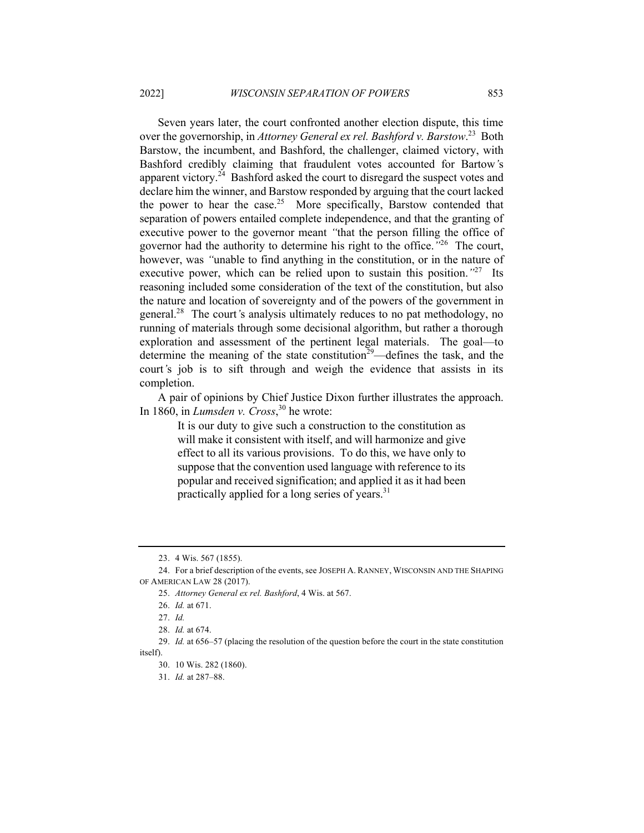Seven years later, the court confronted another election dispute, this time over the governorship, in *Attorney General ex rel. Bashford v. Barstow*. <sup>23</sup> Both Barstow, the incumbent, and Bashford, the challenger, claimed victory, with Bashford credibly claiming that fraudulent votes accounted for Bartow*'*s apparent victory.<sup>24</sup> Bashford asked the court to disregard the suspect votes and declare him the winner, and Barstow responded by arguing that the court lacked the power to hear the case.<sup>25</sup> More specifically, Barstow contended that separation of powers entailed complete independence, and that the granting of executive power to the governor meant *"*that the person filling the office of governor had the authority to determine his right to the office.*"*<sup>26</sup> The court, however, was *"*unable to find anything in the constitution, or in the nature of executive power, which can be relied upon to sustain this position.*"*<sup>27</sup> Its reasoning included some consideration of the text of the constitution, but also the nature and location of sovereignty and of the powers of the government in general.28 The court*'*s analysis ultimately reduces to no pat methodology, no running of materials through some decisional algorithm, but rather a thorough exploration and assessment of the pertinent legal materials. The goal—to determine the meaning of the state constitution<sup>29</sup>—defines the task, and the court*'*s job is to sift through and weigh the evidence that assists in its completion.

A pair of opinions by Chief Justice Dixon further illustrates the approach. In 1860, in *Lumsden v. Cross*, <sup>30</sup> he wrote:

> It is our duty to give such a construction to the constitution as will make it consistent with itself, and will harmonize and give effect to all its various provisions. To do this, we have only to suppose that the convention used language with reference to its popular and received signification; and applied it as it had been practically applied for a long series of years. $31$

<sup>23.</sup> 4 Wis. 567 (1855).

<sup>24.</sup> For a brief description of the events, see JOSEPH A. RANNEY, WISCONSIN AND THE SHAPING OF AMERICAN LAW 28 (2017).

<sup>25.</sup> *Attorney General ex rel. Bashford*, 4 Wis. at 567.

<sup>26.</sup> *Id.* at 671.

<sup>27.</sup> *Id.*

<sup>28.</sup> *Id.* at 674.

<sup>29.</sup> *Id.* at 656–57 (placing the resolution of the question before the court in the state constitution itself).

<sup>30.</sup> 10 Wis. 282 (1860).

<sup>31.</sup> *Id.* at 287–88.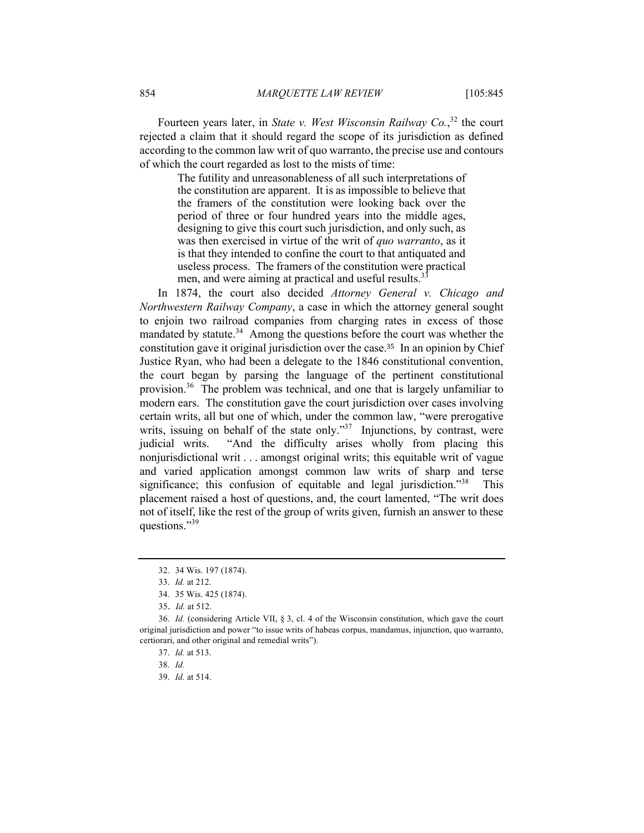Fourteen years later, in *State v. West Wisconsin Railway Co.*, <sup>32</sup> the court rejected a claim that it should regard the scope of its jurisdiction as defined according to the common law writ of quo warranto, the precise use and contours of which the court regarded as lost to the mists of time:

> The futility and unreasonableness of all such interpretations of the constitution are apparent. It is as impossible to believe that the framers of the constitution were looking back over the period of three or four hundred years into the middle ages, designing to give this court such jurisdiction, and only such, as was then exercised in virtue of the writ of *quo warranto*, as it is that they intended to confine the court to that antiquated and useless process. The framers of the constitution were practical men, and were aiming at practical and useful results.<sup>3</sup>

In 1874, the court also decided *Attorney General v. Chicago and Northwestern Railway Company*, a case in which the attorney general sought to enjoin two railroad companies from charging rates in excess of those mandated by statute.<sup>34</sup> Among the questions before the court was whether the constitution gave it original jurisdiction over the case.<sup>35</sup> In an opinion by Chief Justice Ryan, who had been a delegate to the 1846 constitutional convention, the court began by parsing the language of the pertinent constitutional provision.<sup>36</sup> The problem was technical, and one that is largely unfamiliar to modern ears. The constitution gave the court jurisdiction over cases involving certain writs, all but one of which, under the common law, "were prerogative writs, issuing on behalf of the state only."<sup>37</sup> Injunctions, by contrast, were judicial writs. "And the difficulty arises wholly from placing this nonjurisdictional writ . . . amongst original writs; this equitable writ of vague and varied application amongst common law writs of sharp and terse significance; this confusion of equitable and legal jurisdiction."<sup>38</sup> This placement raised a host of questions, and, the court lamented, "The writ does not of itself, like the rest of the group of writs given, furnish an answer to these questions."<sup>39</sup>

39. *Id.* at 514.

<sup>32.</sup> 34 Wis. 197 (1874).

<sup>33.</sup> *Id.* at 212.

<sup>34.</sup> 35 Wis. 425 (1874).

<sup>35.</sup> *Id.* at 512.

<sup>36.</sup> *Id.* (considering Article VII, § 3, cl. 4 of the Wisconsin constitution, which gave the court original jurisdiction and power "to issue writs of habeas corpus, mandamus, injunction, quo warranto, certiorari, and other original and remedial writs").

<sup>37.</sup> *Id.* at 513.

<sup>38.</sup> *Id.*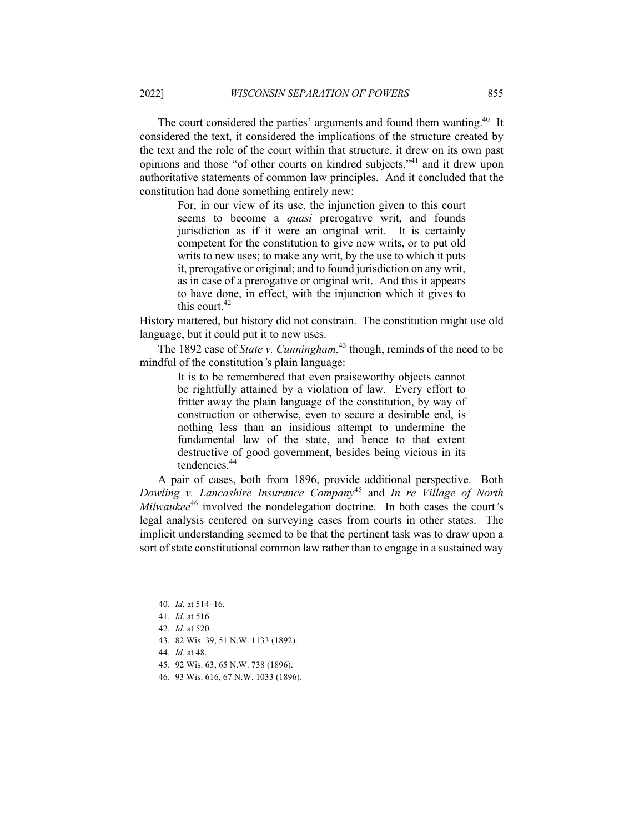The court considered the parties' arguments and found them wanting.<sup>40</sup> It considered the text, it considered the implications of the structure created by the text and the role of the court within that structure, it drew on its own past opinions and those "of other courts on kindred subjects,"41 and it drew upon authoritative statements of common law principles. And it concluded that the constitution had done something entirely new:

For, in our view of its use, the injunction given to this court seems to become a *quasi* prerogative writ, and founds jurisdiction as if it were an original writ. It is certainly competent for the constitution to give new writs, or to put old writs to new uses; to make any writ, by the use to which it puts it, prerogative or original; and to found jurisdiction on any writ, as in case of a prerogative or original writ. And this it appears to have done, in effect, with the injunction which it gives to this court.<sup>42</sup>

History mattered, but history did not constrain. The constitution might use old language, but it could put it to new uses.

The 1892 case of *State v. Cunningham*, <sup>43</sup> though, reminds of the need to be mindful of the constitution*'*s plain language:

> It is to be remembered that even praiseworthy objects cannot be rightfully attained by a violation of law. Every effort to fritter away the plain language of the constitution, by way of construction or otherwise, even to secure a desirable end, is nothing less than an insidious attempt to undermine the fundamental law of the state, and hence to that extent destructive of good government, besides being vicious in its tendencies.<sup>44</sup>

A pair of cases, both from 1896, provide additional perspective. Both *Dowling v. Lancashire Insurance Company*<sup>45</sup> and *In re Village of North Milwaukee*<sup>46</sup> involved the nondelegation doctrine. In both cases the court*'*s legal analysis centered on surveying cases from courts in other states. The implicit understanding seemed to be that the pertinent task was to draw upon a sort of state constitutional common law rather than to engage in a sustained way

- 44. *Id.* at 48.
- 45. 92 Wis. 63, 65 N.W. 738 (1896).
- 46. 93 Wis. 616, 67 N.W. 1033 (1896).

<sup>40.</sup> *Id*. at 514–16.

<sup>41.</sup> *Id*. at 516.

<sup>42.</sup> *Id.* at 520.

<sup>43.</sup> 82 Wis. 39, 51 N.W. 1133 (1892).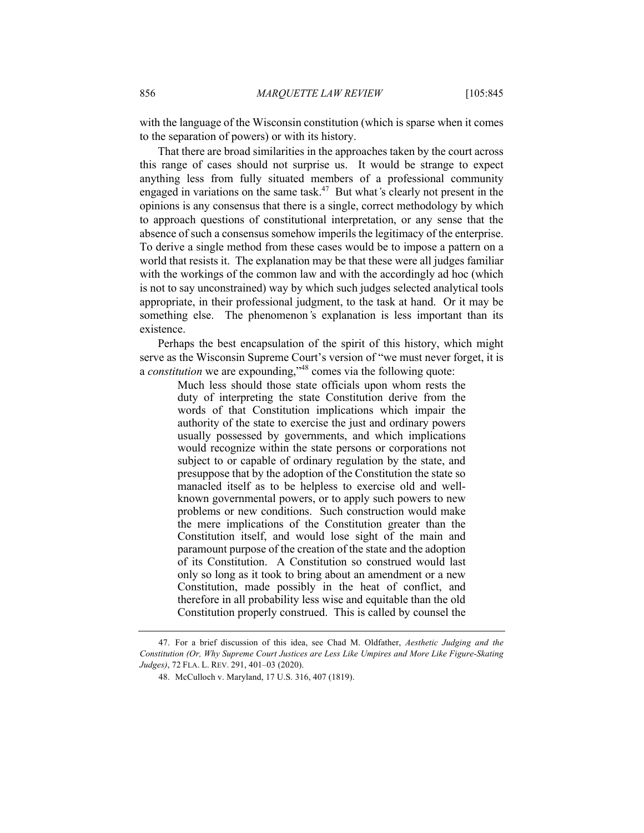with the language of the Wisconsin constitution (which is sparse when it comes to the separation of powers) or with its history.

That there are broad similarities in the approaches taken by the court across this range of cases should not surprise us. It would be strange to expect anything less from fully situated members of a professional community engaged in variations on the same task.47 But what*'*s clearly not present in the opinions is any consensus that there is a single, correct methodology by which to approach questions of constitutional interpretation, or any sense that the absence of such a consensus somehow imperils the legitimacy of the enterprise. To derive a single method from these cases would be to impose a pattern on a world that resists it. The explanation may be that these were all judges familiar with the workings of the common law and with the accordingly ad hoc (which is not to say unconstrained) way by which such judges selected analytical tools appropriate, in their professional judgment, to the task at hand. Or it may be something else. The phenomenon*'*s explanation is less important than its existence.

Perhaps the best encapsulation of the spirit of this history, which might serve as the Wisconsin Supreme Court's version of "we must never forget, it is a *constitution* we are expounding,"48 comes via the following quote:

> Much less should those state officials upon whom rests the duty of interpreting the state Constitution derive from the words of that Constitution implications which impair the authority of the state to exercise the just and ordinary powers usually possessed by governments, and which implications would recognize within the state persons or corporations not subject to or capable of ordinary regulation by the state, and presuppose that by the adoption of the Constitution the state so manacled itself as to be helpless to exercise old and wellknown governmental powers, or to apply such powers to new problems or new conditions. Such construction would make the mere implications of the Constitution greater than the Constitution itself, and would lose sight of the main and paramount purpose of the creation of the state and the adoption of its Constitution. A Constitution so construed would last only so long as it took to bring about an amendment or a new Constitution, made possibly in the heat of conflict, and therefore in all probability less wise and equitable than the old Constitution properly construed. This is called by counsel the

<sup>47.</sup> For a brief discussion of this idea, see Chad M. Oldfather, *Aesthetic Judging and the Constitution (Or, Why Supreme Court Justices are Less Like Umpires and More Like Figure-Skating Judges)*, 72 FLA. L. REV. 291, 401–03 (2020).

<sup>48.</sup> McCulloch v. Maryland, 17 U.S. 316, 407 (1819).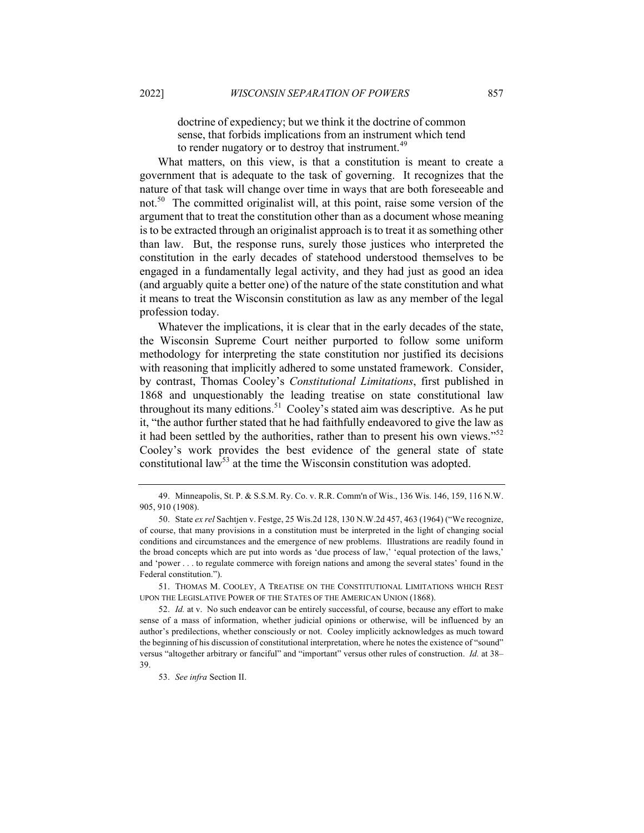doctrine of expediency; but we think it the doctrine of common sense, that forbids implications from an instrument which tend to render nugatory or to destroy that instrument.<sup>49</sup>

What matters, on this view, is that a constitution is meant to create a government that is adequate to the task of governing. It recognizes that the nature of that task will change over time in ways that are both foreseeable and not.<sup>50</sup> The committed originalist will, at this point, raise some version of the argument that to treat the constitution other than as a document whose meaning is to be extracted through an originalist approach is to treat it as something other than law. But, the response runs, surely those justices who interpreted the constitution in the early decades of statehood understood themselves to be engaged in a fundamentally legal activity, and they had just as good an idea (and arguably quite a better one) of the nature of the state constitution and what it means to treat the Wisconsin constitution as law as any member of the legal profession today.

Whatever the implications, it is clear that in the early decades of the state, the Wisconsin Supreme Court neither purported to follow some uniform methodology for interpreting the state constitution nor justified its decisions with reasoning that implicitly adhered to some unstated framework. Consider, by contrast, Thomas Cooley's *Constitutional Limitations*, first published in 1868 and unquestionably the leading treatise on state constitutional law throughout its many editions.<sup>51</sup> Cooley's stated aim was descriptive. As he put it, "the author further stated that he had faithfully endeavored to give the law as it had been settled by the authorities, rather than to present his own views."<sup>52</sup> Cooley's work provides the best evidence of the general state of state constitutional law<sup>53</sup> at the time the Wisconsin constitution was adopted.

<sup>49.</sup> Minneapolis, St. P. & S.S.M. Ry. Co. v. R.R. Comm'n of Wis., 136 Wis. 146, 159, 116 N.W. 905, 910 (1908).

<sup>50.</sup> State *ex rel* Sachtjen v. Festge, 25 Wis.2d 128, 130 N.W.2d 457, 463 (1964) ("We recognize, of course, that many provisions in a constitution must be interpreted in the light of changing social conditions and circumstances and the emergence of new problems. Illustrations are readily found in the broad concepts which are put into words as 'due process of law,' 'equal protection of the laws,' and 'power . . . to regulate commerce with foreign nations and among the several states' found in the Federal constitution.").

<sup>51.</sup> THOMAS M. COOLEY, A TREATISE ON THE CONSTITUTIONAL LIMITATIONS WHICH REST UPON THE LEGISLATIVE POWER OF THE STATES OF THE AMERICAN UNION (1868).

<sup>52.</sup> *Id.* at v. No such endeavor can be entirely successful, of course, because any effort to make sense of a mass of information, whether judicial opinions or otherwise, will be influenced by an author's predilections, whether consciously or not. Cooley implicitly acknowledges as much toward the beginning of his discussion of constitutional interpretation, where he notes the existence of "sound" versus "altogether arbitrary or fanciful" and "important" versus other rules of construction. *Id.* at 38– 39.

<sup>53.</sup> *See infra* Section II.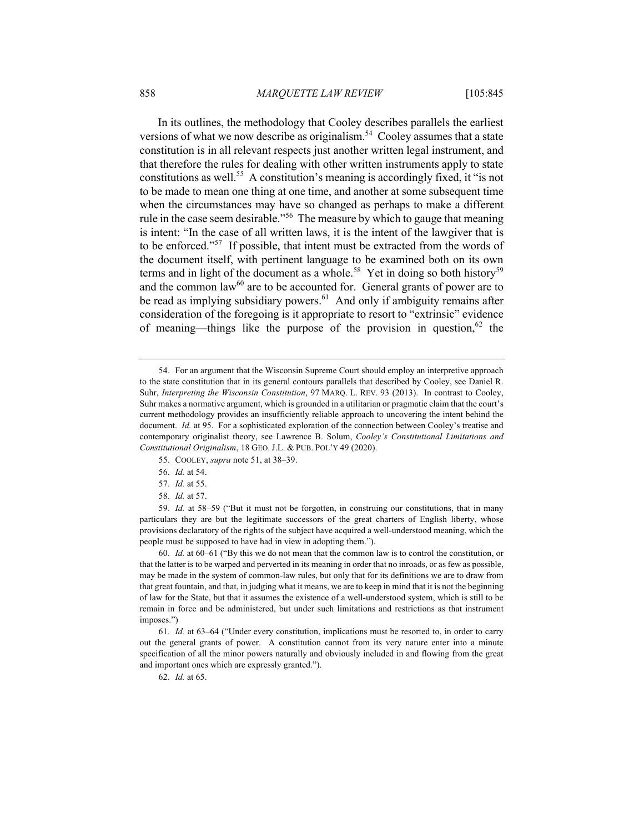In its outlines, the methodology that Cooley describes parallels the earliest versions of what we now describe as originalism.<sup>54</sup> Cooley assumes that a state constitution is in all relevant respects just another written legal instrument, and that therefore the rules for dealing with other written instruments apply to state constitutions as well.<sup>55</sup> A constitution's meaning is accordingly fixed, it "is not to be made to mean one thing at one time, and another at some subsequent time when the circumstances may have so changed as perhaps to make a different rule in the case seem desirable.<sup>556</sup> The measure by which to gauge that meaning is intent: "In the case of all written laws, it is the intent of the lawgiver that is to be enforced."<sup>57</sup> If possible, that intent must be extracted from the words of the document itself, with pertinent language to be examined both on its own terms and in light of the document as a whole.<sup>58</sup> Yet in doing so both history<sup>59</sup> and the common law $^{60}$  are to be accounted for. General grants of power are to be read as implying subsidiary powers.<sup>61</sup> And only if ambiguity remains after consideration of the foregoing is it appropriate to resort to "extrinsic" evidence of meaning—things like the purpose of the provision in question,  $62$  the

- 55. COOLEY, *supra* note 51, at 38–39.
- 56. *Id.* at 54.
- 57. *Id.* at 55.
- 58. *Id.* at 57.

60. *Id.* at 60–61 ("By this we do not mean that the common law is to control the constitution, or that the latter is to be warped and perverted in its meaning in order that no inroads, or as few as possible, may be made in the system of common-law rules, but only that for its definitions we are to draw from that great fountain, and that, in judging what it means, we are to keep in mind that it is not the beginning of law for the State, but that it assumes the existence of a well-understood system, which is still to be remain in force and be administered, but under such limitations and restrictions as that instrument imposes.")

61. *Id.* at 63–64 ("Under every constitution, implications must be resorted to, in order to carry out the general grants of power. A constitution cannot from its very nature enter into a minute specification of all the minor powers naturally and obviously included in and flowing from the great and important ones which are expressly granted.").

62. *Id.* at 65.

<sup>54.</sup> For an argument that the Wisconsin Supreme Court should employ an interpretive approach to the state constitution that in its general contours parallels that described by Cooley, see Daniel R. Suhr, *Interpreting the Wisconsin Constitution*, 97 MARQ. L. REV. 93 (2013). In contrast to Cooley, Suhr makes a normative argument, which is grounded in a utilitarian or pragmatic claim that the court's current methodology provides an insufficiently reliable approach to uncovering the intent behind the document. *Id.* at 95. For a sophisticated exploration of the connection between Cooley's treatise and contemporary originalist theory, see Lawrence B. Solum, *Cooley's Constitutional Limitations and Constitutional Originalism*, 18 GEO. J.L. & PUB. POL'Y 49 (2020).

<sup>59.</sup> *Id.* at 58–59 ("But it must not be forgotten, in construing our constitutions, that in many particulars they are but the legitimate successors of the great charters of English liberty, whose provisions declaratory of the rights of the subject have acquired a well-understood meaning, which the people must be supposed to have had in view in adopting them.").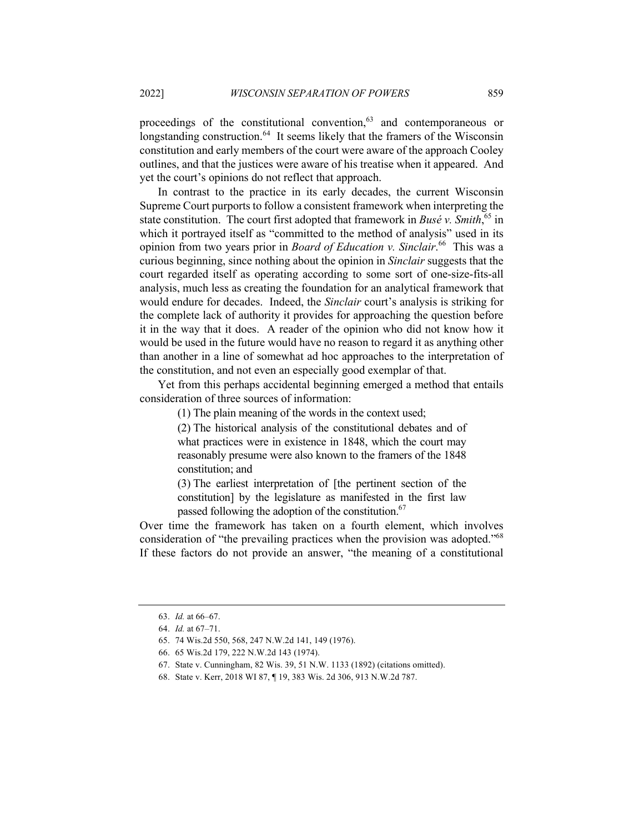proceedings of the constitutional convention,<sup>63</sup> and contemporaneous or longstanding construction.<sup>64</sup> It seems likely that the framers of the Wisconsin constitution and early members of the court were aware of the approach Cooley outlines, and that the justices were aware of his treatise when it appeared. And yet the court's opinions do not reflect that approach.

In contrast to the practice in its early decades, the current Wisconsin Supreme Court purports to follow a consistent framework when interpreting the state constitution. The court first adopted that framework in *Busé v. Smith*,<sup>65</sup> in which it portrayed itself as "committed to the method of analysis" used in its opinion from two years prior in *Board of Education v. Sinclair*. <sup>66</sup> This was a curious beginning, since nothing about the opinion in *Sinclair* suggests that the court regarded itself as operating according to some sort of one-size-fits-all analysis, much less as creating the foundation for an analytical framework that would endure for decades. Indeed, the *Sinclair* court's analysis is striking for the complete lack of authority it provides for approaching the question before it in the way that it does. A reader of the opinion who did not know how it would be used in the future would have no reason to regard it as anything other than another in a line of somewhat ad hoc approaches to the interpretation of the constitution, and not even an especially good exemplar of that.

Yet from this perhaps accidental beginning emerged a method that entails consideration of three sources of information:

(1) The plain meaning of the words in the context used;

(2) The historical analysis of the constitutional debates and of what practices were in existence in 1848, which the court may reasonably presume were also known to the framers of the 1848 constitution; and

(3) The earliest interpretation of [the pertinent section of the constitution] by the legislature as manifested in the first law passed following the adoption of the constitution.<sup>67</sup>

Over time the framework has taken on a fourth element, which involves consideration of "the prevailing practices when the provision was adopted."<sup>68</sup> If these factors do not provide an answer, "the meaning of a constitutional

<sup>63.</sup> *Id.* at 66–67.

<sup>64.</sup> *Id.* at 67–71.

<sup>65.</sup> 74 Wis.2d 550, 568, 247 N.W.2d 141, 149 (1976).

<sup>66.</sup> 65 Wis.2d 179, 222 N.W.2d 143 (1974).

<sup>67.</sup> State v. Cunningham, 82 Wis. 39, 51 N.W. 1133 (1892) (citations omitted).

<sup>68.</sup> State v. Kerr, 2018 WI 87, ¶ 19, 383 Wis. 2d 306, 913 N.W.2d 787.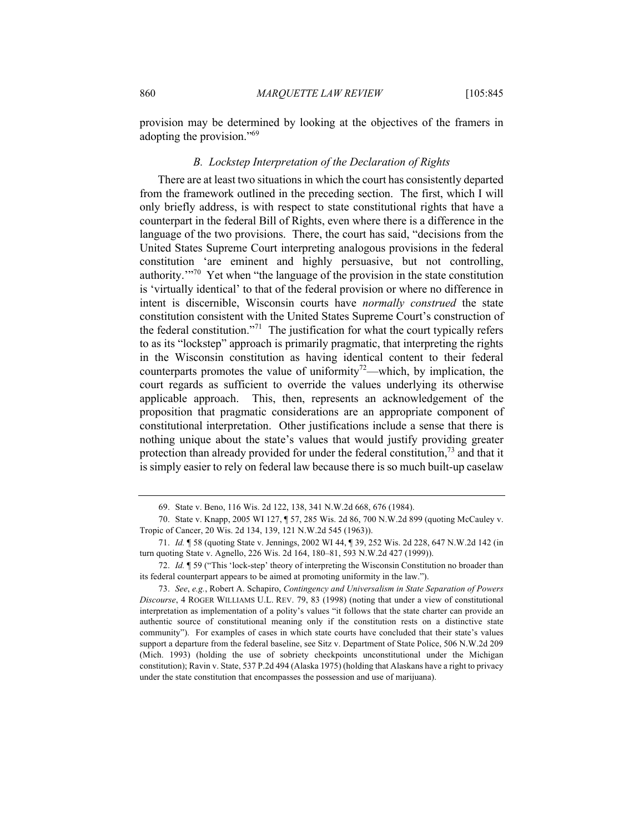provision may be determined by looking at the objectives of the framers in adopting the provision."69

## *B. Lockstep Interpretation of the Declaration of Rights*

There are at least two situations in which the court has consistently departed from the framework outlined in the preceding section. The first, which I will only briefly address, is with respect to state constitutional rights that have a counterpart in the federal Bill of Rights, even where there is a difference in the language of the two provisions. There, the court has said, "decisions from the United States Supreme Court interpreting analogous provisions in the federal constitution 'are eminent and highly persuasive, but not controlling, authority. $1^{970}$  Yet when "the language of the provision in the state constitution is 'virtually identical' to that of the federal provision or where no difference in intent is discernible, Wisconsin courts have *normally construed* the state constitution consistent with the United States Supreme Court's construction of the federal constitution."<sup>71</sup> The justification for what the court typically refers to as its "lockstep" approach is primarily pragmatic, that interpreting the rights in the Wisconsin constitution as having identical content to their federal counterparts promotes the value of uniformity<sup>72</sup>—which, by implication, the court regards as sufficient to override the values underlying its otherwise applicable approach. This, then, represents an acknowledgement of the proposition that pragmatic considerations are an appropriate component of constitutional interpretation. Other justifications include a sense that there is nothing unique about the state's values that would justify providing greater protection than already provided for under the federal constitution,  $\frac{73}{12}$  and that it is simply easier to rely on federal law because there is so much built-up caselaw

<sup>69.</sup> State v. Beno, 116 Wis. 2d 122, 138, 341 N.W.2d 668, 676 (1984).

<sup>70.</sup> State v. Knapp, 2005 WI 127, ¶ 57, 285 Wis. 2d 86, 700 N.W.2d 899 (quoting McCauley v. Tropic of Cancer, 20 Wis. 2d 134, 139, 121 N.W.2d 545 (1963)).

<sup>71.</sup> *Id.* ¶ 58 (quoting State v. Jennings, 2002 WI 44, ¶ 39, 252 Wis. 2d 228, 647 N.W.2d 142 (in turn quoting State v. Agnello, 226 Wis. 2d 164, 180–81, 593 N.W.2d 427 (1999)).

<sup>72.</sup> *Id.* ¶ 59 ("This 'lock-step' theory of interpreting the Wisconsin Constitution no broader than its federal counterpart appears to be aimed at promoting uniformity in the law.").

<sup>73.</sup> *See*, *e.g.*, Robert A. Schapiro, *Contingency and Universalism in State Separation of Powers Discourse*, 4 ROGER WILLIAMS U.L. REV. 79, 83 (1998) (noting that under a view of constitutional interpretation as implementation of a polity's values "it follows that the state charter can provide an authentic source of constitutional meaning only if the constitution rests on a distinctive state community"). For examples of cases in which state courts have concluded that their state's values support a departure from the federal baseline, see Sitz v. Department of State Police, 506 N.W.2d 209 (Mich. 1993) (holding the use of sobriety checkpoints unconstitutional under the Michigan constitution); Ravin v. State, 537 P.2d 494 (Alaska 1975) (holding that Alaskans have a right to privacy under the state constitution that encompasses the possession and use of marijuana).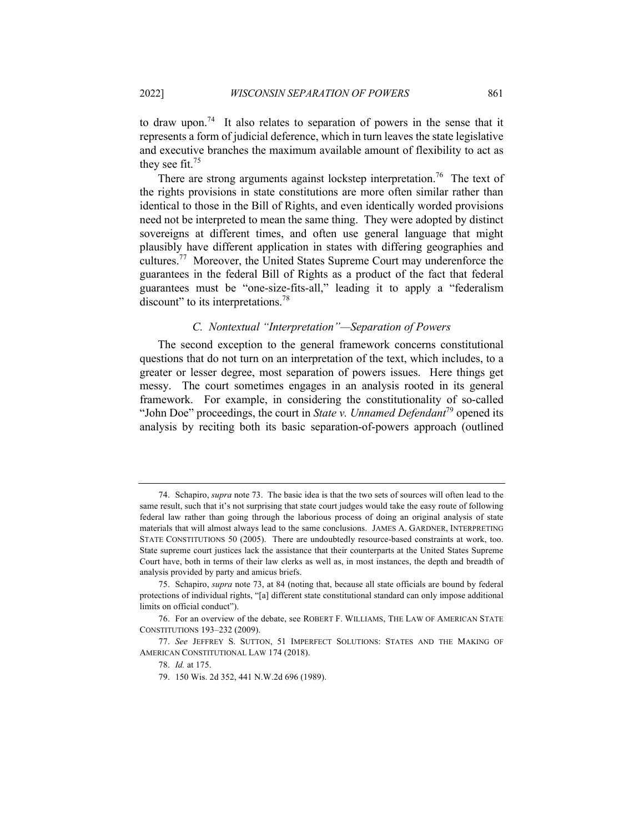to draw upon.<sup>74</sup> It also relates to separation of powers in the sense that it represents a form of judicial deference, which in turn leaves the state legislative and executive branches the maximum available amount of flexibility to act as they see fit.<sup>75</sup>

There are strong arguments against lockstep interpretation.<sup>76</sup> The text of the rights provisions in state constitutions are more often similar rather than identical to those in the Bill of Rights, and even identically worded provisions need not be interpreted to mean the same thing. They were adopted by distinct sovereigns at different times, and often use general language that might plausibly have different application in states with differing geographies and cultures.<sup>77</sup> Moreover, the United States Supreme Court may underenforce the guarantees in the federal Bill of Rights as a product of the fact that federal guarantees must be "one-size-fits-all," leading it to apply a "federalism discount" to its interpretations.<sup>78</sup>

# *C. Nontextual "Interpretation"—Separation of Powers*

The second exception to the general framework concerns constitutional questions that do not turn on an interpretation of the text, which includes, to a greater or lesser degree, most separation of powers issues. Here things get messy. The court sometimes engages in an analysis rooted in its general framework. For example, in considering the constitutionality of so-called "John Doe" proceedings, the court in *State v. Unnamed Defendant*<sup>79</sup> opened its analysis by reciting both its basic separation-of-powers approach (outlined

<sup>74.</sup> Schapiro, *supra* note 73. The basic idea is that the two sets of sources will often lead to the same result, such that it's not surprising that state court judges would take the easy route of following federal law rather than going through the laborious process of doing an original analysis of state materials that will almost always lead to the same conclusions. JAMES A. GARDNER, INTERPRETING STATE CONSTITUTIONS 50 (2005). There are undoubtedly resource-based constraints at work, too. State supreme court justices lack the assistance that their counterparts at the United States Supreme Court have, both in terms of their law clerks as well as, in most instances, the depth and breadth of analysis provided by party and amicus briefs.

<sup>75.</sup> Schapiro, *supra* note 73, at 84 (noting that, because all state officials are bound by federal protections of individual rights, "[a] different state constitutional standard can only impose additional limits on official conduct").

<sup>76.</sup> For an overview of the debate, see ROBERT F. WILLIAMS, THE LAW OF AMERICAN STATE CONSTITUTIONS 193–232 (2009).

<sup>77.</sup> *See* JEFFREY S. SUTTON, 51 IMPERFECT SOLUTIONS: STATES AND THE MAKING OF AMERICAN CONSTITUTIONAL LAW 174 (2018).

<sup>78.</sup> *Id.* at 175.

<sup>79.</sup> 150 Wis. 2d 352, 441 N.W.2d 696 (1989).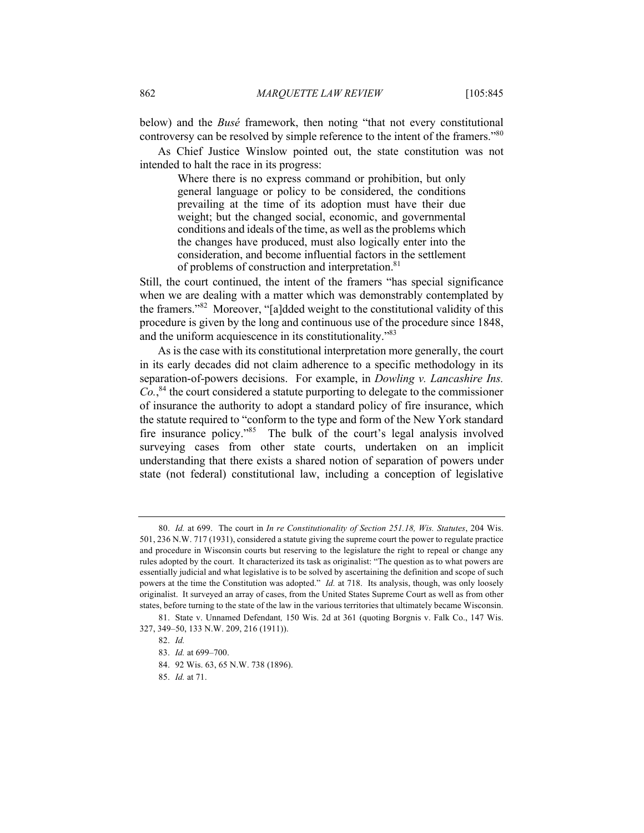below) and the *Busé* framework, then noting "that not every constitutional controversy can be resolved by simple reference to the intent of the framers."<sup>80</sup>

As Chief Justice Winslow pointed out, the state constitution was not intended to halt the race in its progress:

> Where there is no express command or prohibition, but only general language or policy to be considered, the conditions prevailing at the time of its adoption must have their due weight; but the changed social, economic, and governmental conditions and ideals of the time, as well as the problems which the changes have produced, must also logically enter into the consideration, and become influential factors in the settlement of problems of construction and interpretation.<sup>81</sup>

Still, the court continued, the intent of the framers "has special significance when we are dealing with a matter which was demonstrably contemplated by the framers."<sup>82</sup> Moreover, "[a]dded weight to the constitutional validity of this procedure is given by the long and continuous use of the procedure since 1848, and the uniform acquiescence in its constitutionality."<sup>83</sup>

As is the case with its constitutional interpretation more generally, the court in its early decades did not claim adherence to a specific methodology in its separation-of-powers decisions. For example, in *Dowling v. Lancashire Ins. Co.*, <sup>84</sup> the court considered a statute purporting to delegate to the commissioner of insurance the authority to adopt a standard policy of fire insurance, which the statute required to "conform to the type and form of the New York standard fire insurance policy."<sup>85</sup> The bulk of the court's legal analysis involved surveying cases from other state courts, undertaken on an implicit understanding that there exists a shared notion of separation of powers under state (not federal) constitutional law, including a conception of legislative

<sup>80.</sup> *Id.* at 699. The court in *In re Constitutionality of Section 251.18, Wis. Statutes*, 204 Wis. 501, 236 N.W. 717 (1931), considered a statute giving the supreme court the power to regulate practice and procedure in Wisconsin courts but reserving to the legislature the right to repeal or change any rules adopted by the court. It characterized its task as originalist: "The question as to what powers are essentially judicial and what legislative is to be solved by ascertaining the definition and scope of such powers at the time the Constitution was adopted." *Id.* at 718. Its analysis, though, was only loosely originalist. It surveyed an array of cases, from the United States Supreme Court as well as from other states, before turning to the state of the law in the various territories that ultimately became Wisconsin.

<sup>81.</sup> State v. Unnamed Defendant*,* 150 Wis. 2d at 361 (quoting Borgnis v. Falk Co., 147 Wis. 327, 349–50, 133 N.W. 209, 216 (1911)).

<sup>82.</sup> *Id.*

<sup>83.</sup> *Id.* at 699–700.

<sup>84.</sup> 92 Wis. 63, 65 N.W. 738 (1896).

<sup>85.</sup> *Id.* at 71.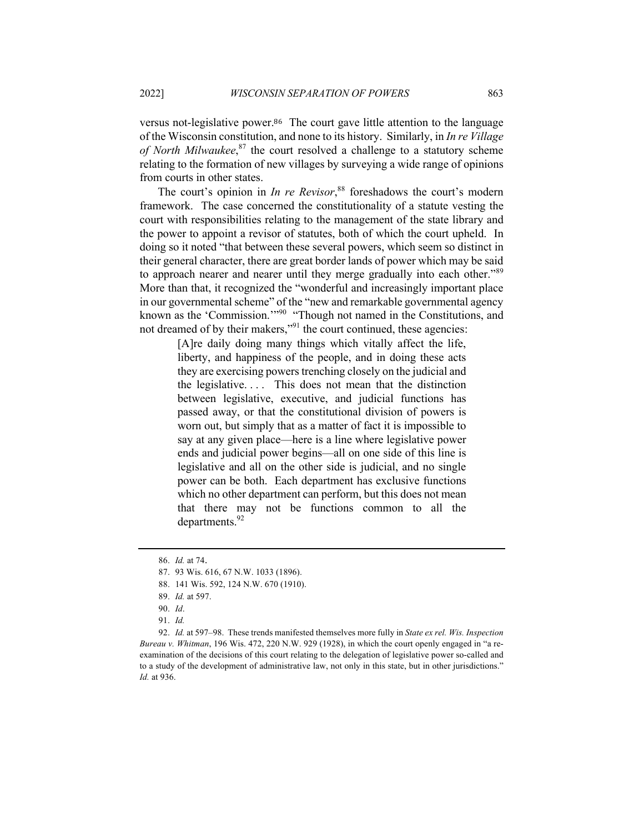versus not-legislative power.<sup>86</sup> The court gave little attention to the language of the Wisconsin constitution, and none to its history. Similarly, in *In re Village of North Milwaukee*, <sup>87</sup> the court resolved a challenge to a statutory scheme relating to the formation of new villages by surveying a wide range of opinions from courts in other states.

The court's opinion in *In re Revisor*, <sup>88</sup> foreshadows the court's modern framework. The case concerned the constitutionality of a statute vesting the court with responsibilities relating to the management of the state library and the power to appoint a revisor of statutes, both of which the court upheld. In doing so it noted "that between these several powers, which seem so distinct in their general character, there are great border lands of power which may be said to approach nearer and nearer until they merge gradually into each other."<sup>89</sup> More than that, it recognized the "wonderful and increasingly important place in our governmental scheme" of the "new and remarkable governmental agency known as the 'Commission."<sup>90</sup> "Though not named in the Constitutions, and not dreamed of by their makers,"<sup>91</sup> the court continued, these agencies:

> [A]re daily doing many things which vitally affect the life, liberty, and happiness of the people, and in doing these acts they are exercising powers trenching closely on the judicial and the legislative. . . . This does not mean that the distinction between legislative, executive, and judicial functions has passed away, or that the constitutional division of powers is worn out, but simply that as a matter of fact it is impossible to say at any given place—here is a line where legislative power ends and judicial power begins—all on one side of this line is legislative and all on the other side is judicial, and no single power can be both. Each department has exclusive functions which no other department can perform, but this does not mean that there may not be functions common to all the departments.<sup>92</sup>

<sup>86.</sup> *Id.* at 74.

<sup>87.</sup> 93 Wis. 616, 67 N.W. 1033 (1896).

<sup>88.</sup> 141 Wis. 592, 124 N.W. 670 (1910).

<sup>89.</sup> *Id.* at 597.

<sup>90.</sup> *Id*.

<sup>91.</sup> *Id.*

<sup>92.</sup> *Id.* at 597–98. These trends manifested themselves more fully in *State ex rel. Wis. Inspection Bureau v. Whitman*, 196 Wis. 472, 220 N.W. 929 (1928), in which the court openly engaged in "a reexamination of the decisions of this court relating to the delegation of legislative power so-called and to a study of the development of administrative law, not only in this state, but in other jurisdictions." *Id.* at 936.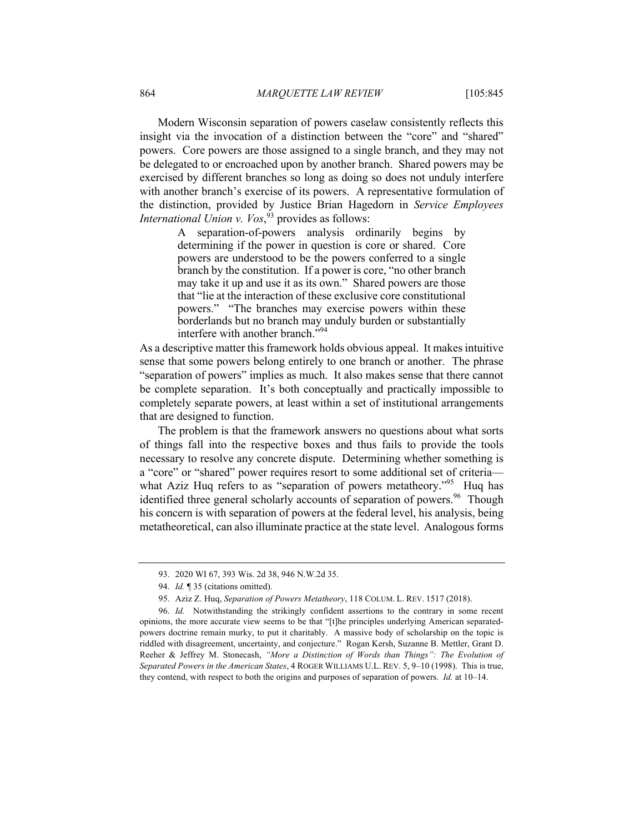Modern Wisconsin separation of powers caselaw consistently reflects this insight via the invocation of a distinction between the "core" and "shared" powers. Core powers are those assigned to a single branch, and they may not be delegated to or encroached upon by another branch. Shared powers may be exercised by different branches so long as doing so does not unduly interfere with another branch's exercise of its powers. A representative formulation of the distinction, provided by Justice Brian Hagedorn in *Service Employees International Union v. Vos*, <sup>93</sup> provides as follows:

> A separation-of-powers analysis ordinarily begins by determining if the power in question is core or shared. Core powers are understood to be the powers conferred to a single branch by the constitution. If a power is core, "no other branch may take it up and use it as its own." Shared powers are those that "lie at the interaction of these exclusive core constitutional powers." "The branches may exercise powers within these borderlands but no branch may unduly burden or substantially interfere with another branch."94

As a descriptive matter this framework holds obvious appeal. It makes intuitive sense that some powers belong entirely to one branch or another. The phrase "separation of powers" implies as much. It also makes sense that there cannot be complete separation. It's both conceptually and practically impossible to completely separate powers, at least within a set of institutional arrangements that are designed to function.

The problem is that the framework answers no questions about what sorts of things fall into the respective boxes and thus fails to provide the tools necessary to resolve any concrete dispute. Determining whether something is a "core" or "shared" power requires resort to some additional set of criteria what Aziz Huq refers to as "separation of powers metatheory."<sup>95</sup> Huq has identified three general scholarly accounts of separation of powers.<sup>96</sup> Though his concern is with separation of powers at the federal level, his analysis, being metatheoretical, can also illuminate practice at the state level. Analogous forms

<sup>93.</sup> 2020 WI 67, 393 Wis. 2d 38, 946 N.W.2d 35.

<sup>94.</sup> *Id.* ¶ 35 (citations omitted).

<sup>95.</sup> Aziz Z. Huq, *Separation of Powers Metatheory*, 118 COLUM. L. REV. 1517 (2018).

<sup>96.</sup> *Id.* Notwithstanding the strikingly confident assertions to the contrary in some recent opinions, the more accurate view seems to be that "[t]he principles underlying American separatedpowers doctrine remain murky, to put it charitably. A massive body of scholarship on the topic is riddled with disagreement, uncertainty, and conjecture." Rogan Kersh, Suzanne B. Mettler, Grant D. Reeher & Jeffrey M. Stonecash, *"More a Distinction of Words than Things": The Evolution of Separated Powers in the American States*, 4 ROGER WILLIAMS U.L. REV. 5, 9–10 (1998). This is true, they contend, with respect to both the origins and purposes of separation of powers. *Id.* at 10–14.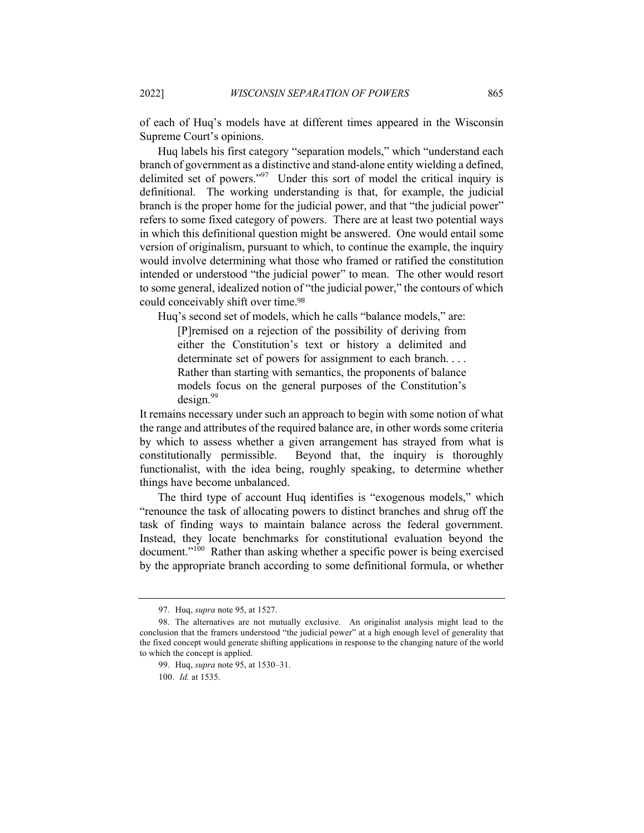of each of Huq's models have at different times appeared in the Wisconsin Supreme Court's opinions.

Huq labels his first category "separation models," which "understand each branch of government as a distinctive and stand-alone entity wielding a defined, delimited set of powers."<sup>97</sup> Under this sort of model the critical inquiry is definitional. The working understanding is that, for example, the judicial branch is the proper home for the judicial power, and that "the judicial power" refers to some fixed category of powers. There are at least two potential ways in which this definitional question might be answered. One would entail some version of originalism, pursuant to which, to continue the example, the inquiry would involve determining what those who framed or ratified the constitution intended or understood "the judicial power" to mean. The other would resort to some general, idealized notion of "the judicial power," the contours of which could conceivably shift over time.<sup>98</sup>

Huq's second set of models, which he calls "balance models," are:

[P]remised on a rejection of the possibility of deriving from either the Constitution's text or history a delimited and determinate set of powers for assignment to each branch.... Rather than starting with semantics, the proponents of balance models focus on the general purposes of the Constitution's  $design.<sup>99</sup>$ 

It remains necessary under such an approach to begin with some notion of what the range and attributes of the required balance are, in other words some criteria by which to assess whether a given arrangement has strayed from what is constitutionally permissible. Beyond that, the inquiry is thoroughly functionalist, with the idea being, roughly speaking, to determine whether things have become unbalanced.

The third type of account Huq identifies is "exogenous models," which "renounce the task of allocating powers to distinct branches and shrug off the task of finding ways to maintain balance across the federal government. Instead, they locate benchmarks for constitutional evaluation beyond the document."<sup>100</sup> Rather than asking whether a specific power is being exercised by the appropriate branch according to some definitional formula, or whether

<sup>97.</sup> Huq, *supra* note 95, at 1527.

<sup>98.</sup> The alternatives are not mutually exclusive. An originalist analysis might lead to the conclusion that the framers understood "the judicial power" at a high enough level of generality that the fixed concept would generate shifting applications in response to the changing nature of the world to which the concept is applied.

<sup>99.</sup> Huq, *supra* note 95, at 1530–31.

<sup>100.</sup> *Id.* at 1535.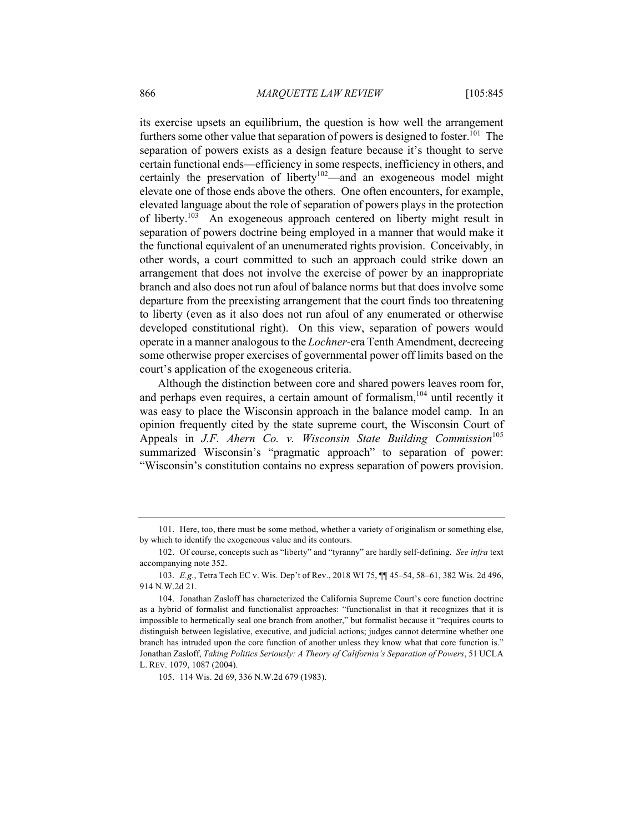its exercise upsets an equilibrium, the question is how well the arrangement furthers some other value that separation of powers is designed to foster.<sup>101</sup> The separation of powers exists as a design feature because it's thought to serve certain functional ends—efficiency in some respects, inefficiency in others, and certainly the preservation of liberty<sup>102</sup>—and an exogeneous model might elevate one of those ends above the others. One often encounters, for example, elevated language about the role of separation of powers plays in the protection of liberty.<sup>103</sup> An exogeneous approach centered on liberty might result in separation of powers doctrine being employed in a manner that would make it the functional equivalent of an unenumerated rights provision. Conceivably, in other words, a court committed to such an approach could strike down an arrangement that does not involve the exercise of power by an inappropriate branch and also does not run afoul of balance norms but that does involve some departure from the preexisting arrangement that the court finds too threatening to liberty (even as it also does not run afoul of any enumerated or otherwise developed constitutional right). On this view, separation of powers would operate in a manner analogous to the *Lochner*-era Tenth Amendment, decreeing some otherwise proper exercises of governmental power off limits based on the court's application of the exogeneous criteria.

Although the distinction between core and shared powers leaves room for, and perhaps even requires, a certain amount of formalism,<sup>104</sup> until recently it was easy to place the Wisconsin approach in the balance model camp. In an opinion frequently cited by the state supreme court, the Wisconsin Court of Appeals in *J.F. Ahern Co. v. Wisconsin State Building Commission*<sup>105</sup> summarized Wisconsin's "pragmatic approach" to separation of power: "Wisconsin's constitution contains no express separation of powers provision.

105. 114 Wis. 2d 69, 336 N.W.2d 679 (1983).

<sup>101.</sup> Here, too, there must be some method, whether a variety of originalism or something else, by which to identify the exogeneous value and its contours.

<sup>102.</sup> Of course, concepts such as "liberty" and "tyranny" are hardly self-defining. *See infra* text accompanying note 352.

<sup>103.</sup> *E.g.*, Tetra Tech EC v. Wis. Dep't of Rev., 2018 WI 75, ¶¶ 45–54, 58–61, 382 Wis. 2d 496, 914 N.W.2d 21.

<sup>104.</sup> Jonathan Zasloff has characterized the California Supreme Court's core function doctrine as a hybrid of formalist and functionalist approaches: "functionalist in that it recognizes that it is impossible to hermetically seal one branch from another," but formalist because it "requires courts to distinguish between legislative, executive, and judicial actions; judges cannot determine whether one branch has intruded upon the core function of another unless they know what that core function is." Jonathan Zasloff, *Taking Politics Seriously: A Theory of California's Separation of Powers*, 51 UCLA L. REV. 1079, 1087 (2004).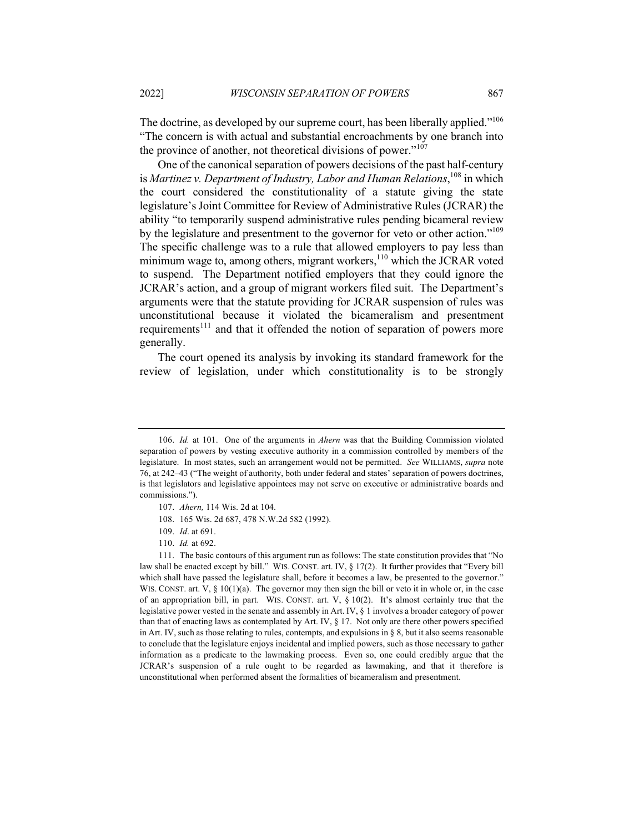The doctrine, as developed by our supreme court, has been liberally applied."<sup>106</sup> "The concern is with actual and substantial encroachments by one branch into the province of another, not theoretical divisions of power."<sup>107</sup>

One of the canonical separation of powers decisions of the past half-century is *Martinez v. Department of Industry, Labor and Human Relations*, <sup>108</sup> in which the court considered the constitutionality of a statute giving the state legislature's Joint Committee for Review of Administrative Rules (JCRAR) the ability "to temporarily suspend administrative rules pending bicameral review by the legislature and presentment to the governor for veto or other action."<sup>109</sup> The specific challenge was to a rule that allowed employers to pay less than minimum wage to, among others, migrant workers,  $110$  which the JCRAR voted to suspend. The Department notified employers that they could ignore the JCRAR's action, and a group of migrant workers filed suit. The Department's arguments were that the statute providing for JCRAR suspension of rules was unconstitutional because it violated the bicameralism and presentment requirements<sup>111</sup> and that it offended the notion of separation of powers more generally.

The court opened its analysis by invoking its standard framework for the review of legislation, under which constitutionality is to be strongly

<sup>106.</sup> *Id.* at 101. One of the arguments in *Ahern* was that the Building Commission violated separation of powers by vesting executive authority in a commission controlled by members of the legislature. In most states, such an arrangement would not be permitted. *See* WILLIAMS, *supra* note 76, at 242–43 ("The weight of authority, both under federal and states' separation of powers doctrines, is that legislators and legislative appointees may not serve on executive or administrative boards and commissions.").

<sup>107.</sup> *Ahern,* 114 Wis. 2d at 104.

<sup>108.</sup> 165 Wis. 2d 687, 478 N.W.2d 582 (1992).

<sup>109.</sup> *Id*. at 691.

<sup>110.</sup> *Id.* at 692.

<sup>111.</sup> The basic contours of this argument run as follows: The state constitution provides that "No law shall be enacted except by bill." WIS. CONST. art. IV, § 17(2). It further provides that "Every bill which shall have passed the legislature shall, before it becomes a law, be presented to the governor." WIS. CONST. art.  $V$ ,  $\S$  10(1)(a). The governor may then sign the bill or veto it in whole or, in the case of an appropriation bill, in part. WIS. CONST. art. V,  $\S$  10(2). It's almost certainly true that the legislative power vested in the senate and assembly in Art. IV, § 1 involves a broader category of power than that of enacting laws as contemplated by Art. IV,  $\S$  17. Not only are there other powers specified in Art. IV, such as those relating to rules, contempts, and expulsions in  $\S$  8, but it also seems reasonable to conclude that the legislature enjoys incidental and implied powers, such as those necessary to gather information as a predicate to the lawmaking process. Even so, one could credibly argue that the JCRAR's suspension of a rule ought to be regarded as lawmaking, and that it therefore is unconstitutional when performed absent the formalities of bicameralism and presentment.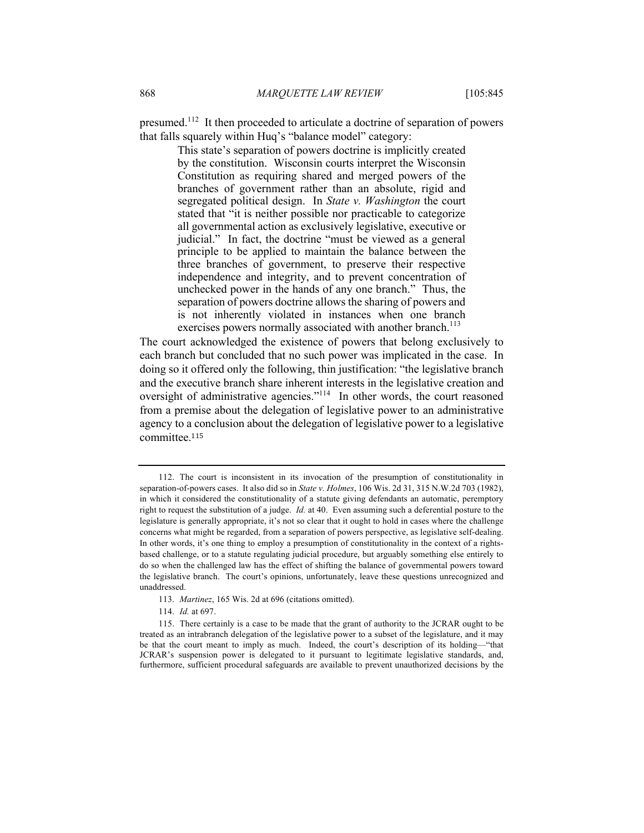presumed.<sup>112</sup> It then proceeded to articulate a doctrine of separation of powers that falls squarely within Huq's "balance model" category:

> This state's separation of powers doctrine is implicitly created by the constitution. Wisconsin courts interpret the Wisconsin Constitution as requiring shared and merged powers of the branches of government rather than an absolute, rigid and segregated political design. In *State v. Washington* the court stated that "it is neither possible nor practicable to categorize all governmental action as exclusively legislative, executive or judicial." In fact, the doctrine "must be viewed as a general principle to be applied to maintain the balance between the three branches of government, to preserve their respective independence and integrity, and to prevent concentration of unchecked power in the hands of any one branch." Thus, the separation of powers doctrine allows the sharing of powers and is not inherently violated in instances when one branch exercises powers normally associated with another branch.<sup>113</sup>

The court acknowledged the existence of powers that belong exclusively to each branch but concluded that no such power was implicated in the case. In doing so it offered only the following, thin justification: "the legislative branch and the executive branch share inherent interests in the legislative creation and oversight of administrative agencies."<sup>114</sup> In other words, the court reasoned from a premise about the delegation of legislative power to an administrative agency to a conclusion about the delegation of legislative power to a legislative committee.<sup>115</sup>

114. *Id.* at 697.

<sup>112.</sup> The court is inconsistent in its invocation of the presumption of constitutionality in separation-of-powers cases. It also did so in *State v. Holmes*, 106 Wis. 2d 31, 315 N.W.2d 703 (1982), in which it considered the constitutionality of a statute giving defendants an automatic, peremptory right to request the substitution of a judge. *Id.* at 40. Even assuming such a deferential posture to the legislature is generally appropriate, it's not so clear that it ought to hold in cases where the challenge concerns what might be regarded, from a separation of powers perspective, as legislative self-dealing. In other words, it's one thing to employ a presumption of constitutionality in the context of a rightsbased challenge, or to a statute regulating judicial procedure, but arguably something else entirely to do so when the challenged law has the effect of shifting the balance of governmental powers toward the legislative branch. The court's opinions, unfortunately, leave these questions unrecognized and unaddressed.

<sup>113.</sup> *Martinez*, 165 Wis. 2d at 696 (citations omitted).

<sup>115.</sup> There certainly is a case to be made that the grant of authority to the JCRAR ought to be treated as an intrabranch delegation of the legislative power to a subset of the legislature, and it may be that the court meant to imply as much. Indeed, the court's description of its holding—"that JCRAR's suspension power is delegated to it pursuant to legitimate legislative standards, and, furthermore, sufficient procedural safeguards are available to prevent unauthorized decisions by the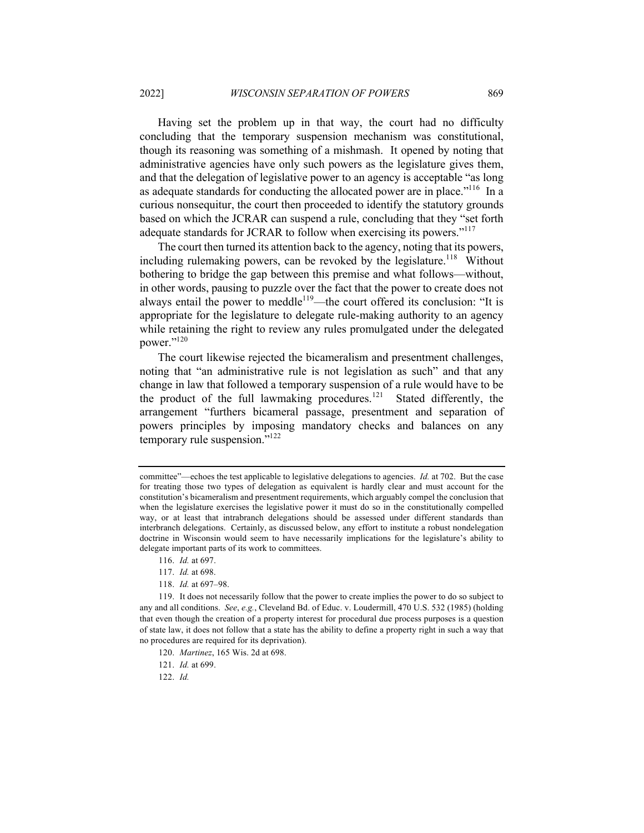Having set the problem up in that way, the court had no difficulty concluding that the temporary suspension mechanism was constitutional, though its reasoning was something of a mishmash. It opened by noting that administrative agencies have only such powers as the legislature gives them, and that the delegation of legislative power to an agency is acceptable "as long as adequate standards for conducting the allocated power are in place."<sup>116</sup> In a curious nonsequitur, the court then proceeded to identify the statutory grounds based on which the JCRAR can suspend a rule, concluding that they "set forth adequate standards for JCRAR to follow when exercising its powers."<sup>117</sup>

The court then turned its attention back to the agency, noting that its powers, including rulemaking powers, can be revoked by the legislature.<sup>118</sup> Without bothering to bridge the gap between this premise and what follows—without, in other words, pausing to puzzle over the fact that the power to create does not always entail the power to meddle<sup>119</sup>—the court offered its conclusion: "It is appropriate for the legislature to delegate rule-making authority to an agency while retaining the right to review any rules promulgated under the delegated power."120

The court likewise rejected the bicameralism and presentment challenges, noting that "an administrative rule is not legislation as such" and that any change in law that followed a temporary suspension of a rule would have to be the product of the full lawmaking procedures.<sup>121</sup> Stated differently, the arrangement "furthers bicameral passage, presentment and separation of powers principles by imposing mandatory checks and balances on any temporary rule suspension."<sup>122</sup>

117. *Id.* at 698.

118. *Id.* at 697–98.

119. It does not necessarily follow that the power to create implies the power to do so subject to any and all conditions. *See*, *e.g.*, Cleveland Bd. of Educ. v. Loudermill, 470 U.S. 532 (1985) (holding that even though the creation of a property interest for procedural due process purposes is a question of state law, it does not follow that a state has the ability to define a property right in such a way that no procedures are required for its deprivation).

122. *Id.*

committee"—echoes the test applicable to legislative delegations to agencies. *Id.* at 702. But the case for treating those two types of delegation as equivalent is hardly clear and must account for the constitution's bicameralism and presentment requirements, which arguably compel the conclusion that when the legislature exercises the legislative power it must do so in the constitutionally compelled way, or at least that intrabranch delegations should be assessed under different standards than interbranch delegations. Certainly, as discussed below, any effort to institute a robust nondelegation doctrine in Wisconsin would seem to have necessarily implications for the legislature's ability to delegate important parts of its work to committees.

<sup>116.</sup> *Id.* at 697.

<sup>120.</sup> *Martinez*, 165 Wis. 2d at 698.

<sup>121.</sup> *Id.* at 699.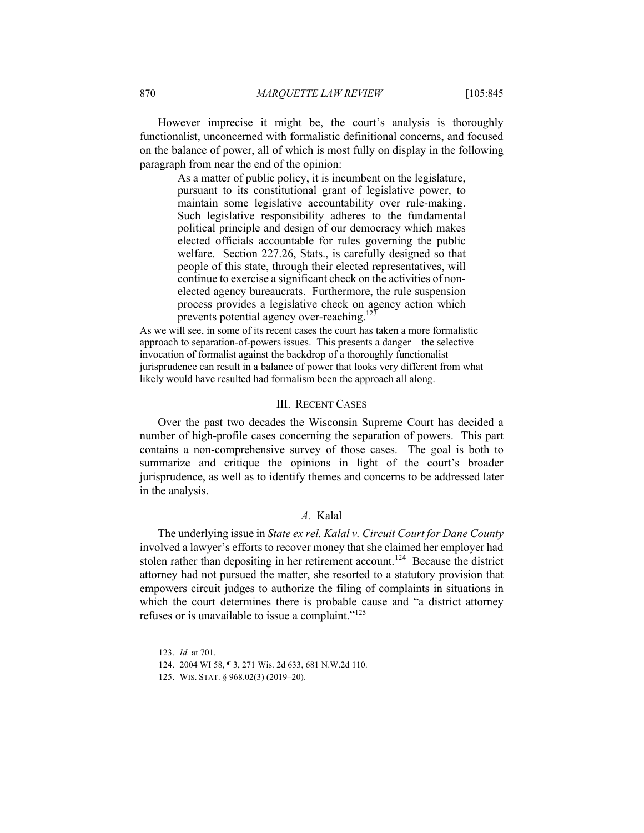However imprecise it might be, the court's analysis is thoroughly functionalist, unconcerned with formalistic definitional concerns, and focused on the balance of power, all of which is most fully on display in the following paragraph from near the end of the opinion:

> As a matter of public policy, it is incumbent on the legislature, pursuant to its constitutional grant of legislative power, to maintain some legislative accountability over rule-making. Such legislative responsibility adheres to the fundamental political principle and design of our democracy which makes elected officials accountable for rules governing the public welfare. Section 227.26, Stats., is carefully designed so that people of this state, through their elected representatives, will continue to exercise a significant check on the activities of nonelected agency bureaucrats. Furthermore, the rule suspension process provides a legislative check on agency action which prevents potential agency over-reaching.<sup>123</sup>

As we will see, in some of its recent cases the court has taken a more formalistic approach to separation-of-powers issues. This presents a danger—the selective invocation of formalist against the backdrop of a thoroughly functionalist jurisprudence can result in a balance of power that looks very different from what likely would have resulted had formalism been the approach all along.

#### III. RECENT CASES

Over the past two decades the Wisconsin Supreme Court has decided a number of high-profile cases concerning the separation of powers. This part contains a non-comprehensive survey of those cases. The goal is both to summarize and critique the opinions in light of the court's broader jurisprudence, as well as to identify themes and concerns to be addressed later in the analysis.

#### *A.* Kalal

The underlying issue in *State ex rel. Kalal v. Circuit Court for Dane County* involved a lawyer's efforts to recover money that she claimed her employer had stolen rather than depositing in her retirement account.<sup>124</sup> Because the district attorney had not pursued the matter, she resorted to a statutory provision that empowers circuit judges to authorize the filing of complaints in situations in which the court determines there is probable cause and "a district attorney refuses or is unavailable to issue a complaint."<sup>125</sup>

<sup>123.</sup> *Id.* at 701.

<sup>124.</sup> 2004 WI 58, ¶ 3, 271 Wis. 2d 633, 681 N.W.2d 110.

<sup>125.</sup> WIS. STAT. § 968.02(3) (2019–20).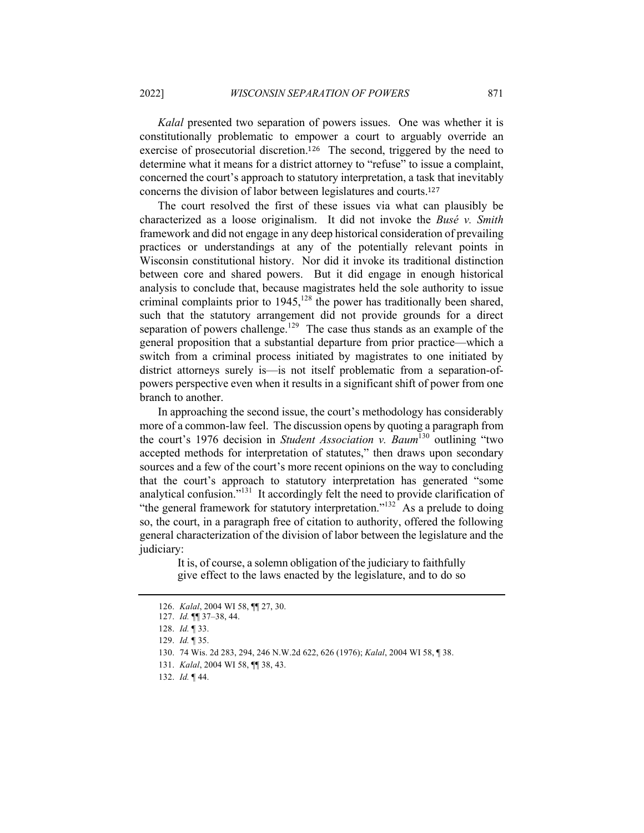*Kalal* presented two separation of powers issues. One was whether it is constitutionally problematic to empower a court to arguably override an exercise of prosecutorial discretion.<sup>126</sup> The second, triggered by the need to determine what it means for a district attorney to "refuse" to issue a complaint, concerned the court's approach to statutory interpretation, a task that inevitably concerns the division of labor between legislatures and courts.<sup>127</sup>

The court resolved the first of these issues via what can plausibly be characterized as a loose originalism. It did not invoke the *Busé v. Smith* framework and did not engage in any deep historical consideration of prevailing practices or understandings at any of the potentially relevant points in Wisconsin constitutional history. Nor did it invoke its traditional distinction between core and shared powers. But it did engage in enough historical analysis to conclude that, because magistrates held the sole authority to issue criminal complaints prior to  $1945$ ,  $128$  the power has traditionally been shared, such that the statutory arrangement did not provide grounds for a direct separation of powers challenge.<sup>129</sup> The case thus stands as an example of the general proposition that a substantial departure from prior practice—which a switch from a criminal process initiated by magistrates to one initiated by district attorneys surely is—is not itself problematic from a separation-ofpowers perspective even when it results in a significant shift of power from one branch to another.

In approaching the second issue, the court's methodology has considerably more of a common-law feel. The discussion opens by quoting a paragraph from the court's 1976 decision in *Student Association v. Baum*<sup>130</sup> outlining "two accepted methods for interpretation of statutes," then draws upon secondary sources and a few of the court's more recent opinions on the way to concluding that the court's approach to statutory interpretation has generated "some analytical confusion."<sup>131</sup> It accordingly felt the need to provide clarification of "the general framework for statutory interpretation."<sup>132</sup> As a prelude to doing so, the court, in a paragraph free of citation to authority, offered the following general characterization of the division of labor between the legislature and the judiciary:

> It is, of course, a solemn obligation of the judiciary to faithfully give effect to the laws enacted by the legislature, and to do so

<sup>126.</sup> *Kalal*, 2004 WI 58, ¶¶ 27, 30.

<sup>127.</sup> *Id.* ¶¶ 37–38, 44.

<sup>128.</sup> *Id.* ¶ 33.

<sup>129.</sup> *Id.* ¶ 35.

<sup>130.</sup> 74 Wis. 2d 283, 294, 246 N.W.2d 622, 626 (1976); *Kalal*, 2004 WI 58, ¶ 38.

<sup>131.</sup> *Kalal*, 2004 WI 58, ¶¶ 38, 43.

<sup>132.</sup> *Id.* ¶ 44.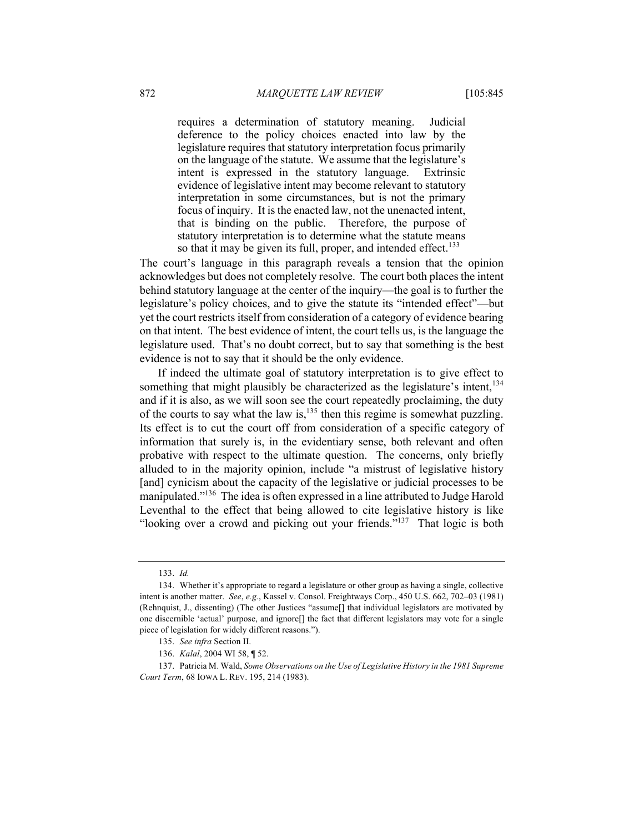requires a determination of statutory meaning. Judicial deference to the policy choices enacted into law by the legislature requires that statutory interpretation focus primarily on the language of the statute. We assume that the legislature's intent is expressed in the statutory language. Extrinsic evidence of legislative intent may become relevant to statutory interpretation in some circumstances, but is not the primary focus of inquiry. It is the enacted law, not the unenacted intent, that is binding on the public. Therefore, the purpose of statutory interpretation is to determine what the statute means so that it may be given its full, proper, and intended effect.<sup>133</sup>

The court's language in this paragraph reveals a tension that the opinion acknowledges but does not completely resolve. The court both places the intent behind statutory language at the center of the inquiry—the goal is to further the legislature's policy choices, and to give the statute its "intended effect"—but yet the court restricts itself from consideration of a category of evidence bearing on that intent. The best evidence of intent, the court tells us, is the language the legislature used. That's no doubt correct, but to say that something is the best evidence is not to say that it should be the only evidence.

If indeed the ultimate goal of statutory interpretation is to give effect to something that might plausibly be characterized as the legislature's intent,  $134$ and if it is also, as we will soon see the court repeatedly proclaiming, the duty of the courts to say what the law is, $^{135}$  then this regime is somewhat puzzling. Its effect is to cut the court off from consideration of a specific category of information that surely is, in the evidentiary sense, both relevant and often probative with respect to the ultimate question. The concerns, only briefly alluded to in the majority opinion, include "a mistrust of legislative history [and] cynicism about the capacity of the legislative or judicial processes to be manipulated."<sup>136</sup> The idea is often expressed in a line attributed to Judge Harold Leventhal to the effect that being allowed to cite legislative history is like "looking over a crowd and picking out your friends."<sup>137</sup> That logic is both

<sup>133.</sup> *Id.*

<sup>134.</sup> Whether it's appropriate to regard a legislature or other group as having a single, collective intent is another matter. *See*, *e.g.*, Kassel v. Consol. Freightways Corp., 450 U.S. 662, 702–03 (1981) (Rehnquist, J., dissenting) (The other Justices "assume[] that individual legislators are motivated by one discernible 'actual' purpose, and ignore[] the fact that different legislators may vote for a single piece of legislation for widely different reasons.").

<sup>135.</sup> *See infra* Section II.

<sup>136.</sup> *Kalal*, 2004 WI 58, ¶ 52.

<sup>137.</sup> Patricia M. Wald, *Some Observations on the Use of Legislative History in the 1981 Supreme Court Term*, 68 IOWA L. REV. 195, 214 (1983).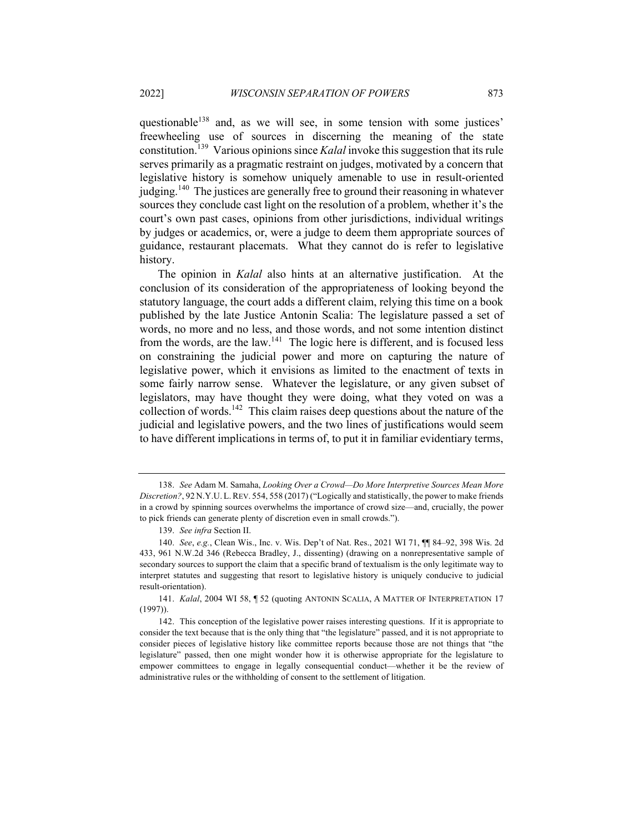questionable<sup>138</sup> and, as we will see, in some tension with some justices' freewheeling use of sources in discerning the meaning of the state constitution.139 Various opinions since *Kalal* invoke this suggestion that its rule serves primarily as a pragmatic restraint on judges, motivated by a concern that legislative history is somehow uniquely amenable to use in result-oriented judging.<sup>140</sup> The justices are generally free to ground their reasoning in whatever sources they conclude cast light on the resolution of a problem, whether it's the court's own past cases, opinions from other jurisdictions, individual writings by judges or academics, or, were a judge to deem them appropriate sources of guidance, restaurant placemats. What they cannot do is refer to legislative history.

The opinion in *Kalal* also hints at an alternative justification. At the conclusion of its consideration of the appropriateness of looking beyond the statutory language, the court adds a different claim, relying this time on a book published by the late Justice Antonin Scalia: The legislature passed a set of words, no more and no less, and those words, and not some intention distinct from the words, are the law.<sup>141</sup> The logic here is different, and is focused less on constraining the judicial power and more on capturing the nature of legislative power, which it envisions as limited to the enactment of texts in some fairly narrow sense. Whatever the legislature, or any given subset of legislators, may have thought they were doing, what they voted on was a collection of words.<sup>142</sup> This claim raises deep questions about the nature of the judicial and legislative powers, and the two lines of justifications would seem to have different implications in terms of, to put it in familiar evidentiary terms,

<sup>138.</sup> *See* Adam M. Samaha, *Looking Over a Crowd—Do More Interpretive Sources Mean More Discretion?*, 92 N.Y.U. L.REV. 554, 558 (2017) ("Logically and statistically, the power to make friends in a crowd by spinning sources overwhelms the importance of crowd size—and, crucially, the power to pick friends can generate plenty of discretion even in small crowds.").

<sup>139.</sup> *See infra* Section II.

<sup>140.</sup> *See*, *e.g.*, Clean Wis., Inc. v. Wis. Dep't of Nat. Res., 2021 WI 71, ¶¶ 84–92, 398 Wis. 2d 433, 961 N.W.2d 346 (Rebecca Bradley, J., dissenting) (drawing on a nonrepresentative sample of secondary sources to support the claim that a specific brand of textualism is the only legitimate way to interpret statutes and suggesting that resort to legislative history is uniquely conducive to judicial result-orientation).

<sup>141.</sup> *Kalal*, 2004 WI 58, ¶ 52 (quoting ANTONIN SCALIA, A MATTER OF INTERPRETATION 17 (1997)).

<sup>142.</sup> This conception of the legislative power raises interesting questions. If it is appropriate to consider the text because that is the only thing that "the legislature" passed, and it is not appropriate to consider pieces of legislative history like committee reports because those are not things that "the legislature" passed, then one might wonder how it is otherwise appropriate for the legislature to empower committees to engage in legally consequential conduct—whether it be the review of administrative rules or the withholding of consent to the settlement of litigation.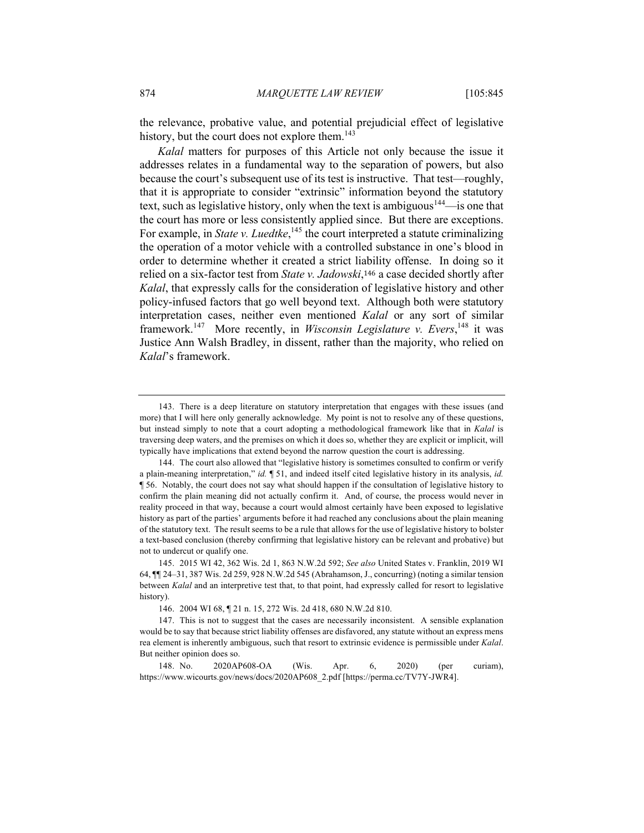the relevance, probative value, and potential prejudicial effect of legislative history, but the court does not explore them.<sup>143</sup>

*Kalal* matters for purposes of this Article not only because the issue it addresses relates in a fundamental way to the separation of powers, but also because the court's subsequent use of its test is instructive. That test—roughly, that it is appropriate to consider "extrinsic" information beyond the statutory text, such as legislative history, only when the text is ambiguous<sup>144</sup>—is one that the court has more or less consistently applied since. But there are exceptions. For example, in *State v. Luedtke*,<sup>145</sup> the court interpreted a statute criminalizing the operation of a motor vehicle with a controlled substance in one's blood in order to determine whether it created a strict liability offense. In doing so it relied on a six-factor test from *State v. Jadowski*,<sup>146</sup> a case decided shortly after *Kalal*, that expressly calls for the consideration of legislative history and other policy-infused factors that go well beyond text. Although both were statutory interpretation cases, neither even mentioned *Kalal* or any sort of similar framework.<sup>147</sup> More recently, in *Wisconsin Legislature v. Evers*,<sup>148</sup> it was Justice Ann Walsh Bradley, in dissent, rather than the majority, who relied on *Kalal*'s framework.

<sup>143.</sup> There is a deep literature on statutory interpretation that engages with these issues (and more) that I will here only generally acknowledge. My point is not to resolve any of these questions, but instead simply to note that a court adopting a methodological framework like that in *Kalal* is traversing deep waters, and the premises on which it does so, whether they are explicit or implicit, will typically have implications that extend beyond the narrow question the court is addressing.

<sup>144.</sup> The court also allowed that "legislative history is sometimes consulted to confirm or verify a plain-meaning interpretation," *id.* ¶ 51, and indeed itself cited legislative history in its analysis, *id.*  ¶ 56. Notably, the court does not say what should happen if the consultation of legislative history to confirm the plain meaning did not actually confirm it. And, of course, the process would never in reality proceed in that way, because a court would almost certainly have been exposed to legislative history as part of the parties' arguments before it had reached any conclusions about the plain meaning of the statutory text. The result seems to be a rule that allows for the use of legislative history to bolster a text-based conclusion (thereby confirming that legislative history can be relevant and probative) but not to undercut or qualify one.

<sup>145.</sup> 2015 WI 42, 362 Wis. 2d 1, 863 N.W.2d 592; *See also* United States v. Franklin, 2019 WI 64, ¶¶ 24–31, 387 Wis. 2d 259, 928 N.W.2d 545 (Abrahamson, J., concurring) (noting a similar tension between *Kalal* and an interpretive test that, to that point, had expressly called for resort to legislative history).

<sup>146.</sup> 2004 WI 68, ¶ 21 n. 15, 272 Wis. 2d 418, 680 N.W.2d 810.

<sup>147.</sup> This is not to suggest that the cases are necessarily inconsistent. A sensible explanation would be to say that because strict liability offenses are disfavored, any statute without an express mens rea element is inherently ambiguous, such that resort to extrinsic evidence is permissible under *Kalal*. But neither opinion does so.

<sup>148.</sup> No. 2020AP608-OA (Wis. Apr. 6, 2020) (per curiam), https://www.wicourts.gov/news/docs/2020AP608\_2.pdf [https://perma.cc/TV7Y-JWR4].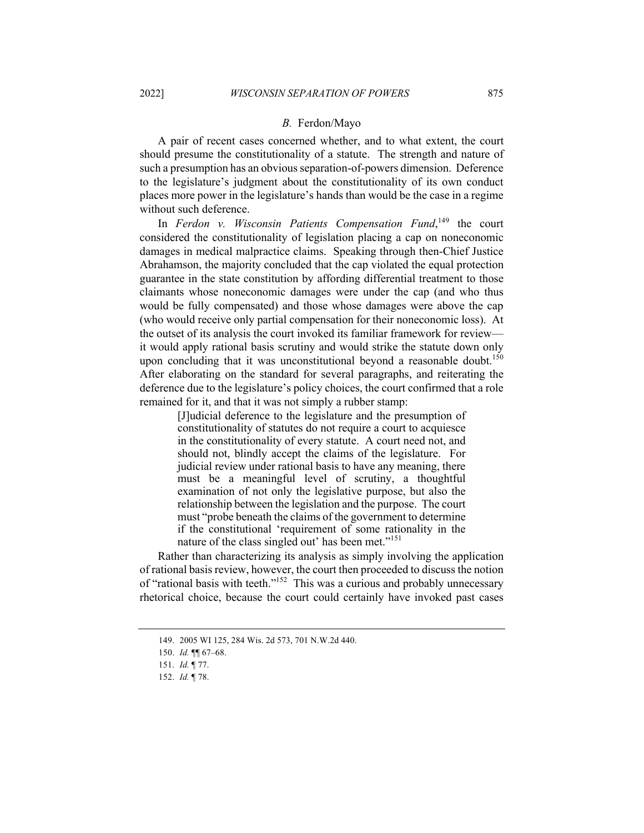#### *B.* Ferdon/Mayo

A pair of recent cases concerned whether, and to what extent, the court should presume the constitutionality of a statute. The strength and nature of such a presumption has an obvious separation-of-powers dimension. Deference to the legislature's judgment about the constitutionality of its own conduct places more power in the legislature's hands than would be the case in a regime without such deference.

In *Ferdon v. Wisconsin Patients Compensation Fund*,<sup>149</sup> the court considered the constitutionality of legislation placing a cap on noneconomic damages in medical malpractice claims. Speaking through then-Chief Justice Abrahamson, the majority concluded that the cap violated the equal protection guarantee in the state constitution by affording differential treatment to those claimants whose noneconomic damages were under the cap (and who thus would be fully compensated) and those whose damages were above the cap (who would receive only partial compensation for their noneconomic loss). At the outset of its analysis the court invoked its familiar framework for review it would apply rational basis scrutiny and would strike the statute down only upon concluding that it was unconstitutional beyond a reasonable doubt.<sup>150</sup> After elaborating on the standard for several paragraphs, and reiterating the deference due to the legislature's policy choices, the court confirmed that a role remained for it, and that it was not simply a rubber stamp:

> [J]udicial deference to the legislature and the presumption of constitutionality of statutes do not require a court to acquiesce in the constitutionality of every statute. A court need not, and should not, blindly accept the claims of the legislature. For judicial review under rational basis to have any meaning, there must be a meaningful level of scrutiny, a thoughtful examination of not only the legislative purpose, but also the relationship between the legislation and the purpose. The court must "probe beneath the claims of the government to determine if the constitutional 'requirement of some rationality in the nature of the class singled out' has been met."<sup>151</sup>

Rather than characterizing its analysis as simply involving the application of rational basis review, however, the court then proceeded to discuss the notion of "rational basis with teeth."152 This was a curious and probably unnecessary rhetorical choice, because the court could certainly have invoked past cases

<sup>149.</sup> 2005 WI 125, 284 Wis. 2d 573, 701 N.W.2d 440.

<sup>150.</sup> *Id.* ¶¶ 67–68.

<sup>151.</sup> *Id.* ¶ 77.

<sup>152.</sup> *Id.* ¶ 78.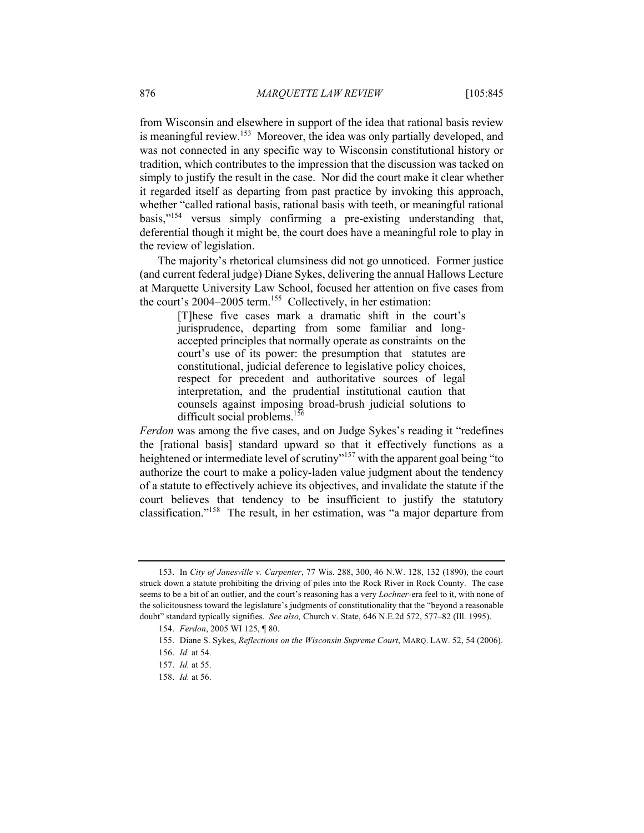from Wisconsin and elsewhere in support of the idea that rational basis review is meaningful review.<sup>153</sup> Moreover, the idea was only partially developed, and was not connected in any specific way to Wisconsin constitutional history or tradition, which contributes to the impression that the discussion was tacked on simply to justify the result in the case. Nor did the court make it clear whether it regarded itself as departing from past practice by invoking this approach, whether "called rational basis, rational basis with teeth, or meaningful rational basis,"154 versus simply confirming a pre-existing understanding that, deferential though it might be, the court does have a meaningful role to play in the review of legislation.

The majority's rhetorical clumsiness did not go unnoticed. Former justice (and current federal judge) Diane Sykes, delivering the annual Hallows Lecture at Marquette University Law School, focused her attention on five cases from the court's 2004–2005 term.<sup>155</sup> Collectively, in her estimation:

[T]hese five cases mark a dramatic shift in the court's jurisprudence, departing from some familiar and longaccepted principles that normally operate as constraints on the court's use of its power: the presumption that statutes are constitutional, judicial deference to legislative policy choices, respect for precedent and authoritative sources of legal interpretation, and the prudential institutional caution that counsels against imposing broad-brush judicial solutions to difficult social problems.<sup>156</sup>

*Ferdon* was among the five cases, and on Judge Sykes's reading it "redefines the [rational basis] standard upward so that it effectively functions as a heightened or intermediate level of scrutiny"<sup>157</sup> with the apparent goal being "to authorize the court to make a policy-laden value judgment about the tendency of a statute to effectively achieve its objectives, and invalidate the statute if the court believes that tendency to be insufficient to justify the statutory classification."<sup>158</sup> The result, in her estimation, was "a major departure from

<sup>153.</sup> In *City of Janesville v. Carpenter*, 77 Wis. 288, 300, 46 N.W. 128, 132 (1890), the court struck down a statute prohibiting the driving of piles into the Rock River in Rock County. The case seems to be a bit of an outlier, and the court's reasoning has a very *Lochner*-era feel to it, with none of the solicitousness toward the legislature's judgments of constitutionality that the "beyond a reasonable doubt" standard typically signifies. *See also,* Church v. State, 646 N.E.2d 572, 577–82 (Ill. 1995).

<sup>154.</sup> *Ferdon*, 2005 WI 125, ¶ 80.

<sup>155.</sup> Diane S. Sykes, *Reflections on the Wisconsin Supreme Court*, MARQ. LAW. 52, 54 (2006).

<sup>156.</sup> *Id.* at 54.

<sup>157.</sup> *Id.* at 55.

<sup>158.</sup> *Id.* at 56.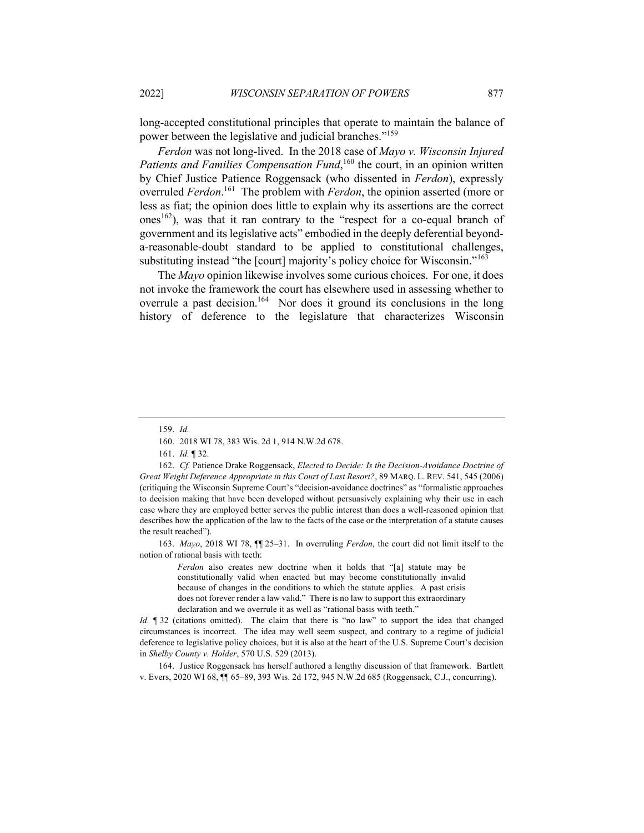long-accepted constitutional principles that operate to maintain the balance of power between the legislative and judicial branches."<sup>159</sup>

*Ferdon* was not long-lived. In the 2018 case of *Mayo v. Wisconsin Injured*  Patients and Families Compensation Fund,<sup>160</sup> the court, in an opinion written by Chief Justice Patience Roggensack (who dissented in *Ferdon*), expressly overruled *Ferdon*. <sup>161</sup> The problem with *Ferdon*, the opinion asserted (more or less as fiat; the opinion does little to explain why its assertions are the correct ones<sup>162</sup>), was that it ran contrary to the "respect for a co-equal branch of government and its legislative acts" embodied in the deeply deferential beyonda-reasonable-doubt standard to be applied to constitutional challenges, substituting instead "the [court] majority's policy choice for Wisconsin."<sup>163</sup>

The *Mayo* opinion likewise involves some curious choices. For one, it does not invoke the framework the court has elsewhere used in assessing whether to overrule a past decision.<sup>164</sup> Nor does it ground its conclusions in the long history of deference to the legislature that characterizes Wisconsin

163. *Mayo*, 2018 WI 78, ¶¶ 25–31. In overruling *Ferdon*, the court did not limit itself to the notion of rational basis with teeth:

> *Ferdon* also creates new doctrine when it holds that "[a] statute may be constitutionally valid when enacted but may become constitutionally invalid because of changes in the conditions to which the statute applies. A past crisis does not forever render a law valid." There is no law to support this extraordinary declaration and we overrule it as well as "rational basis with teeth."

*Id.* **[32** (citations omitted). The claim that there is "no law" to support the idea that changed circumstances is incorrect. The idea may well seem suspect, and contrary to a regime of judicial deference to legislative policy choices, but it is also at the heart of the U.S. Supreme Court's decision in *Shelby County v. Holder*, 570 U.S. 529 (2013).

164. Justice Roggensack has herself authored a lengthy discussion of that framework. Bartlett v. Evers, 2020 WI 68, ¶¶ 65–89, 393 Wis. 2d 172, 945 N.W.2d 685 (Roggensack, C.J., concurring).

<sup>159.</sup> *Id.*

<sup>160.</sup> 2018 WI 78, 383 Wis. 2d 1, 914 N.W.2d 678.

<sup>161.</sup> *Id.* ¶ 32.

<sup>162.</sup> *Cf.* Patience Drake Roggensack, *Elected to Decide: Is the Decision-Avoidance Doctrine of Great Weight Deference Appropriate in this Court of Last Resort?*, 89 MARQ. L. REV. 541, 545 (2006) (critiquing the Wisconsin Supreme Court's "decision-avoidance doctrines" as "formalistic approaches to decision making that have been developed without persuasively explaining why their use in each case where they are employed better serves the public interest than does a well-reasoned opinion that describes how the application of the law to the facts of the case or the interpretation of a statute causes the result reached").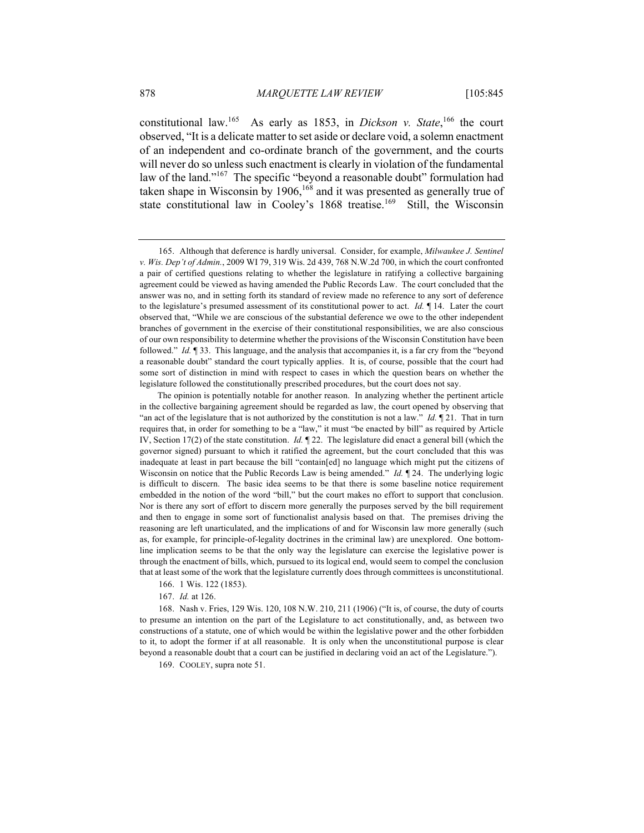constitutional law.<sup>165</sup> As early as 1853, in *Dickson v. State*, <sup>166</sup> the court observed, "It is a delicate matter to set aside or declare void, a solemn enactment of an independent and co-ordinate branch of the government, and the courts will never do so unless such enactment is clearly in violation of the fundamental law of the land."<sup>167</sup> The specific "beyond a reasonable doubt" formulation had taken shape in Wisconsin by 1906,  $168$  and it was presented as generally true of state constitutional law in Cooley's 1868 treatise.<sup>169</sup> Still, the Wisconsin

166. 1 Wis. 122 (1853).

167. *Id.* at 126.

168. Nash v. Fries, 129 Wis. 120, 108 N.W. 210, 211 (1906) ("It is, of course, the duty of courts to presume an intention on the part of the Legislature to act constitutionally, and, as between two constructions of a statute, one of which would be within the legislative power and the other forbidden to it, to adopt the former if at all reasonable. It is only when the unconstitutional purpose is clear beyond a reasonable doubt that a court can be justified in declaring void an act of the Legislature.").

169. COOLEY, supra note 51.

<sup>165.</sup> Although that deference is hardly universal. Consider, for example, *Milwaukee J. Sentinel v. Wis. Dep't of Admin.*, 2009 WI 79, 319 Wis. 2d 439, 768 N.W.2d 700, in which the court confronted a pair of certified questions relating to whether the legislature in ratifying a collective bargaining agreement could be viewed as having amended the Public Records Law. The court concluded that the answer was no, and in setting forth its standard of review made no reference to any sort of deference to the legislature's presumed assessment of its constitutional power to act. *Id.* ¶ 14. Later the court observed that, "While we are conscious of the substantial deference we owe to the other independent branches of government in the exercise of their constitutional responsibilities, we are also conscious of our own responsibility to determine whether the provisions of the Wisconsin Constitution have been followed." *Id.* ¶ 33. This language, and the analysis that accompanies it, is a far cry from the "beyond a reasonable doubt" standard the court typically applies. It is, of course, possible that the court had some sort of distinction in mind with respect to cases in which the question bears on whether the legislature followed the constitutionally prescribed procedures, but the court does not say.

The opinion is potentially notable for another reason. In analyzing whether the pertinent article in the collective bargaining agreement should be regarded as law, the court opened by observing that "an act of the legislature that is not authorized by the constitution is not a law." *Id.* ¶ 21. That in turn requires that, in order for something to be a "law," it must "be enacted by bill" as required by Article IV, Section 17(2) of the state constitution. *Id.* ¶ 22. The legislature did enact a general bill (which the governor signed) pursuant to which it ratified the agreement, but the court concluded that this was inadequate at least in part because the bill "contain[ed] no language which might put the citizens of Wisconsin on notice that the Public Records Law is being amended." *Id.* 124. The underlying logic is difficult to discern. The basic idea seems to be that there is some baseline notice requirement embedded in the notion of the word "bill," but the court makes no effort to support that conclusion. Nor is there any sort of effort to discern more generally the purposes served by the bill requirement and then to engage in some sort of functionalist analysis based on that. The premises driving the reasoning are left unarticulated, and the implications of and for Wisconsin law more generally (such as, for example, for principle-of-legality doctrines in the criminal law) are unexplored. One bottomline implication seems to be that the only way the legislature can exercise the legislative power is through the enactment of bills, which, pursued to its logical end, would seem to compel the conclusion that at least some of the work that the legislature currently does through committees is unconstitutional.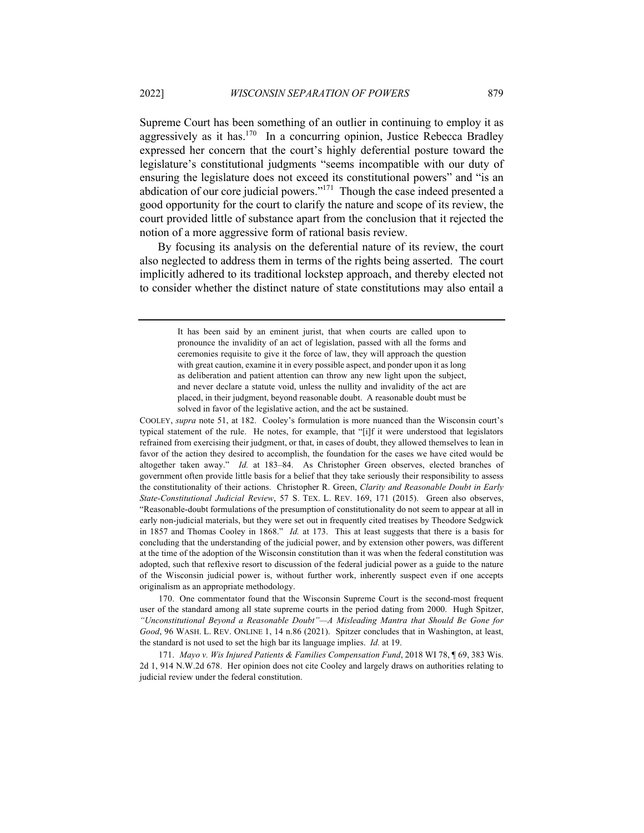Supreme Court has been something of an outlier in continuing to employ it as aggressively as it has.<sup>170</sup> In a concurring opinion, Justice Rebecca Bradley expressed her concern that the court's highly deferential posture toward the legislature's constitutional judgments "seems incompatible with our duty of ensuring the legislature does not exceed its constitutional powers" and "is an abdication of our core judicial powers." $171$  Though the case indeed presented a good opportunity for the court to clarify the nature and scope of its review, the court provided little of substance apart from the conclusion that it rejected the notion of a more aggressive form of rational basis review.

By focusing its analysis on the deferential nature of its review, the court also neglected to address them in terms of the rights being asserted. The court implicitly adhered to its traditional lockstep approach, and thereby elected not to consider whether the distinct nature of state constitutions may also entail a

COOLEY, *supra* note 51, at 182. Cooley's formulation is more nuanced than the Wisconsin court's typical statement of the rule. He notes, for example, that "[i]f it were understood that legislators refrained from exercising their judgment, or that, in cases of doubt, they allowed themselves to lean in favor of the action they desired to accomplish, the foundation for the cases we have cited would be altogether taken away." *Id.* at 183–84. As Christopher Green observes, elected branches of government often provide little basis for a belief that they take seriously their responsibility to assess the constitutionality of their actions. Christopher R. Green, *Clarity and Reasonable Doubt in Early State-Constitutional Judicial Review*, 57 S. TEX. L. REV. 169, 171 (2015). Green also observes, "Reasonable-doubt formulations of the presumption of constitutionality do not seem to appear at all in early non-judicial materials, but they were set out in frequently cited treatises by Theodore Sedgwick in 1857 and Thomas Cooley in 1868." *Id.* at 173. This at least suggests that there is a basis for concluding that the understanding of the judicial power, and by extension other powers, was different at the time of the adoption of the Wisconsin constitution than it was when the federal constitution was adopted, such that reflexive resort to discussion of the federal judicial power as a guide to the nature of the Wisconsin judicial power is, without further work, inherently suspect even if one accepts originalism as an appropriate methodology.

170. One commentator found that the Wisconsin Supreme Court is the second-most frequent user of the standard among all state supreme courts in the period dating from 2000. Hugh Spitzer, *"Unconstitutional Beyond a Reasonable Doubt"—A Misleading Mantra that Should Be Gone for Good*, 96 WASH. L. REV. ONLINE 1, 14 n.86 (2021). Spitzer concludes that in Washington, at least, the standard is not used to set the high bar its language implies. *Id.* at 19.

171. *Mayo v. Wis Injured Patients & Families Compensation Fund*, 2018 WI 78, ¶ 69, 383 Wis. 2d 1, 914 N.W.2d 678. Her opinion does not cite Cooley and largely draws on authorities relating to judicial review under the federal constitution.

It has been said by an eminent jurist, that when courts are called upon to pronounce the invalidity of an act of legislation, passed with all the forms and ceremonies requisite to give it the force of law, they will approach the question with great caution, examine it in every possible aspect, and ponder upon it as long as deliberation and patient attention can throw any new light upon the subject, and never declare a statute void, unless the nullity and invalidity of the act are placed, in their judgment, beyond reasonable doubt. A reasonable doubt must be solved in favor of the legislative action, and the act be sustained.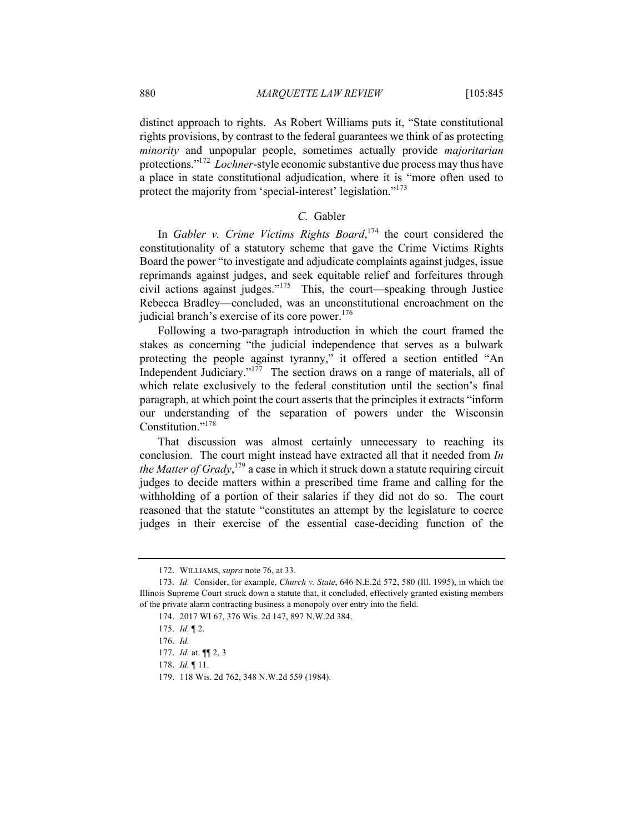distinct approach to rights. As Robert Williams puts it, "State constitutional rights provisions, by contrast to the federal guarantees we think of as protecting *minority* and unpopular people, sometimes actually provide *majoritarian* protections."172 *Lochner*-style economic substantive due process may thus have a place in state constitutional adjudication, where it is "more often used to protect the majority from 'special-interest' legislation."<sup>173</sup>

# *C.* Gabler

In *Gabler v. Crime Victims Rights Board*,<sup>174</sup> the court considered the constitutionality of a statutory scheme that gave the Crime Victims Rights Board the power "to investigate and adjudicate complaints against judges, issue reprimands against judges, and seek equitable relief and forfeitures through civil actions against judges." $175$  This, the court—speaking through Justice Rebecca Bradley—concluded, was an unconstitutional encroachment on the judicial branch's exercise of its core power.<sup>176</sup>

Following a two-paragraph introduction in which the court framed the stakes as concerning "the judicial independence that serves as a bulwark protecting the people against tyranny," it offered a section entitled "An Independent Judiciary."<sup>177</sup> The section draws on a range of materials, all of which relate exclusively to the federal constitution until the section's final paragraph, at which point the court asserts that the principles it extracts "inform our understanding of the separation of powers under the Wisconsin Constitution."<sup>178</sup>

That discussion was almost certainly unnecessary to reaching its conclusion. The court might instead have extracted all that it needed from *In the Matter of Grady*, <sup>179</sup> a case in which it struck down a statute requiring circuit judges to decide matters within a prescribed time frame and calling for the withholding of a portion of their salaries if they did not do so. The court reasoned that the statute "constitutes an attempt by the legislature to coerce judges in their exercise of the essential case-deciding function of the

<sup>172.</sup> WILLIAMS, *supra* note 76, at 33.

<sup>173.</sup> *Id.* Consider, for example, *Church v. State*, 646 N.E.2d 572, 580 (Ill. 1995), in which the Illinois Supreme Court struck down a statute that, it concluded, effectively granted existing members of the private alarm contracting business a monopoly over entry into the field.

<sup>174.</sup> 2017 WI 67, 376 Wis. 2d 147, 897 N.W.2d 384.

<sup>175.</sup> *Id.* ¶ 2.

<sup>176.</sup> *Id.*

<sup>177.</sup> *Id.* at. ¶¶ 2, 3

<sup>178.</sup> *Id.* ¶ 11.

<sup>179.</sup> 118 Wis. 2d 762, 348 N.W.2d 559 (1984).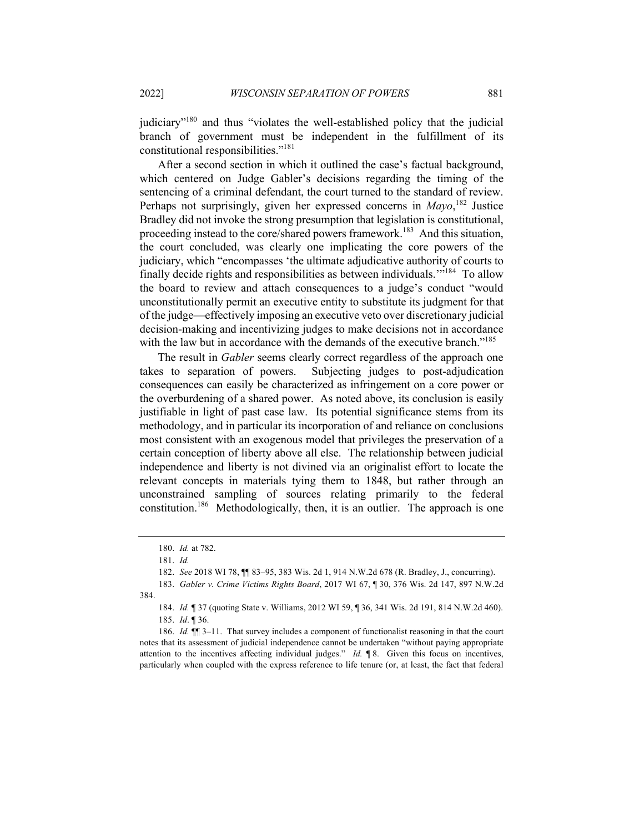judiciary"180 and thus "violates the well-established policy that the judicial branch of government must be independent in the fulfillment of its constitutional responsibilities."181

After a second section in which it outlined the case's factual background, which centered on Judge Gabler's decisions regarding the timing of the sentencing of a criminal defendant, the court turned to the standard of review. Perhaps not surprisingly, given her expressed concerns in *Mayo*,<sup>182</sup> Justice Bradley did not invoke the strong presumption that legislation is constitutional, proceeding instead to the core/shared powers framework.<sup>183</sup> And this situation, the court concluded, was clearly one implicating the core powers of the judiciary, which "encompasses 'the ultimate adjudicative authority of courts to finally decide rights and responsibilities as between individuals.'"<sup>184</sup> To allow the board to review and attach consequences to a judge's conduct "would unconstitutionally permit an executive entity to substitute its judgment for that of the judge—effectively imposing an executive veto over discretionary judicial decision-making and incentivizing judges to make decisions not in accordance with the law but in accordance with the demands of the executive branch."<sup>185</sup>

The result in *Gabler* seems clearly correct regardless of the approach one takes to separation of powers. Subjecting judges to post-adjudication consequences can easily be characterized as infringement on a core power or the overburdening of a shared power. As noted above, its conclusion is easily justifiable in light of past case law. Its potential significance stems from its methodology, and in particular its incorporation of and reliance on conclusions most consistent with an exogenous model that privileges the preservation of a certain conception of liberty above all else. The relationship between judicial independence and liberty is not divined via an originalist effort to locate the relevant concepts in materials tying them to 1848, but rather through an unconstrained sampling of sources relating primarily to the federal constitution.<sup>186</sup> Methodologically, then, it is an outlier. The approach is one

<sup>180.</sup> *Id.* at 782.

<sup>181.</sup> *Id.*

<sup>182.</sup> *See* 2018 WI 78, ¶¶ 83–95, 383 Wis. 2d 1, 914 N.W.2d 678 (R. Bradley, J., concurring).

<sup>183.</sup> *Gabler v. Crime Victims Rights Board*, 2017 WI 67, ¶ 30, 376 Wis. 2d 147, 897 N.W.2d 384.

<sup>184.</sup> *Id.* ¶ 37 (quoting State v. Williams, 2012 WI 59, ¶ 36, 341 Wis. 2d 191, 814 N.W.2d 460). 185. *Id*. ¶ 36.

<sup>186.</sup> *Id.* ¶¶ 3–11. That survey includes a component of functionalist reasoning in that the court notes that its assessment of judicial independence cannot be undertaken "without paying appropriate attention to the incentives affecting individual judges." *Id.* ¶ 8. Given this focus on incentives, particularly when coupled with the express reference to life tenure (or, at least, the fact that federal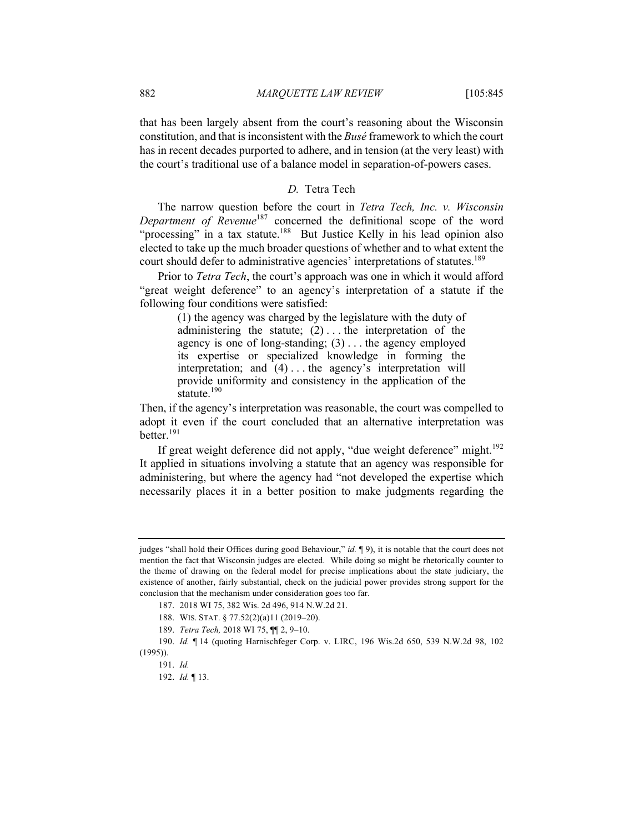that has been largely absent from the court's reasoning about the Wisconsin constitution, and that is inconsistent with the *Busé* framework to which the court has in recent decades purported to adhere, and in tension (at the very least) with the court's traditional use of a balance model in separation-of-powers cases.

# *D.* Tetra Tech

The narrow question before the court in *Tetra Tech, Inc. v. Wisconsin Department of Revenue*<sup>187</sup> concerned the definitional scope of the word "processing" in a tax statute.<sup>188</sup> But Justice Kelly in his lead opinion also elected to take up the much broader questions of whether and to what extent the court should defer to administrative agencies' interpretations of statutes.<sup>189</sup>

Prior to *Tetra Tech*, the court's approach was one in which it would afford "great weight deference" to an agency's interpretation of a statute if the following four conditions were satisfied:

> (1) the agency was charged by the legislature with the duty of administering the statute;  $(2)$ ... the interpretation of the agency is one of long-standing;  $(3)$ ... the agency employed its expertise or specialized knowledge in forming the interpretation; and (4) . . . the agency's interpretation will provide uniformity and consistency in the application of the statute. $190$

Then, if the agency's interpretation was reasonable, the court was compelled to adopt it even if the court concluded that an alternative interpretation was better.<sup>191</sup>

If great weight deference did not apply, "due weight deference" might. $192$ It applied in situations involving a statute that an agency was responsible for administering, but where the agency had "not developed the expertise which necessarily places it in a better position to make judgments regarding the

judges "shall hold their Offices during good Behaviour," *id.* ¶ 9), it is notable that the court does not mention the fact that Wisconsin judges are elected. While doing so might be rhetorically counter to the theme of drawing on the federal model for precise implications about the state judiciary, the existence of another, fairly substantial, check on the judicial power provides strong support for the conclusion that the mechanism under consideration goes too far.

<sup>187.</sup> 2018 WI 75, 382 Wis. 2d 496, 914 N.W.2d 21.

<sup>188.</sup> WIS. STAT. § 77.52(2)(a)11 (2019–20).

<sup>189.</sup> *Tetra Tech,* 2018 WI 75, ¶¶ 2, 9–10.

<sup>190.</sup> *Id.* ¶ 14 (quoting Harnischfeger Corp. v. LIRC, 196 Wis.2d 650, 539 N.W.2d 98, 102 (1995)).

<sup>191.</sup> *Id.*

<sup>192.</sup> *Id.* ¶ 13.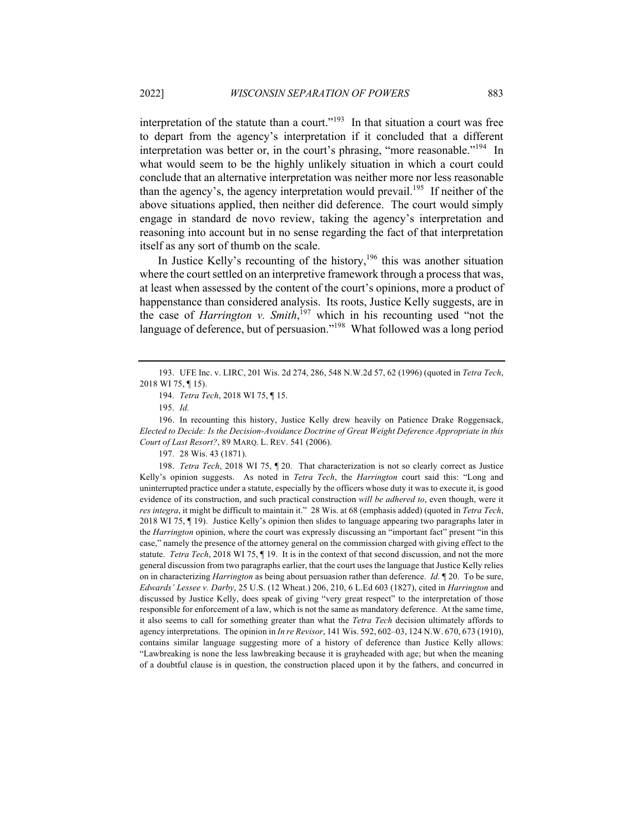interpretation of the statute than a court."<sup>193</sup> In that situation a court was free to depart from the agency's interpretation if it concluded that a different interpretation was better or, in the court's phrasing, "more reasonable."<sup>194</sup> In what would seem to be the highly unlikely situation in which a court could conclude that an alternative interpretation was neither more nor less reasonable than the agency's, the agency interpretation would prevail.<sup>195</sup> If neither of the above situations applied, then neither did deference. The court would simply engage in standard de novo review, taking the agency's interpretation and reasoning into account but in no sense regarding the fact of that interpretation itself as any sort of thumb on the scale.

In Justice Kelly's recounting of the history, $196$  this was another situation where the court settled on an interpretive framework through a process that was, at least when assessed by the content of the court's opinions, more a product of happenstance than considered analysis. Its roots, Justice Kelly suggests, are in the case of *Harrington v. Smith*, <sup>197</sup> which in his recounting used "not the language of deference, but of persuasion."<sup>198</sup> What followed was a long period

196. In recounting this history, Justice Kelly drew heavily on Patience Drake Roggensack, *Elected to Decide: Is the Decision-Avoidance Doctrine of Great Weight Deference Appropriate in this Court of Last Resort?*, 89 MARQ. L. REV. 541 (2006).

197. 28 Wis. 43 (1871).

198. *Tetra Tech*, 2018 WI 75, ¶ 20. That characterization is not so clearly correct as Justice Kelly's opinion suggests. As noted in *Tetra Tech*, the *Harrington* court said this: "Long and uninterrupted practice under a statute, especially by the officers whose duty it was to execute it, is good evidence of its construction, and such practical construction *will be adhered to*, even though, were it *res integra*, it might be difficult to maintain it." 28 Wis. at 68 (emphasis added) (quoted in *Tetra Tech*, 2018 WI 75, ¶ 19). Justice Kelly's opinion then slides to language appearing two paragraphs later in the *Harrington* opinion, where the court was expressly discussing an "important fact" present "in this case," namely the presence of the attorney general on the commission charged with giving effect to the statute. *Tetra Tech*, 2018 WI 75, ¶ 19. It is in the context of that second discussion, and not the more general discussion from two paragraphs earlier, that the court uses the language that Justice Kelly relies on in characterizing *Harrington* as being about persuasion rather than deference. *Id.* ¶ 20. To be sure, *Edwards' Lessee v. Darby*, 25 U.S. (12 Wheat.) 206, 210, 6 L.Ed 603 (1827), cited in *Harrington* and discussed by Justice Kelly, does speak of giving "very great respect" to the interpretation of those responsible for enforcement of a law, which is not the same as mandatory deference. At the same time, it also seems to call for something greater than what the *Tetra Tech* decision ultimately affords to agency interpretations. The opinion in *In re Revisor*, 141 Wis. 592, 602–03, 124 N.W. 670, 673 (1910), contains similar language suggesting more of a history of deference than Justice Kelly allows: "Lawbreaking is none the less lawbreaking because it is grayheaded with age; but when the meaning of a doubtful clause is in question, the construction placed upon it by the fathers, and concurred in

<sup>193.</sup> UFE Inc. v. LIRC, 201 Wis. 2d 274, 286, 548 N.W.2d 57, 62 (1996) (quoted in *Tetra Tech*, 2018 WI 75, ¶ 15).

<sup>194.</sup> *Tetra Tech*, 2018 WI 75, ¶ 15.

<sup>195.</sup> *Id.*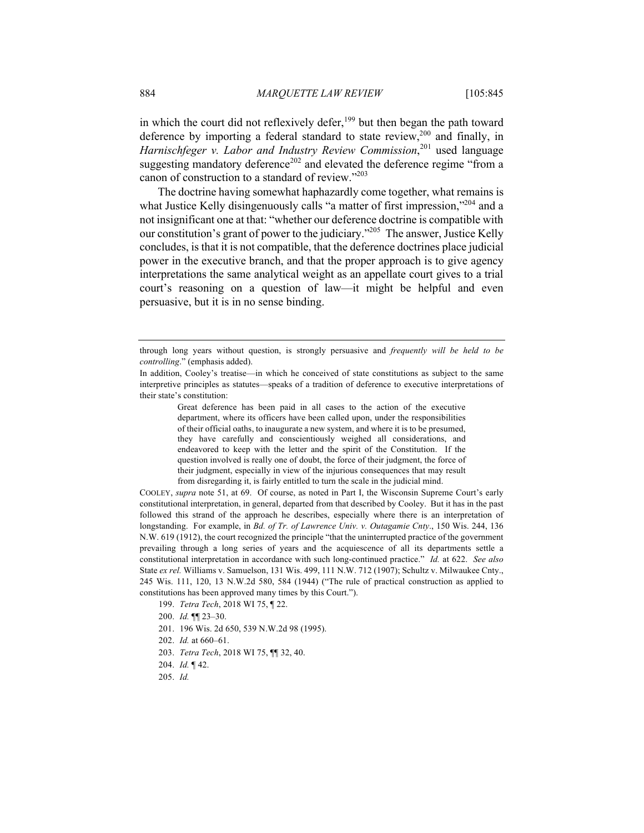in which the court did not reflexively defer, $199$  but then began the path toward deference by importing a federal standard to state review,  $200$  and finally, in *Harnischfeger v. Labor and Industry Review Commission*, <sup>201</sup> used language suggesting mandatory deference<sup>202</sup> and elevated the deference regime "from a canon of construction to a standard of review."<sup>203</sup>

The doctrine having somewhat haphazardly come together, what remains is what Justice Kelly disingenuously calls "a matter of first impression,"<sup>204</sup> and a not insignificant one at that: "whether our deference doctrine is compatible with our constitution's grant of power to the judiciary."<sup>205</sup> The answer, Justice Kelly concludes, is that it is not compatible, that the deference doctrines place judicial power in the executive branch, and that the proper approach is to give agency interpretations the same analytical weight as an appellate court gives to a trial court's reasoning on a question of law—it might be helpful and even persuasive, but it is in no sense binding.

Great deference has been paid in all cases to the action of the executive department, where its officers have been called upon, under the responsibilities of their official oaths, to inaugurate a new system, and where it is to be presumed, they have carefully and conscientiously weighed all considerations, and endeavored to keep with the letter and the spirit of the Constitution. If the question involved is really one of doubt, the force of their judgment, the force of their judgment, especially in view of the injurious consequences that may result from disregarding it, is fairly entitled to turn the scale in the judicial mind.

COOLEY, *supra* note 51, at 69. Of course, as noted in Part I, the Wisconsin Supreme Court's early constitutional interpretation, in general, departed from that described by Cooley. But it has in the past followed this strand of the approach he describes, especially where there is an interpretation of longstanding. For example, in *Bd. of Tr. of Lawrence Univ. v. Outagamie Cnty*., 150 Wis. 244, 136 N.W. 619 (1912), the court recognized the principle "that the uninterrupted practice of the government prevailing through a long series of years and the acquiescence of all its departments settle a constitutional interpretation in accordance with such long-continued practice." *Id.* at 622. *See also* State *ex rel.* Williams v. Samuelson, 131 Wis. 499, 111 N.W. 712 (1907); Schultz v. Milwaukee Cnty., 245 Wis. 111, 120, 13 N.W.2d 580, 584 (1944) ("The rule of practical construction as applied to constitutions has been approved many times by this Court.").

199. *Tetra Tech*, 2018 WI 75, ¶ 22.

- 200. *Id.* ¶¶ 23–30.
- 201. 196 Wis. 2d 650, 539 N.W.2d 98 (1995).
- 202. *Id.* at 660–61.
- 203. *Tetra Tech*, 2018 WI 75, ¶¶ 32, 40.
- 204. *Id.* ¶ 42.
- 205. *Id.*

through long years without question, is strongly persuasive and *frequently will be held to be controlling*." (emphasis added).

In addition, Cooley's treatise—in which he conceived of state constitutions as subject to the same interpretive principles as statutes—speaks of a tradition of deference to executive interpretations of their state's constitution: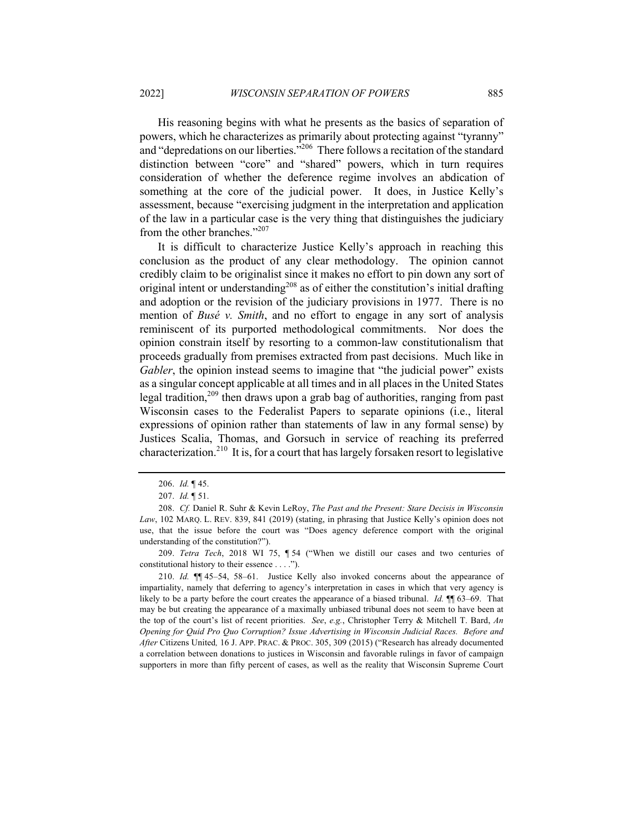His reasoning begins with what he presents as the basics of separation of powers, which he characterizes as primarily about protecting against "tyranny" and "depredations on our liberties."<sup>206</sup> There follows a recitation of the standard distinction between "core" and "shared" powers, which in turn requires consideration of whether the deference regime involves an abdication of something at the core of the judicial power. It does, in Justice Kelly's assessment, because "exercising judgment in the interpretation and application of the law in a particular case is the very thing that distinguishes the judiciary from the other branches."207

It is difficult to characterize Justice Kelly's approach in reaching this conclusion as the product of any clear methodology. The opinion cannot credibly claim to be originalist since it makes no effort to pin down any sort of original intent or understanding<sup>208</sup> as of either the constitution's initial drafting and adoption or the revision of the judiciary provisions in 1977. There is no mention of *Busé v. Smith*, and no effort to engage in any sort of analysis reminiscent of its purported methodological commitments. Nor does the opinion constrain itself by resorting to a common-law constitutionalism that proceeds gradually from premises extracted from past decisions. Much like in *Gabler*, the opinion instead seems to imagine that "the judicial power" exists as a singular concept applicable at all times and in all places in the United States legal tradition,<sup>209</sup> then draws upon a grab bag of authorities, ranging from past Wisconsin cases to the Federalist Papers to separate opinions (i.e., literal expressions of opinion rather than statements of law in any formal sense) by Justices Scalia, Thomas, and Gorsuch in service of reaching its preferred characterization.<sup>210</sup> It is, for a court that has largely forsaken resort to legislative

209. *Tetra Tech*, 2018 WI 75, ¶ 54 ("When we distill our cases and two centuries of constitutional history to their essence . . . .").

210. *Id.* ¶¶ 45–54, 58–61. Justice Kelly also invoked concerns about the appearance of impartiality, namely that deferring to agency's interpretation in cases in which that very agency is likely to be a party before the court creates the appearance of a biased tribunal. *Id.* ¶¶ 63–69. That may be but creating the appearance of a maximally unbiased tribunal does not seem to have been at the top of the court's list of recent priorities. *See*, *e.g.*, Christopher Terry & Mitchell T. Bard, *An Opening for Quid Pro Quo Corruption? Issue Advertising in Wisconsin Judicial Races. Before and After* Citizens United*,* 16 J. APP. PRAC. & PROC. 305, 309 (2015) ("Research has already documented a correlation between donations to justices in Wisconsin and favorable rulings in favor of campaign supporters in more than fifty percent of cases, as well as the reality that Wisconsin Supreme Court

<sup>206.</sup> *Id.* ¶ 45.

<sup>207.</sup> *Id.* ¶ 51.

<sup>208.</sup> *Cf.* Daniel R. Suhr & Kevin LeRoy, *The Past and the Present: Stare Decisis in Wisconsin Law*, 102 MARQ. L. REV. 839, 841 (2019) (stating, in phrasing that Justice Kelly's opinion does not use, that the issue before the court was "Does agency deference comport with the original understanding of the constitution?").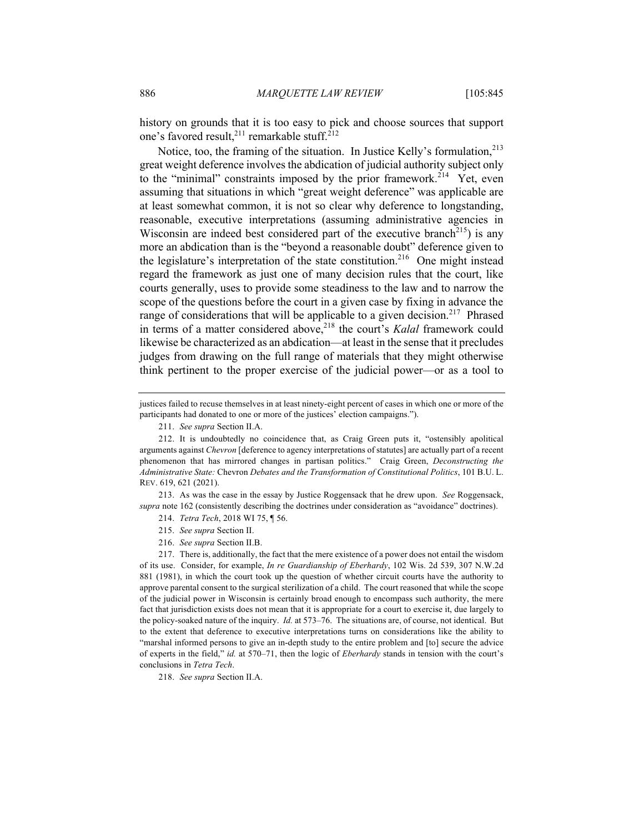history on grounds that it is too easy to pick and choose sources that support one's favored result,<sup>211</sup> remarkable stuff.<sup>212</sup>

Notice, too, the framing of the situation. In Justice Kelly's formulation,<sup>213</sup> great weight deference involves the abdication of judicial authority subject only to the "minimal" constraints imposed by the prior framework.<sup>214</sup> Yet, even assuming that situations in which "great weight deference" was applicable are at least somewhat common, it is not so clear why deference to longstanding, reasonable, executive interpretations (assuming administrative agencies in Wisconsin are indeed best considered part of the executive branch<sup>215</sup>) is any more an abdication than is the "beyond a reasonable doubt" deference given to the legislature's interpretation of the state constitution.<sup>216</sup> One might instead regard the framework as just one of many decision rules that the court, like courts generally, uses to provide some steadiness to the law and to narrow the scope of the questions before the court in a given case by fixing in advance the range of considerations that will be applicable to a given decision.<sup>217</sup> Phrased in terms of a matter considered above,<sup>218</sup> the court's *Kalal* framework could likewise be characterized as an abdication—at least in the sense that it precludes judges from drawing on the full range of materials that they might otherwise think pertinent to the proper exercise of the judicial power—or as a tool to

213. As was the case in the essay by Justice Roggensack that he drew upon. *See* Roggensack, *supra* note 162 (consistently describing the doctrines under consideration as "avoidance" doctrines).

214. *Tetra Tech*, 2018 WI 75, ¶ 56.

217. There is, additionally, the fact that the mere existence of a power does not entail the wisdom of its use. Consider, for example, *In re Guardianship of Eberhardy*, 102 Wis. 2d 539, 307 N.W.2d 881 (1981), in which the court took up the question of whether circuit courts have the authority to approve parental consent to the surgical sterilization of a child. The court reasoned that while the scope of the judicial power in Wisconsin is certainly broad enough to encompass such authority, the mere fact that jurisdiction exists does not mean that it is appropriate for a court to exercise it, due largely to the policy-soaked nature of the inquiry. *Id.* at 573–76. The situations are, of course, not identical. But to the extent that deference to executive interpretations turns on considerations like the ability to "marshal informed persons to give an in-depth study to the entire problem and [to] secure the advice of experts in the field," *id.* at 570–71, then the logic of *Eberhardy* stands in tension with the court's conclusions in *Tetra Tech*.

218. *See supra* Section II.A.

justices failed to recuse themselves in at least ninety-eight percent of cases in which one or more of the participants had donated to one or more of the justices' election campaigns.").

<sup>211.</sup> *See supra* Section II.A.

<sup>212.</sup> It is undoubtedly no coincidence that, as Craig Green puts it, "ostensibly apolitical arguments against *Chevron* [deference to agency interpretations of statutes] are actually part of a recent phenomenon that has mirrored changes in partisan politics." Craig Green, *Deconstructing the Administrative State:* Chevron *Debates and the Transformation of Constitutional Politics*, 101 B.U. L. REV. 619, 621 (2021).

<sup>215.</sup> *See supra* Section II.

<sup>216.</sup> *See supra* Section II.B.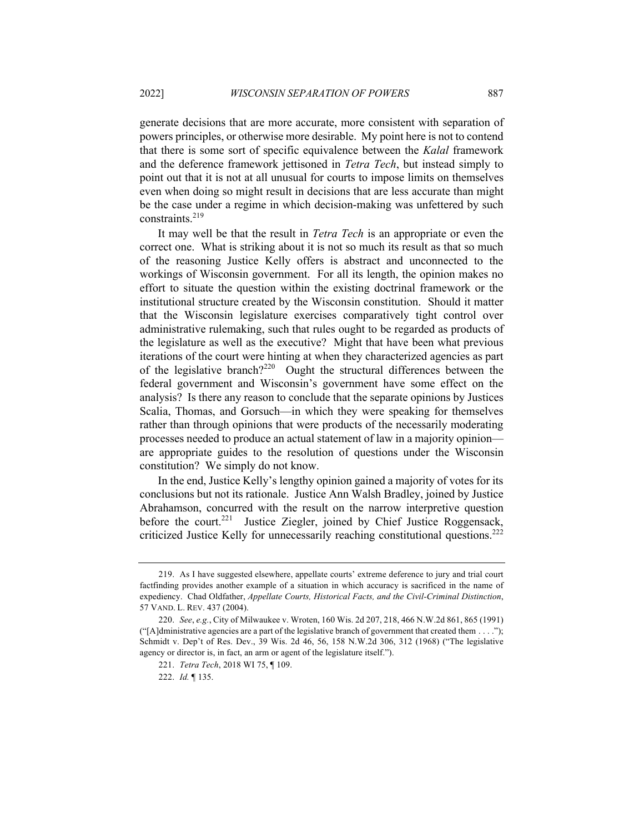generate decisions that are more accurate, more consistent with separation of powers principles, or otherwise more desirable. My point here is not to contend that there is some sort of specific equivalence between the *Kalal* framework and the deference framework jettisoned in *Tetra Tech*, but instead simply to point out that it is not at all unusual for courts to impose limits on themselves even when doing so might result in decisions that are less accurate than might be the case under a regime in which decision-making was unfettered by such constraints.219

It may well be that the result in *Tetra Tech* is an appropriate or even the correct one. What is striking about it is not so much its result as that so much of the reasoning Justice Kelly offers is abstract and unconnected to the workings of Wisconsin government. For all its length, the opinion makes no effort to situate the question within the existing doctrinal framework or the institutional structure created by the Wisconsin constitution. Should it matter that the Wisconsin legislature exercises comparatively tight control over administrative rulemaking, such that rules ought to be regarded as products of the legislature as well as the executive? Might that have been what previous iterations of the court were hinting at when they characterized agencies as part of the legislative branch?<sup>220</sup> Ought the structural differences between the federal government and Wisconsin's government have some effect on the analysis? Is there any reason to conclude that the separate opinions by Justices Scalia, Thomas, and Gorsuch—in which they were speaking for themselves rather than through opinions that were products of the necessarily moderating processes needed to produce an actual statement of law in a majority opinion are appropriate guides to the resolution of questions under the Wisconsin constitution? We simply do not know.

In the end, Justice Kelly's lengthy opinion gained a majority of votes for its conclusions but not its rationale. Justice Ann Walsh Bradley, joined by Justice Abrahamson, concurred with the result on the narrow interpretive question before the court.<sup>221</sup> Justice Ziegler, joined by Chief Justice Roggensack, criticized Justice Kelly for unnecessarily reaching constitutional questions.<sup>222</sup>

<sup>219.</sup> As I have suggested elsewhere, appellate courts' extreme deference to jury and trial court factfinding provides another example of a situation in which accuracy is sacrificed in the name of expediency. Chad Oldfather, *Appellate Courts, Historical Facts, and the Civil-Criminal Distinction*, 57 VAND. L. REV. 437 (2004).

<sup>220.</sup> *See*, *e.g.*, City of Milwaukee v. Wroten, 160 Wis. 2d 207, 218, 466 N.W.2d 861, 865 (1991) ("[A]dministrative agencies are a part of the legislative branch of government that created them  $\dots$  ."); Schmidt v. Dep't of Res. Dev., 39 Wis. 2d 46, 56, 158 N.W.2d 306, 312 (1968) ("The legislative agency or director is, in fact, an arm or agent of the legislature itself.").

<sup>221.</sup> *Tetra Tech*, 2018 WI 75, ¶ 109.

<sup>222.</sup> *Id.* ¶ 135.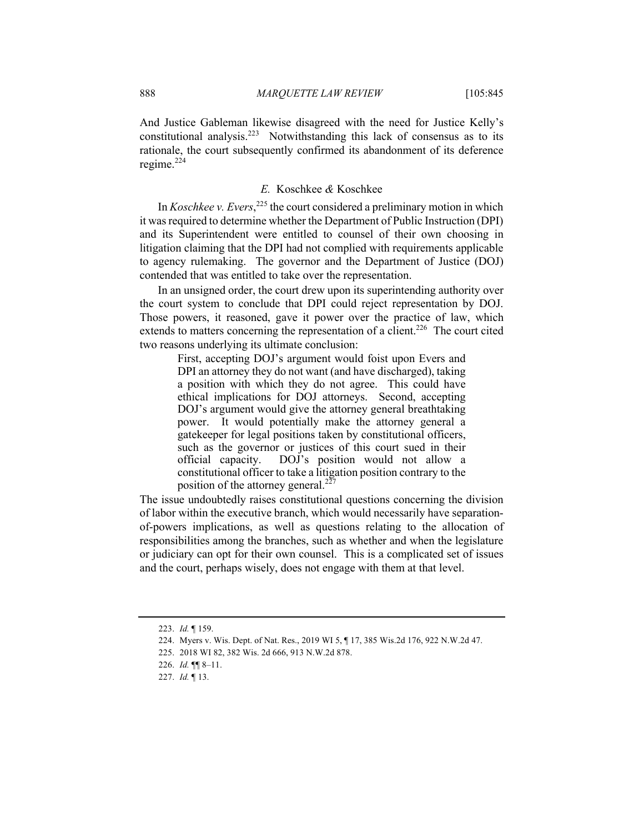And Justice Gableman likewise disagreed with the need for Justice Kelly's constitutional analysis.<sup>223</sup> Notwithstanding this lack of consensus as to its rationale, the court subsequently confirmed its abandonment of its deference regime. $^{224}$ 

## *E.* Koschkee *&* Koschkee

In *Koschkee v. Evers*,<sup>225</sup> the court considered a preliminary motion in which it was required to determine whether the Department of Public Instruction (DPI) and its Superintendent were entitled to counsel of their own choosing in litigation claiming that the DPI had not complied with requirements applicable to agency rulemaking. The governor and the Department of Justice (DOJ) contended that was entitled to take over the representation.

In an unsigned order, the court drew upon its superintending authority over the court system to conclude that DPI could reject representation by DOJ. Those powers, it reasoned, gave it power over the practice of law, which extends to matters concerning the representation of a client.<sup>226</sup> The court cited two reasons underlying its ultimate conclusion:

> First, accepting DOJ's argument would foist upon Evers and DPI an attorney they do not want (and have discharged), taking a position with which they do not agree. This could have ethical implications for DOJ attorneys. Second, accepting DOJ's argument would give the attorney general breathtaking power. It would potentially make the attorney general a gatekeeper for legal positions taken by constitutional officers, such as the governor or justices of this court sued in their official capacity. DOJ's position would not allow a constitutional officer to take a litigation position contrary to the position of the attorney general. $227$

The issue undoubtedly raises constitutional questions concerning the division of labor within the executive branch, which would necessarily have separationof-powers implications, as well as questions relating to the allocation of responsibilities among the branches, such as whether and when the legislature or judiciary can opt for their own counsel. This is a complicated set of issues and the court, perhaps wisely, does not engage with them at that level.

<sup>223.</sup> *Id.* ¶ 159.

<sup>224.</sup> Myers v. Wis. Dept. of Nat. Res., 2019 WI 5, ¶ 17, 385 Wis.2d 176, 922 N.W.2d 47.

<sup>225.</sup> 2018 WI 82, 382 Wis. 2d 666, 913 N.W.2d 878.

<sup>226.</sup> *Id.* ¶¶ 8–11.

<sup>227.</sup> *Id.* ¶ 13.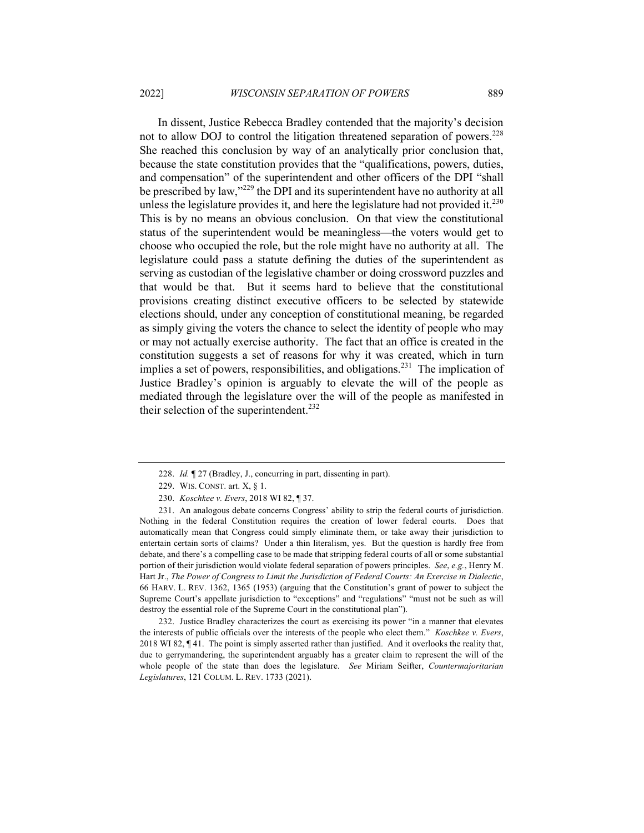In dissent, Justice Rebecca Bradley contended that the majority's decision not to allow DOJ to control the litigation threatened separation of powers.<sup>228</sup> She reached this conclusion by way of an analytically prior conclusion that, because the state constitution provides that the "qualifications, powers, duties, and compensation" of the superintendent and other officers of the DPI "shall be prescribed by law,"<sup>229</sup> the DPI and its superintendent have no authority at all unless the legislature provides it, and here the legislature had not provided it.<sup>230</sup> This is by no means an obvious conclusion. On that view the constitutional status of the superintendent would be meaningless—the voters would get to choose who occupied the role, but the role might have no authority at all. The legislature could pass a statute defining the duties of the superintendent as serving as custodian of the legislative chamber or doing crossword puzzles and that would be that. But it seems hard to believe that the constitutional provisions creating distinct executive officers to be selected by statewide elections should, under any conception of constitutional meaning, be regarded as simply giving the voters the chance to select the identity of people who may or may not actually exercise authority. The fact that an office is created in the constitution suggests a set of reasons for why it was created, which in turn implies a set of powers, responsibilities, and obligations.<sup>231</sup> The implication of Justice Bradley's opinion is arguably to elevate the will of the people as mediated through the legislature over the will of the people as manifested in their selection of the superintendent.<sup>232</sup>

232. Justice Bradley characterizes the court as exercising its power "in a manner that elevates the interests of public officials over the interests of the people who elect them." *Koschkee v. Evers*, 2018 WI 82, ¶ 41. The point is simply asserted rather than justified. And it overlooks the reality that, due to gerrymandering, the superintendent arguably has a greater claim to represent the will of the whole people of the state than does the legislature. *See* Miriam Seifter, *Countermajoritarian Legislatures*, 121 COLUM. L. REV. 1733 (2021).

<sup>228.</sup> *Id.* ¶ 27 (Bradley, J., concurring in part, dissenting in part).

<sup>229.</sup> WIS. CONST. art. X, § 1.

<sup>230.</sup> *Koschkee v. Evers*, 2018 WI 82, ¶ 37.

<sup>231.</sup> An analogous debate concerns Congress' ability to strip the federal courts of jurisdiction. Nothing in the federal Constitution requires the creation of lower federal courts. Does that automatically mean that Congress could simply eliminate them, or take away their jurisdiction to entertain certain sorts of claims? Under a thin literalism, yes. But the question is hardly free from debate, and there's a compelling case to be made that stripping federal courts of all or some substantial portion of their jurisdiction would violate federal separation of powers principles. *See*, *e.g.*, Henry M. Hart Jr., *The Power of Congress to Limit the Jurisdiction of Federal Courts: An Exercise in Dialectic*, 66 HARV. L. REV. 1362, 1365 (1953) (arguing that the Constitution's grant of power to subject the Supreme Court's appellate jurisdiction to "exceptions" and "regulations" "must not be such as will destroy the essential role of the Supreme Court in the constitutional plan").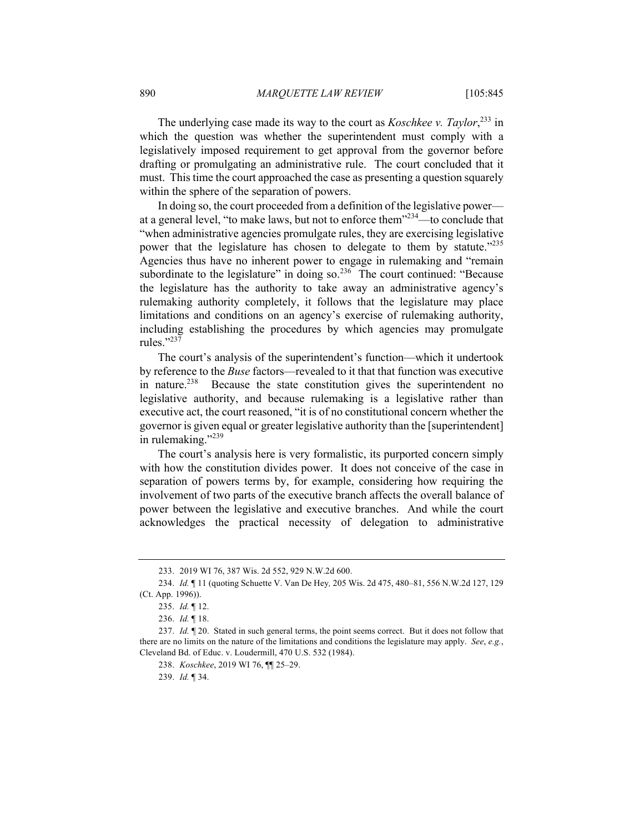The underlying case made its way to the court as *Koschkee v. Taylor*, <sup>233</sup> in which the question was whether the superintendent must comply with a legislatively imposed requirement to get approval from the governor before drafting or promulgating an administrative rule. The court concluded that it must. This time the court approached the case as presenting a question squarely within the sphere of the separation of powers.

In doing so, the court proceeded from a definition of the legislative power at a general level, "to make laws, but not to enforce them"<sup>234</sup>—to conclude that "when administrative agencies promulgate rules, they are exercising legislative power that the legislature has chosen to delegate to them by statute."<sup>235</sup> Agencies thus have no inherent power to engage in rulemaking and "remain subordinate to the legislature" in doing so. $236$  The court continued: "Because the legislature has the authority to take away an administrative agency's rulemaking authority completely, it follows that the legislature may place limitations and conditions on an agency's exercise of rulemaking authority, including establishing the procedures by which agencies may promulgate rules." $^{327}$ 

The court's analysis of the superintendent's function—which it undertook by reference to the *Buse* factors—revealed to it that that function was executive in nature.<sup>238</sup> Because the state constitution gives the superintendent no legislative authority, and because rulemaking is a legislative rather than executive act, the court reasoned, "it is of no constitutional concern whether the governor is given equal or greater legislative authority than the [superintendent] in rulemaking." $^{239}$ 

The court's analysis here is very formalistic, its purported concern simply with how the constitution divides power. It does not conceive of the case in separation of powers terms by, for example, considering how requiring the involvement of two parts of the executive branch affects the overall balance of power between the legislative and executive branches. And while the court acknowledges the practical necessity of delegation to administrative

<sup>233.</sup> 2019 WI 76, 387 Wis. 2d 552, 929 N.W.2d 600.

<sup>234.</sup> *Id.* ¶ 11 (quoting Schuette V. Van De Hey*,* 205 Wis. 2d 475, 480–81, 556 N.W.2d 127, 129 (Ct. App. 1996)).

<sup>235.</sup> *Id.* ¶ 12.

<sup>236.</sup> *Id.* ¶ 18.

<sup>237.</sup> *Id.* ¶ 20. Stated in such general terms, the point seems correct. But it does not follow that there are no limits on the nature of the limitations and conditions the legislature may apply. *See*, *e.g.*, Cleveland Bd. of Educ. v. Loudermill, 470 U.S. 532 (1984).

<sup>238.</sup> *Koschkee*, 2019 WI 76, ¶¶ 25–29.

<sup>239.</sup> *Id.* ¶ 34.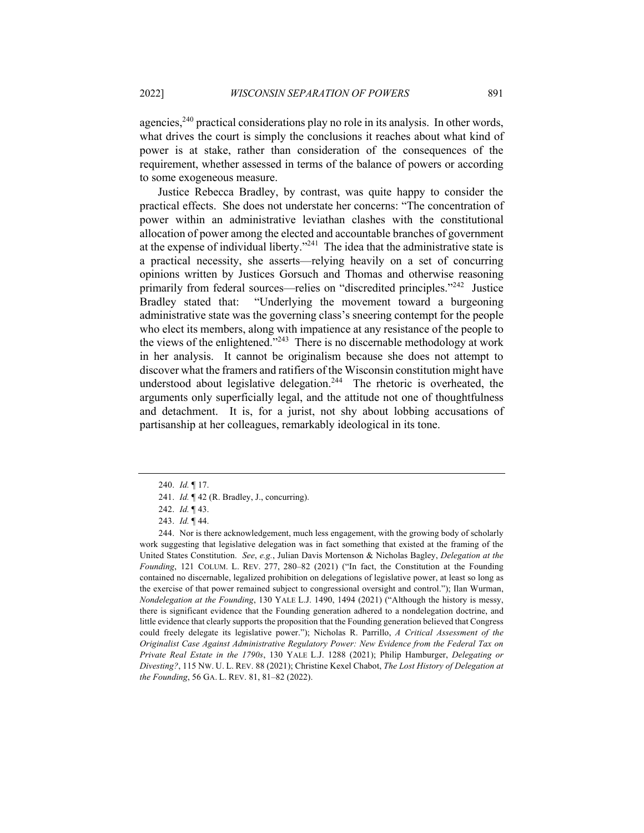agencies,  $240$  practical considerations play no role in its analysis. In other words, what drives the court is simply the conclusions it reaches about what kind of power is at stake, rather than consideration of the consequences of the requirement, whether assessed in terms of the balance of powers or according to some exogeneous measure.

Justice Rebecca Bradley, by contrast, was quite happy to consider the practical effects. She does not understate her concerns: "The concentration of power within an administrative leviathan clashes with the constitutional allocation of power among the elected and accountable branches of government at the expense of individual liberty. $2^{241}$  The idea that the administrative state is a practical necessity, she asserts—relying heavily on a set of concurring opinions written by Justices Gorsuch and Thomas and otherwise reasoning primarily from federal sources—relies on "discredited principles."<sup>242</sup> Justice Bradley stated that: "Underlying the movement toward a burgeoning administrative state was the governing class's sneering contempt for the people who elect its members, along with impatience at any resistance of the people to the views of the enlightened."<sup>243</sup> There is no discernable methodology at work in her analysis. It cannot be originalism because she does not attempt to discover what the framers and ratifiers of the Wisconsin constitution might have understood about legislative delegation.<sup>244</sup> The rhetoric is overheated, the arguments only superficially legal, and the attitude not one of thoughtfulness and detachment. It is, for a jurist, not shy about lobbing accusations of partisanship at her colleagues, remarkably ideological in its tone.

<sup>240.</sup> *Id.* ¶ 17.

<sup>241.</sup> *Id.* ¶ 42 (R. Bradley, J., concurring).

<sup>242.</sup> *Id.* ¶ 43.

<sup>243.</sup> *Id.* ¶ 44.

<sup>244.</sup> Nor is there acknowledgement, much less engagement, with the growing body of scholarly work suggesting that legislative delegation was in fact something that existed at the framing of the United States Constitution. *See*, *e.g.*, Julian Davis Mortenson & Nicholas Bagley, *Delegation at the Founding*, 121 COLUM. L. REV. 277, 280–82 (2021) ("In fact, the Constitution at the Founding contained no discernable, legalized prohibition on delegations of legislative power, at least so long as the exercise of that power remained subject to congressional oversight and control."); Ilan Wurman, *Nondelegation at the Founding*, 130 YALE L.J. 1490, 1494 (2021) ("Although the history is messy, there is significant evidence that the Founding generation adhered to a nondelegation doctrine, and little evidence that clearly supports the proposition that the Founding generation believed that Congress could freely delegate its legislative power."); Nicholas R. Parrillo, *A Critical Assessment of the Originalist Case Against Administrative Regulatory Power: New Evidence from the Federal Tax on Private Real Estate in the 1790s*, 130 YALE L.J. 1288 (2021); Philip Hamburger, *Delegating or Divesting?*, 115 NW. U. L. REV. 88 (2021); Christine Kexel Chabot, *The Lost History of Delegation at the Founding*, 56 GA. L. REV. 81, 81–82 (2022).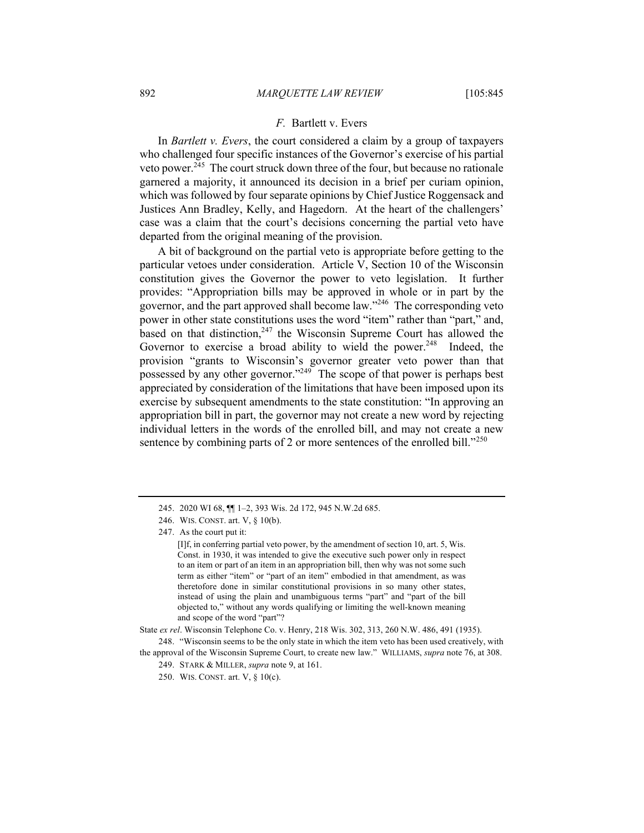## *F.* Bartlett v. Evers

In *Bartlett v. Evers*, the court considered a claim by a group of taxpayers who challenged four specific instances of the Governor's exercise of his partial veto power.<sup>245</sup> The court struck down three of the four, but because no rationale garnered a majority, it announced its decision in a brief per curiam opinion, which was followed by four separate opinions by Chief Justice Roggensack and Justices Ann Bradley, Kelly, and Hagedorn. At the heart of the challengers' case was a claim that the court's decisions concerning the partial veto have departed from the original meaning of the provision.

A bit of background on the partial veto is appropriate before getting to the particular vetoes under consideration. Article V, Section 10 of the Wisconsin constitution gives the Governor the power to veto legislation. It further provides: "Appropriation bills may be approved in whole or in part by the governor, and the part approved shall become law."246 The corresponding veto power in other state constitutions uses the word "item" rather than "part," and, based on that distinction,  $247$  the Wisconsin Supreme Court has allowed the Governor to exercise a broad ability to wield the power.<sup>248</sup> Indeed, the provision "grants to Wisconsin's governor greater veto power than that possessed by any other governor."<sup>249</sup> The scope of that power is perhaps best appreciated by consideration of the limitations that have been imposed upon its exercise by subsequent amendments to the state constitution: "In approving an appropriation bill in part, the governor may not create a new word by rejecting individual letters in the words of the enrolled bill, and may not create a new sentence by combining parts of 2 or more sentences of the enrolled bill."<sup>250</sup>

247. As the court put it:

<sup>245.</sup> 2020 WI 68, ¶¶ 1–2, 393 Wis. 2d 172, 945 N.W.2d 685.

<sup>246.</sup> WIS. CONST. art. V, § 10(b).

<sup>[</sup>I]f, in conferring partial veto power, by the amendment of section 10, art. 5, Wis. Const. in 1930, it was intended to give the executive such power only in respect to an item or part of an item in an appropriation bill, then why was not some such term as either "item" or "part of an item" embodied in that amendment, as was theretofore done in similar constitutional provisions in so many other states, instead of using the plain and unambiguous terms "part" and "part of the bill objected to," without any words qualifying or limiting the well-known meaning and scope of the word "part"?

State *ex rel*. Wisconsin Telephone Co. v. Henry, 218 Wis. 302, 313, 260 N.W. 486, 491 (1935).

<sup>248.</sup> "Wisconsin seems to be the only state in which the item veto has been used creatively, with the approval of the Wisconsin Supreme Court, to create new law." WILLIAMS, *supra* note 76, at 308.

<sup>249.</sup> STARK & MILLER, *supra* note 9, at 161.

<sup>250.</sup> WIS. CONST. art. V, § 10(c).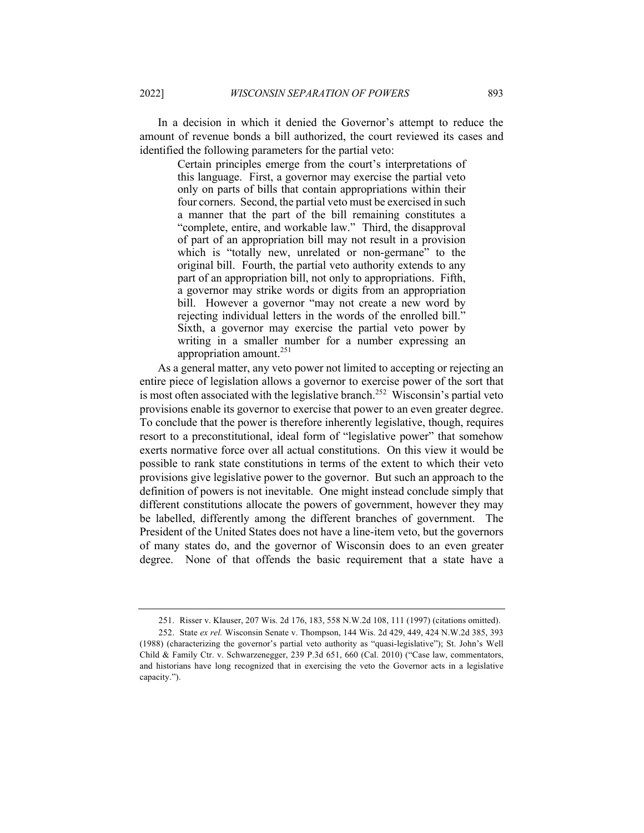In a decision in which it denied the Governor's attempt to reduce the

amount of revenue bonds a bill authorized, the court reviewed its cases and identified the following parameters for the partial veto:

Certain principles emerge from the court's interpretations of this language. First, a governor may exercise the partial veto only on parts of bills that contain appropriations within their four corners. Second, the partial veto must be exercised in such a manner that the part of the bill remaining constitutes a "complete, entire, and workable law." Third, the disapproval of part of an appropriation bill may not result in a provision which is "totally new, unrelated or non-germane" to the original bill. Fourth, the partial veto authority extends to any part of an appropriation bill, not only to appropriations. Fifth, a governor may strike words or digits from an appropriation bill. However a governor "may not create a new word by rejecting individual letters in the words of the enrolled bill." Sixth, a governor may exercise the partial veto power by writing in a smaller number for a number expressing an appropriation amount.<sup>251</sup>

As a general matter, any veto power not limited to accepting or rejecting an entire piece of legislation allows a governor to exercise power of the sort that is most often associated with the legislative branch.<sup>252</sup> Wisconsin's partial veto provisions enable its governor to exercise that power to an even greater degree. To conclude that the power is therefore inherently legislative, though, requires resort to a preconstitutional, ideal form of "legislative power" that somehow exerts normative force over all actual constitutions. On this view it would be possible to rank state constitutions in terms of the extent to which their veto provisions give legislative power to the governor. But such an approach to the definition of powers is not inevitable. One might instead conclude simply that different constitutions allocate the powers of government, however they may be labelled, differently among the different branches of government. The President of the United States does not have a line-item veto, but the governors of many states do, and the governor of Wisconsin does to an even greater degree. None of that offends the basic requirement that a state have a

<sup>251.</sup> Risser v. Klauser, 207 Wis. 2d 176, 183, 558 N.W.2d 108, 111 (1997) (citations omitted).

<sup>252.</sup> State *ex rel.* Wisconsin Senate v. Thompson, 144 Wis. 2d 429, 449, 424 N.W.2d 385, 393 (1988) (characterizing the governor's partial veto authority as "quasi-legislative"); St. John's Well Child & Family Ctr. v. Schwarzenegger, 239 P.3d 651, 660 (Cal. 2010) ("Case law, commentators, and historians have long recognized that in exercising the veto the Governor acts in a legislative capacity.").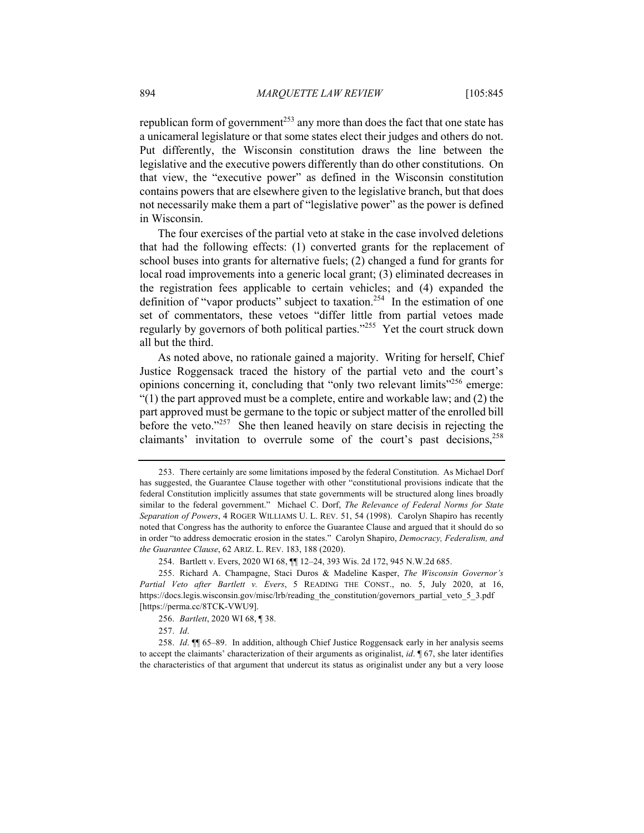republican form of government<sup>253</sup> any more than does the fact that one state has a unicameral legislature or that some states elect their judges and others do not. Put differently, the Wisconsin constitution draws the line between the legislative and the executive powers differently than do other constitutions. On that view, the "executive power" as defined in the Wisconsin constitution contains powers that are elsewhere given to the legislative branch, but that does not necessarily make them a part of "legislative power" as the power is defined in Wisconsin.

The four exercises of the partial veto at stake in the case involved deletions that had the following effects: (1) converted grants for the replacement of school buses into grants for alternative fuels; (2) changed a fund for grants for local road improvements into a generic local grant; (3) eliminated decreases in the registration fees applicable to certain vehicles; and (4) expanded the definition of "vapor products" subject to taxation.<sup>254</sup> In the estimation of one set of commentators, these vetoes "differ little from partial vetoes made regularly by governors of both political parties."<sup>255</sup> Yet the court struck down all but the third.

As noted above, no rationale gained a majority. Writing for herself, Chief Justice Roggensack traced the history of the partial veto and the court's opinions concerning it, concluding that "only two relevant limits"<sup>256</sup> emerge: "(1) the part approved must be a complete, entire and workable law; and (2) the part approved must be germane to the topic or subject matter of the enrolled bill before the veto."<sup>257</sup> She then leaned heavily on stare decisis in rejecting the claimants' invitation to overrule some of the court's past decisions,  $258$ 

<sup>253.</sup> There certainly are some limitations imposed by the federal Constitution. As Michael Dorf has suggested, the Guarantee Clause together with other "constitutional provisions indicate that the federal Constitution implicitly assumes that state governments will be structured along lines broadly similar to the federal government." Michael C. Dorf, *The Relevance of Federal Norms for State Separation of Powers*, 4 ROGER WILLIAMS U. L. REV. 51, 54 (1998). Carolyn Shapiro has recently noted that Congress has the authority to enforce the Guarantee Clause and argued that it should do so in order "to address democratic erosion in the states." Carolyn Shapiro, *Democracy, Federalism, and the Guarantee Clause*, 62 ARIZ. L. REV. 183, 188 (2020).

<sup>254.</sup> Bartlett v. Evers, 2020 WI 68, ¶¶ 12–24, 393 Wis. 2d 172, 945 N.W.2d 685.

<sup>255.</sup> Richard A. Champagne, Staci Duros & Madeline Kasper, *The Wisconsin Governor's Partial Veto after Bartlett v. Evers*, 5 READING THE CONST., no. 5, July 2020, at 16, https://docs.legis.wisconsin.gov/misc/lrb/reading\_the\_constitution/governors\_partial\_veto\_5\_3.pdf [https://perma.cc/8TCK-VWU9].

<sup>256.</sup> *Bartlett*, 2020 WI 68, ¶ 38.

<sup>257.</sup> *Id*.

<sup>258.</sup> *Id*. ¶¶ 65–89. In addition, although Chief Justice Roggensack early in her analysis seems to accept the claimants' characterization of their arguments as originalist, *id*. ¶ 67, she later identifies the characteristics of that argument that undercut its status as originalist under any but a very loose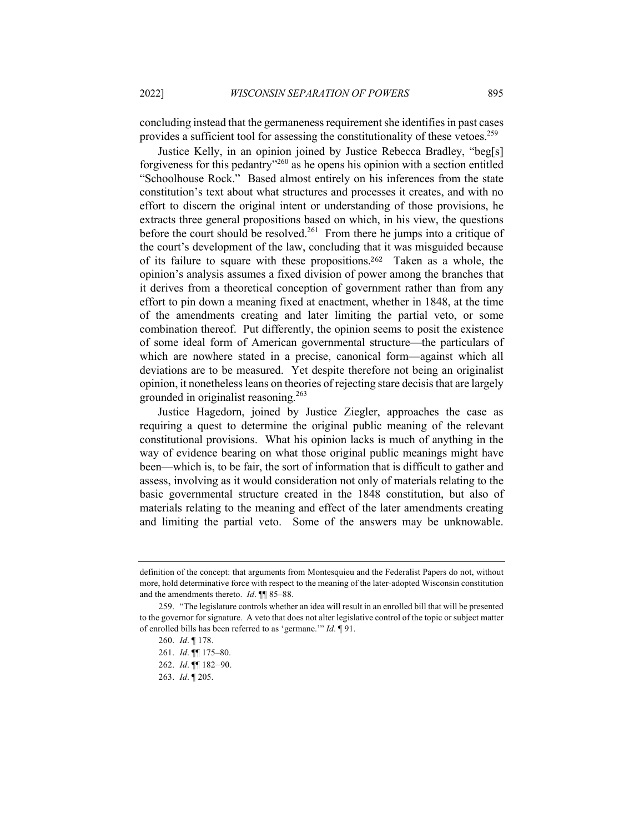concluding instead that the germaneness requirement she identifies in past cases provides a sufficient tool for assessing the constitutionality of these vetoes.<sup>259</sup>

Justice Kelly, in an opinion joined by Justice Rebecca Bradley, "beg[s] forgiveness for this pedantry<sup> $260$ </sup> as he opens his opinion with a section entitled "Schoolhouse Rock." Based almost entirely on his inferences from the state constitution's text about what structures and processes it creates, and with no effort to discern the original intent or understanding of those provisions, he extracts three general propositions based on which, in his view, the questions before the court should be resolved.<sup>261</sup> From there he jumps into a critique of the court's development of the law, concluding that it was misguided because of its failure to square with these propositions.<sup>262</sup> Taken as a whole, the opinion's analysis assumes a fixed division of power among the branches that it derives from a theoretical conception of government rather than from any effort to pin down a meaning fixed at enactment, whether in 1848, at the time of the amendments creating and later limiting the partial veto, or some combination thereof. Put differently, the opinion seems to posit the existence of some ideal form of American governmental structure—the particulars of which are nowhere stated in a precise, canonical form—against which all deviations are to be measured. Yet despite therefore not being an originalist opinion, it nonetheless leans on theories of rejecting stare decisis that are largely grounded in originalist reasoning.<sup>263</sup>

Justice Hagedorn, joined by Justice Ziegler, approaches the case as requiring a quest to determine the original public meaning of the relevant constitutional provisions. What his opinion lacks is much of anything in the way of evidence bearing on what those original public meanings might have been—which is, to be fair, the sort of information that is difficult to gather and assess, involving as it would consideration not only of materials relating to the basic governmental structure created in the 1848 constitution, but also of materials relating to the meaning and effect of the later amendments creating and limiting the partial veto. Some of the answers may be unknowable.

definition of the concept: that arguments from Montesquieu and the Federalist Papers do not, without more, hold determinative force with respect to the meaning of the later-adopted Wisconsin constitution and the amendments thereto. *Id*. ¶¶ 85–88.

<sup>259.</sup> "The legislature controls whether an idea will result in an enrolled bill that will be presented to the governor for signature. A veto that does not alter legislative control of the topic or subject matter of enrolled bills has been referred to as 'germane.'" *Id*. ¶ 91.

<sup>260.</sup> *Id*. ¶ 178.

<sup>261.</sup> *Id*. ¶¶ 175–80.

<sup>262.</sup> *Id*. ¶¶ 182–90.

<sup>263.</sup> *Id*. ¶ 205.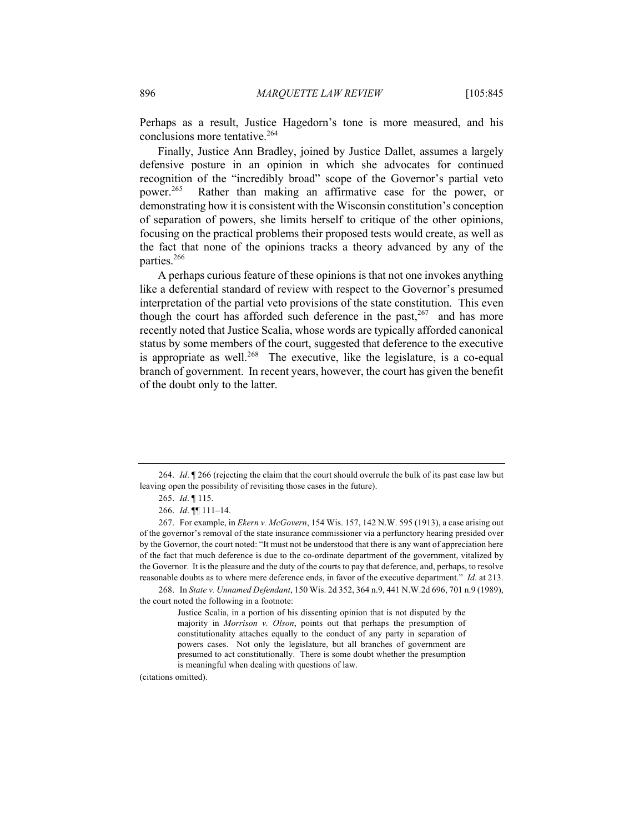Perhaps as a result, Justice Hagedorn's tone is more measured, and his conclusions more tentative.<sup>264</sup>

Finally, Justice Ann Bradley, joined by Justice Dallet, assumes a largely defensive posture in an opinion in which she advocates for continued recognition of the "incredibly broad" scope of the Governor's partial veto power.<sup>265</sup> Rather than making an affirmative case for the power, or demonstrating how it is consistent with the Wisconsin constitution's conception of separation of powers, she limits herself to critique of the other opinions, focusing on the practical problems their proposed tests would create, as well as the fact that none of the opinions tracks a theory advanced by any of the parties.<sup>266</sup>

A perhaps curious feature of these opinions is that not one invokes anything like a deferential standard of review with respect to the Governor's presumed interpretation of the partial veto provisions of the state constitution. This even though the court has afforded such deference in the past,  $267$  and has more recently noted that Justice Scalia, whose words are typically afforded canonical status by some members of the court, suggested that deference to the executive is appropriate as well.<sup>268</sup> The executive, like the legislature, is a co-equal branch of government. In recent years, however, the court has given the benefit of the doubt only to the latter.

(citations omitted).

<sup>264.</sup> *Id*. ¶ 266 (rejecting the claim that the court should overrule the bulk of its past case law but leaving open the possibility of revisiting those cases in the future).

<sup>265.</sup> *Id*. ¶ 115.

<sup>266.</sup> *Id*. ¶¶ 111–14.

<sup>267.</sup> For example, in *Ekern v. McGovern*, 154 Wis. 157, 142 N.W. 595 (1913), a case arising out of the governor's removal of the state insurance commissioner via a perfunctory hearing presided over by the Governor, the court noted: "It must not be understood that there is any want of appreciation here of the fact that much deference is due to the co-ordinate department of the government, vitalized by the Governor. It is the pleasure and the duty of the courts to pay that deference, and, perhaps, to resolve reasonable doubts as to where mere deference ends, in favor of the executive department." *Id*. at 213.

<sup>268.</sup> In *State v. Unnamed Defendant*, 150 Wis. 2d 352, 364 n.9, 441 N.W.2d 696, 701 n.9 (1989), the court noted the following in a footnote:

Justice Scalia, in a portion of his dissenting opinion that is not disputed by the majority in *Morrison v. Olson*, points out that perhaps the presumption of constitutionality attaches equally to the conduct of any party in separation of powers cases. Not only the legislature, but all branches of government are presumed to act constitutionally. There is some doubt whether the presumption is meaningful when dealing with questions of law.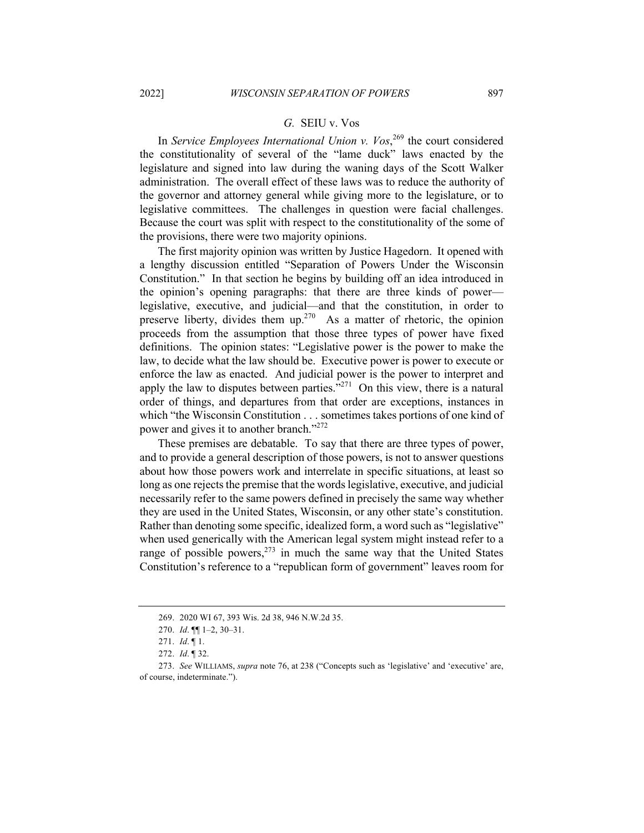## *G.* SEIU v. Vos

In *Service Employees International Union v. Vos*, <sup>269</sup> the court considered the constitutionality of several of the "lame duck" laws enacted by the legislature and signed into law during the waning days of the Scott Walker administration. The overall effect of these laws was to reduce the authority of the governor and attorney general while giving more to the legislature, or to legislative committees. The challenges in question were facial challenges. Because the court was split with respect to the constitutionality of the some of the provisions, there were two majority opinions.

The first majority opinion was written by Justice Hagedorn. It opened with a lengthy discussion entitled "Separation of Powers Under the Wisconsin Constitution." In that section he begins by building off an idea introduced in the opinion's opening paragraphs: that there are three kinds of power legislative, executive, and judicial—and that the constitution, in order to preserve liberty, divides them up.<sup>270</sup> As a matter of rhetoric, the opinion proceeds from the assumption that those three types of power have fixed definitions. The opinion states: "Legislative power is the power to make the law, to decide what the law should be. Executive power is power to execute or enforce the law as enacted. And judicial power is the power to interpret and apply the law to disputes between parties.<sup> $3271$ </sup> On this view, there is a natural order of things, and departures from that order are exceptions, instances in which "the Wisconsin Constitution . . . sometimes takes portions of one kind of power and gives it to another branch."<sup>272</sup>

These premises are debatable. To say that there are three types of power, and to provide a general description of those powers, is not to answer questions about how those powers work and interrelate in specific situations, at least so long as one rejects the premise that the words legislative, executive, and judicial necessarily refer to the same powers defined in precisely the same way whether they are used in the United States, Wisconsin, or any other state's constitution. Rather than denoting some specific, idealized form, a word such as "legislative" when used generically with the American legal system might instead refer to a range of possible powers,  $273$  in much the same way that the United States Constitution's reference to a "republican form of government" leaves room for

<sup>269.</sup> 2020 WI 67, 393 Wis. 2d 38, 946 N.W.2d 35.

<sup>270.</sup> *Id*. ¶¶ 1–2, 30–31.

<sup>271.</sup> *Id*. ¶ 1.

<sup>272.</sup> *Id*. ¶ 32.

<sup>273.</sup> *See* WILLIAMS, *supra* note 76, at 238 ("Concepts such as 'legislative' and 'executive' are, of course, indeterminate.").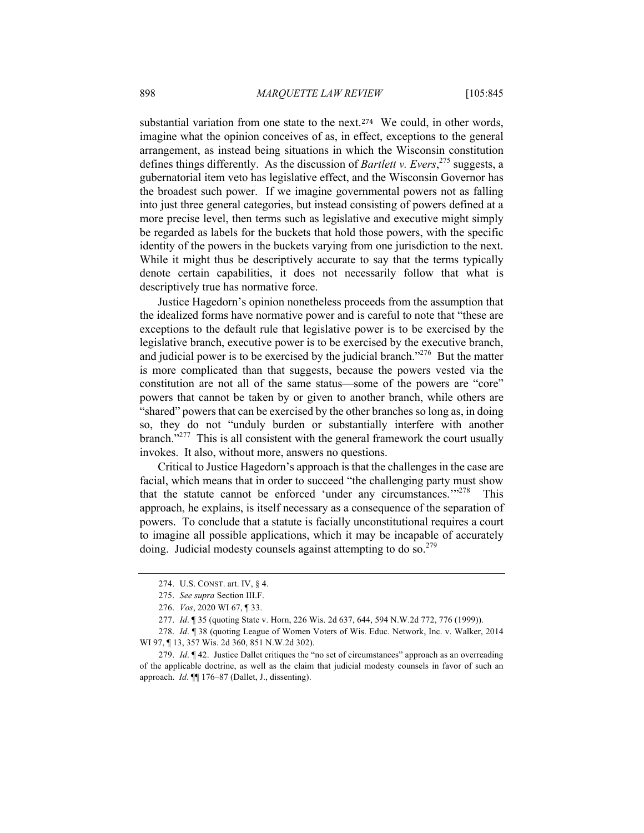substantial variation from one state to the next.<sup>274</sup> We could, in other words, imagine what the opinion conceives of as, in effect, exceptions to the general arrangement, as instead being situations in which the Wisconsin constitution defines things differently. As the discussion of *Bartlett v. Evers*, <sup>275</sup> suggests, a gubernatorial item veto has legislative effect, and the Wisconsin Governor has the broadest such power. If we imagine governmental powers not as falling into just three general categories, but instead consisting of powers defined at a more precise level, then terms such as legislative and executive might simply be regarded as labels for the buckets that hold those powers, with the specific identity of the powers in the buckets varying from one jurisdiction to the next. While it might thus be descriptively accurate to say that the terms typically denote certain capabilities, it does not necessarily follow that what is descriptively true has normative force.

Justice Hagedorn's opinion nonetheless proceeds from the assumption that the idealized forms have normative power and is careful to note that "these are exceptions to the default rule that legislative power is to be exercised by the legislative branch, executive power is to be exercised by the executive branch, and judicial power is to be exercised by the judicial branch."<sup>276</sup> But the matter is more complicated than that suggests, because the powers vested via the constitution are not all of the same status—some of the powers are "core" powers that cannot be taken by or given to another branch, while others are "shared" powers that can be exercised by the other branches so long as, in doing so, they do not "unduly burden or substantially interfere with another branch."<sup>277</sup> This is all consistent with the general framework the court usually invokes. It also, without more, answers no questions.

Critical to Justice Hagedorn's approach is that the challenges in the case are facial, which means that in order to succeed "the challenging party must show that the statute cannot be enforced 'under any circumstances.'"<sup>278</sup> This approach, he explains, is itself necessary as a consequence of the separation of powers. To conclude that a statute is facially unconstitutional requires a court to imagine all possible applications, which it may be incapable of accurately doing. Judicial modesty counsels against attempting to do so.<sup>279</sup>

<sup>274.</sup> U.S. CONST. art. IV, § 4.

<sup>275.</sup> *See supra* Section III.F.

<sup>276.</sup> *Vos*, 2020 WI 67, ¶ 33.

<sup>277.</sup> *Id*. ¶ 35 (quoting State v. Horn, 226 Wis. 2d 637, 644, 594 N.W.2d 772, 776 (1999)).

<sup>278.</sup> *Id*. ¶ 38 (quoting League of Women Voters of Wis. Educ. Network, Inc. v. Walker, 2014 WI 97, ¶ 13, 357 Wis. 2d 360, 851 N.W.2d 302).

<sup>279.</sup> *Id*. ¶ 42. Justice Dallet critiques the "no set of circumstances" approach as an overreading of the applicable doctrine, as well as the claim that judicial modesty counsels in favor of such an approach. *Id*. ¶¶ 176–87 (Dallet, J., dissenting).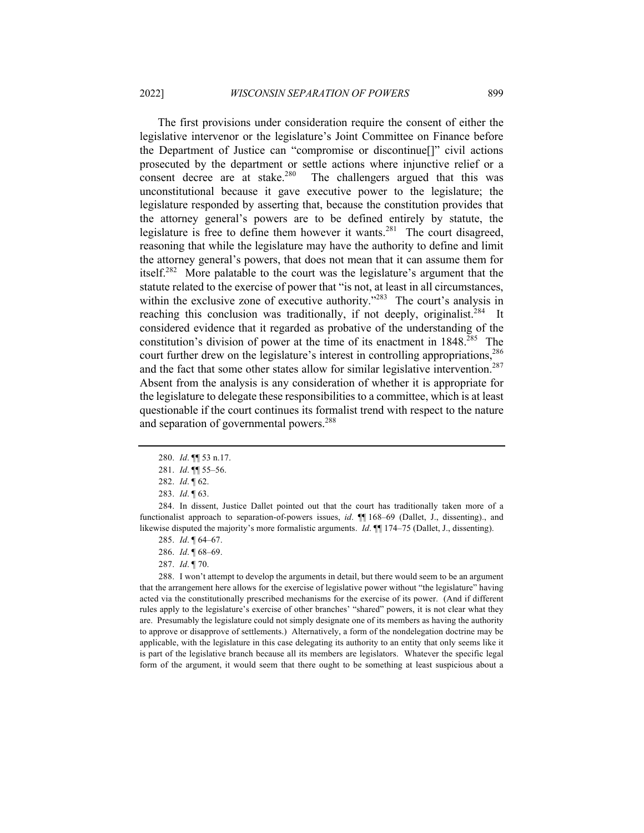The first provisions under consideration require the consent of either the legislative intervenor or the legislature's Joint Committee on Finance before the Department of Justice can "compromise or discontinue[]" civil actions prosecuted by the department or settle actions where injunctive relief or a consent decree are at stake.<sup>280</sup> The challengers argued that this was unconstitutional because it gave executive power to the legislature; the legislature responded by asserting that, because the constitution provides that the attorney general's powers are to be defined entirely by statute, the legislature is free to define them however it wants.<sup>281</sup> The court disagreed, reasoning that while the legislature may have the authority to define and limit the attorney general's powers, that does not mean that it can assume them for itself.<sup>282</sup> More palatable to the court was the legislature's argument that the statute related to the exercise of power that "is not, at least in all circumstances, within the exclusive zone of executive authority."<sup>283</sup> The court's analysis in reaching this conclusion was traditionally, if not deeply, originalist.<sup>284</sup> It considered evidence that it regarded as probative of the understanding of the constitution's division of power at the time of its enactment in  $1848^{285}$  The court further drew on the legislature's interest in controlling appropriations,<sup>286</sup> and the fact that some other states allow for similar legislative intervention.<sup>287</sup> Absent from the analysis is any consideration of whether it is appropriate for the legislature to delegate these responsibilities to a committee, which is at least questionable if the court continues its formalist trend with respect to the nature and separation of governmental powers.<sup>288</sup>

- 285. *Id*. ¶ 64–67.
- 286. *Id*. ¶ 68–69.
- 287. *Id*. ¶ 70.

288. I won't attempt to develop the arguments in detail, but there would seem to be an argument that the arrangement here allows for the exercise of legislative power without "the legislature" having acted via the constitutionally prescribed mechanisms for the exercise of its power. (And if different rules apply to the legislature's exercise of other branches' "shared" powers, it is not clear what they are. Presumably the legislature could not simply designate one of its members as having the authority to approve or disapprove of settlements.) Alternatively, a form of the nondelegation doctrine may be applicable, with the legislature in this case delegating its authority to an entity that only seems like it is part of the legislative branch because all its members are legislators. Whatever the specific legal form of the argument, it would seem that there ought to be something at least suspicious about a

<sup>280.</sup> *Id*. ¶¶ 53 n.17.

<sup>281.</sup> *Id*. ¶¶ 55–56.

<sup>282.</sup> *Id*. ¶ 62.

<sup>283.</sup> *Id*. ¶ 63.

<sup>284.</sup> In dissent, Justice Dallet pointed out that the court has traditionally taken more of a functionalist approach to separation-of-powers issues, *id.*  $\P$  168–69 (Dallet, J., dissenting)., and likewise disputed the majority's more formalistic arguments. *Id*. ¶¶ 174–75 (Dallet, J., dissenting).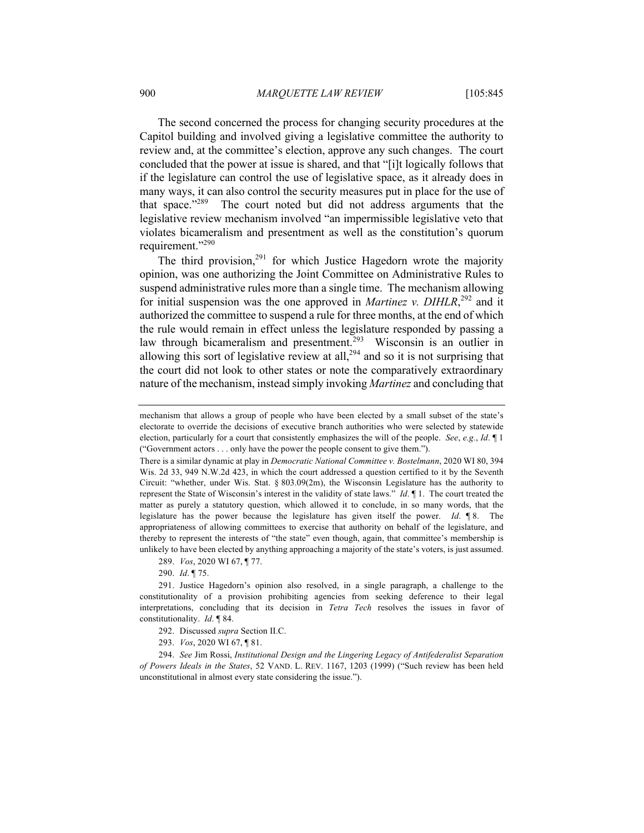The second concerned the process for changing security procedures at the Capitol building and involved giving a legislative committee the authority to review and, at the committee's election, approve any such changes. The court concluded that the power at issue is shared, and that "[i]t logically follows that if the legislature can control the use of legislative space, as it already does in many ways, it can also control the security measures put in place for the use of that space. $1289$  The court noted but did not address arguments that the legislative review mechanism involved "an impermissible legislative veto that violates bicameralism and presentment as well as the constitution's quorum requirement."<sup>290</sup>

The third provision,<sup>291</sup> for which Justice Hagedorn wrote the majority opinion, was one authorizing the Joint Committee on Administrative Rules to suspend administrative rules more than a single time. The mechanism allowing for initial suspension was the one approved in *Martinez v. DIHLR*, <sup>292</sup> and it authorized the committee to suspend a rule for three months, at the end of which the rule would remain in effect unless the legislature responded by passing a law through bicameralism and presentment.<sup>293</sup> Wisconsin is an outlier in allowing this sort of legislative review at all, $^{294}$  and so it is not surprising that the court did not look to other states or note the comparatively extraordinary nature of the mechanism, instead simply invoking *Martinez* and concluding that

290. *Id*. ¶ 75.

mechanism that allows a group of people who have been elected by a small subset of the state's electorate to override the decisions of executive branch authorities who were selected by statewide election, particularly for a court that consistently emphasizes the will of the people. *See*, *e.g.*, *Id*. ¶ 1 ("Government actors . . . only have the power the people consent to give them.").

There is a similar dynamic at play in *Democratic National Committee v. Bostelmann*, 2020 WI 80, 394 Wis. 2d 33, 949 N.W.2d 423, in which the court addressed a question certified to it by the Seventh Circuit: "whether, under Wis. Stat.  $\S 803.09(2m)$ , the Wisconsin Legislature has the authority to represent the State of Wisconsin's interest in the validity of state laws." *Id*. ¶ 1. The court treated the matter as purely a statutory question, which allowed it to conclude, in so many words, that the legislature has the power because the legislature has given itself the power. *Id*. ¶ 8. The appropriateness of allowing committees to exercise that authority on behalf of the legislature, and thereby to represent the interests of "the state" even though, again, that committee's membership is unlikely to have been elected by anything approaching a majority of the state's voters, is just assumed.

<sup>289.</sup> *Vos*, 2020 WI 67, ¶ 77.

<sup>291.</sup> Justice Hagedorn's opinion also resolved, in a single paragraph, a challenge to the constitutionality of a provision prohibiting agencies from seeking deference to their legal interpretations, concluding that its decision in *Tetra Tech* resolves the issues in favor of constitutionality. *Id*. ¶ 84.

<sup>292.</sup> Discussed *supra* Section II.C.

<sup>293.</sup> *Vos*, 2020 WI 67, ¶ 81.

<sup>294.</sup> *See* Jim Rossi, *Institutional Design and the Lingering Legacy of Antifederalist Separation of Powers Ideals in the States*, 52 VAND. L. REV. 1167, 1203 (1999) ("Such review has been held unconstitutional in almost every state considering the issue.").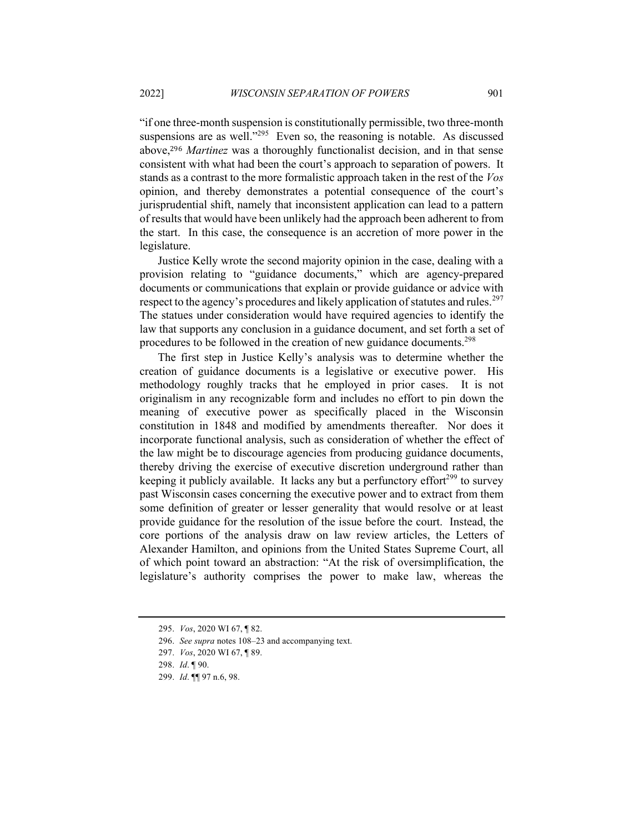"if one three-month suspension is constitutionally permissible, two three-month suspensions are as well."<sup>295</sup> Even so, the reasoning is notable. As discussed above,<sup>296</sup> *Martinez* was a thoroughly functionalist decision, and in that sense consistent with what had been the court's approach to separation of powers. It stands as a contrast to the more formalistic approach taken in the rest of the *Vos* opinion, and thereby demonstrates a potential consequence of the court's jurisprudential shift, namely that inconsistent application can lead to a pattern of results that would have been unlikely had the approach been adherent to from the start. In this case, the consequence is an accretion of more power in the legislature.

Justice Kelly wrote the second majority opinion in the case, dealing with a provision relating to "guidance documents," which are agency-prepared documents or communications that explain or provide guidance or advice with respect to the agency's procedures and likely application of statutes and rules.<sup>297</sup> The statues under consideration would have required agencies to identify the law that supports any conclusion in a guidance document, and set forth a set of procedures to be followed in the creation of new guidance documents.<sup>298</sup>

The first step in Justice Kelly's analysis was to determine whether the creation of guidance documents is a legislative or executive power. His methodology roughly tracks that he employed in prior cases. It is not originalism in any recognizable form and includes no effort to pin down the meaning of executive power as specifically placed in the Wisconsin constitution in 1848 and modified by amendments thereafter. Nor does it incorporate functional analysis, such as consideration of whether the effect of the law might be to discourage agencies from producing guidance documents, thereby driving the exercise of executive discretion underground rather than keeping it publicly available. It lacks any but a perfunctory effort $^{299}$  to survey past Wisconsin cases concerning the executive power and to extract from them some definition of greater or lesser generality that would resolve or at least provide guidance for the resolution of the issue before the court. Instead, the core portions of the analysis draw on law review articles, the Letters of Alexander Hamilton, and opinions from the United States Supreme Court, all of which point toward an abstraction: "At the risk of oversimplification, the legislature's authority comprises the power to make law, whereas the

<sup>295.</sup> *Vos*, 2020 WI 67, ¶ 82.

<sup>296.</sup> *See supra* notes 108–23 and accompanying text.

<sup>297.</sup> *Vos*, 2020 WI 67, ¶ 89.

<sup>298.</sup> *Id*. ¶ 90.

<sup>299.</sup> *Id*. ¶¶ 97 n.6, 98.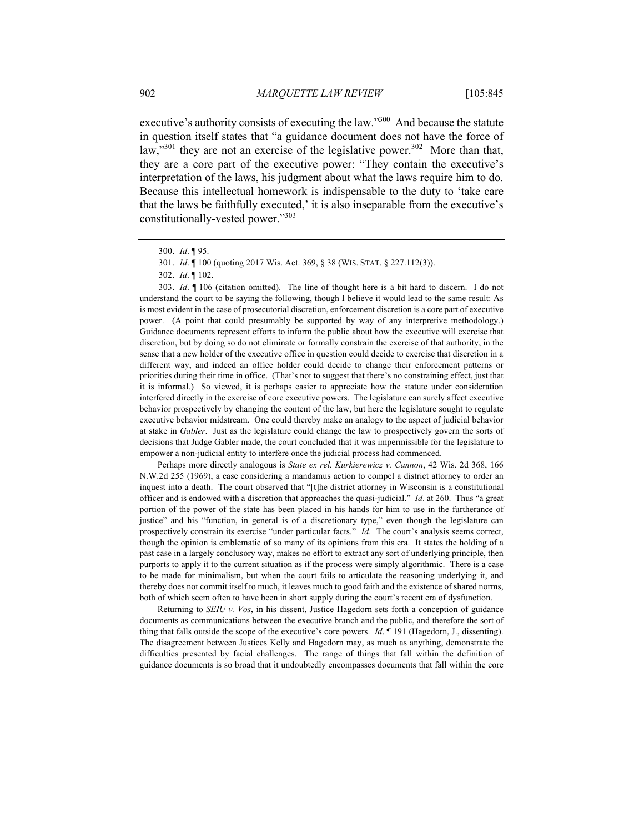executive's authority consists of executing the law."<sup>300</sup> And because the statute in question itself states that "a guidance document does not have the force of law,"<sup>301</sup> they are not an exercise of the legislative power.<sup>302</sup> More than that, they are a core part of the executive power: "They contain the executive's interpretation of the laws, his judgment about what the laws require him to do. Because this intellectual homework is indispensable to the duty to 'take care that the laws be faithfully executed,' it is also inseparable from the executive's constitutionally-vested power."303

303. *Id*. ¶ 106 (citation omitted). The line of thought here is a bit hard to discern. I do not understand the court to be saying the following, though I believe it would lead to the same result: As is most evident in the case of prosecutorial discretion, enforcement discretion is a core part of executive power. (A point that could presumably be supported by way of any interpretive methodology.) Guidance documents represent efforts to inform the public about how the executive will exercise that discretion, but by doing so do not eliminate or formally constrain the exercise of that authority, in the sense that a new holder of the executive office in question could decide to exercise that discretion in a different way, and indeed an office holder could decide to change their enforcement patterns or priorities during their time in office. (That's not to suggest that there's no constraining effect, just that it is informal.) So viewed, it is perhaps easier to appreciate how the statute under consideration interfered directly in the exercise of core executive powers. The legislature can surely affect executive behavior prospectively by changing the content of the law, but here the legislature sought to regulate executive behavior midstream. One could thereby make an analogy to the aspect of judicial behavior at stake in *Gabler*. Just as the legislature could change the law to prospectively govern the sorts of decisions that Judge Gabler made, the court concluded that it was impermissible for the legislature to empower a non-judicial entity to interfere once the judicial process had commenced.

Perhaps more directly analogous is *State ex rel. Kurkierewicz v. Cannon*, 42 Wis. 2d 368, 166 N.W.2d 255 (1969), a case considering a mandamus action to compel a district attorney to order an inquest into a death. The court observed that "[t]he district attorney in Wisconsin is a constitutional officer and is endowed with a discretion that approaches the quasi-judicial." *Id*. at 260. Thus "a great portion of the power of the state has been placed in his hands for him to use in the furtherance of justice" and his "function, in general is of a discretionary type," even though the legislature can prospectively constrain its exercise "under particular facts." *Id*. The court's analysis seems correct, though the opinion is emblematic of so many of its opinions from this era. It states the holding of a past case in a largely conclusory way, makes no effort to extract any sort of underlying principle, then purports to apply it to the current situation as if the process were simply algorithmic. There is a case to be made for minimalism, but when the court fails to articulate the reasoning underlying it, and thereby does not commit itself to much, it leaves much to good faith and the existence of shared norms, both of which seem often to have been in short supply during the court's recent era of dysfunction.

Returning to *SEIU v. Vos*, in his dissent, Justice Hagedorn sets forth a conception of guidance documents as communications between the executive branch and the public, and therefore the sort of thing that falls outside the scope of the executive's core powers. *Id*. ¶ 191 (Hagedorn, J., dissenting). The disagreement between Justices Kelly and Hagedorn may, as much as anything, demonstrate the difficulties presented by facial challenges. The range of things that fall within the definition of guidance documents is so broad that it undoubtedly encompasses documents that fall within the core

<sup>300.</sup> *Id*. ¶ 95.

<sup>301.</sup> *Id*. ¶ 100 (quoting 2017 Wis. Act. 369, § 38 (WIS. STAT. § 227.112(3)).

<sup>302.</sup> *Id*. ¶ 102.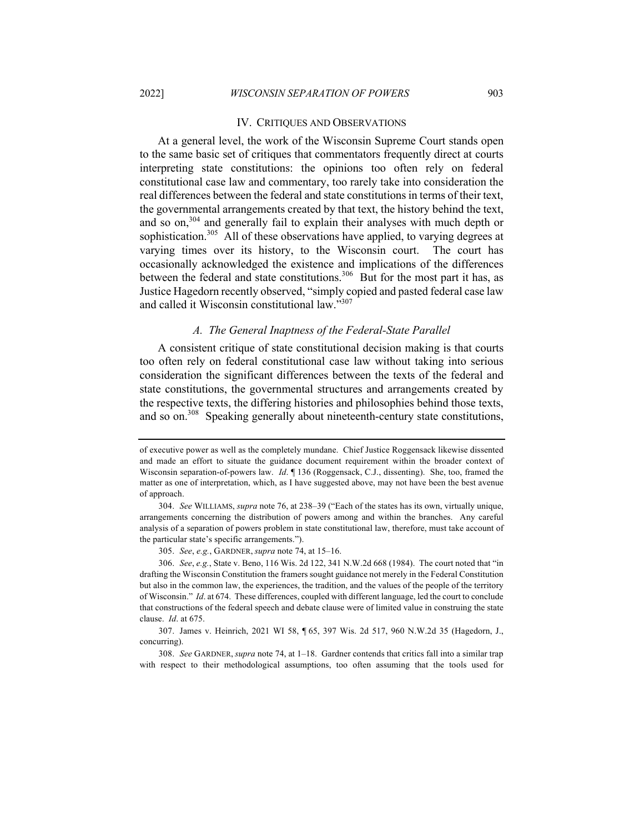### IV. CRITIQUES AND OBSERVATIONS

At a general level, the work of the Wisconsin Supreme Court stands open to the same basic set of critiques that commentators frequently direct at courts interpreting state constitutions: the opinions too often rely on federal constitutional case law and commentary, too rarely take into consideration the real differences between the federal and state constitutions in terms of their text, the governmental arrangements created by that text, the history behind the text, and so on,<sup>304</sup> and generally fail to explain their analyses with much depth or sophistication.<sup>305</sup> All of these observations have applied, to varying degrees at varying times over its history, to the Wisconsin court. The court has occasionally acknowledged the existence and implications of the differences between the federal and state constitutions.<sup>306</sup> But for the most part it has, as Justice Hagedorn recently observed, "simply copied and pasted federal case law and called it Wisconsin constitutional law."307

## *A. The General Inaptness of the Federal-State Parallel*

A consistent critique of state constitutional decision making is that courts too often rely on federal constitutional case law without taking into serious consideration the significant differences between the texts of the federal and state constitutions, the governmental structures and arrangements created by the respective texts, the differing histories and philosophies behind those texts, and so on.<sup>308</sup> Speaking generally about nineteenth-century state constitutions,

305. *See*, *e.g.*, GARDNER, *supra* note 74, at 15–16.

308. *See* GARDNER, *supra* note 74, at 1–18. Gardner contends that critics fall into a similar trap with respect to their methodological assumptions, too often assuming that the tools used for

of executive power as well as the completely mundane. Chief Justice Roggensack likewise dissented and made an effort to situate the guidance document requirement within the broader context of Wisconsin separation-of-powers law. *Id*. ¶ 136 (Roggensack, C.J., dissenting). She, too, framed the matter as one of interpretation, which, as I have suggested above, may not have been the best avenue of approach.

<sup>304.</sup> *See* WILLIAMS, *supra* note 76, at 238–39 ("Each of the states has its own, virtually unique, arrangements concerning the distribution of powers among and within the branches. Any careful analysis of a separation of powers problem in state constitutional law, therefore, must take account of the particular state's specific arrangements.").

<sup>306.</sup> *See*, *e.g.*, State v. Beno, 116 Wis. 2d 122, 341 N.W.2d 668 (1984). The court noted that "in drafting the Wisconsin Constitution the framers sought guidance not merely in the Federal Constitution but also in the common law, the experiences, the tradition, and the values of the people of the territory of Wisconsin." *Id*. at 674. These differences, coupled with different language, led the court to conclude that constructions of the federal speech and debate clause were of limited value in construing the state clause. *Id*. at 675.

<sup>307.</sup> James v. Heinrich, 2021 WI 58, ¶ 65, 397 Wis. 2d 517, 960 N.W.2d 35 (Hagedorn, J., concurring).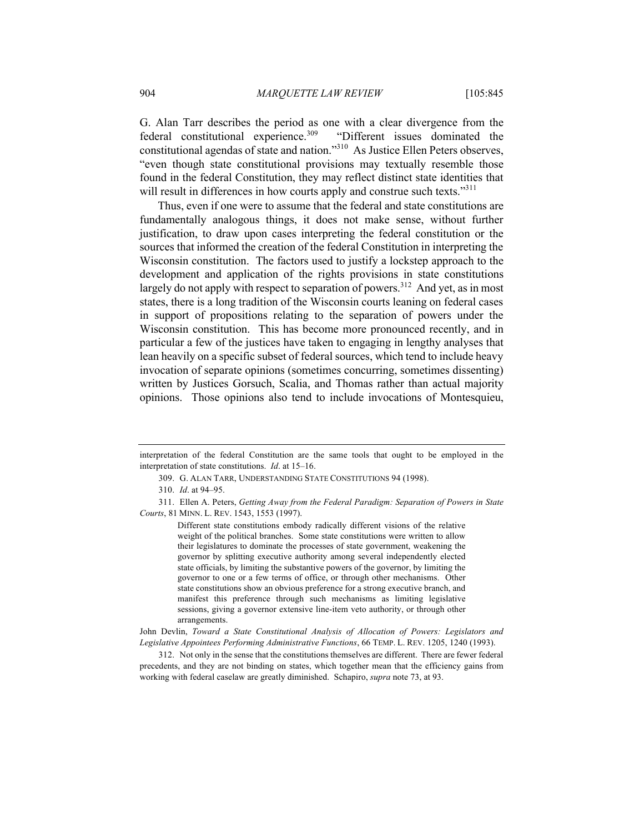G. Alan Tarr describes the period as one with a clear divergence from the federal constitutional experience.<sup>309</sup> "Different issues dominated the constitutional agendas of state and nation."310 As Justice Ellen Peters observes, "even though state constitutional provisions may textually resemble those found in the federal Constitution, they may reflect distinct state identities that will result in differences in how courts apply and construe such texts."<sup>311</sup>

Thus, even if one were to assume that the federal and state constitutions are fundamentally analogous things, it does not make sense, without further justification, to draw upon cases interpreting the federal constitution or the sources that informed the creation of the federal Constitution in interpreting the Wisconsin constitution. The factors used to justify a lockstep approach to the development and application of the rights provisions in state constitutions largely do not apply with respect to separation of powers.<sup>312</sup> And yet, as in most states, there is a long tradition of the Wisconsin courts leaning on federal cases in support of propositions relating to the separation of powers under the Wisconsin constitution. This has become more pronounced recently, and in particular a few of the justices have taken to engaging in lengthy analyses that lean heavily on a specific subset of federal sources, which tend to include heavy invocation of separate opinions (sometimes concurring, sometimes dissenting) written by Justices Gorsuch, Scalia, and Thomas rather than actual majority opinions. Those opinions also tend to include invocations of Montesquieu,

309. G. ALAN TARR, UNDERSTANDING STATE CONSTITUTIONS 94 (1998).

312. Not only in the sense that the constitutions themselves are different. There are fewer federal precedents, and they are not binding on states, which together mean that the efficiency gains from working with federal caselaw are greatly diminished. Schapiro, *supra* note 73, at 93.

interpretation of the federal Constitution are the same tools that ought to be employed in the interpretation of state constitutions. *Id*. at 15–16.

<sup>310.</sup> *Id*. at 94–95.

<sup>311.</sup> Ellen A. Peters, *Getting Away from the Federal Paradigm: Separation of Powers in State Courts*, 81 MINN. L. REV. 1543, 1553 (1997).

Different state constitutions embody radically different visions of the relative weight of the political branches. Some state constitutions were written to allow their legislatures to dominate the processes of state government, weakening the governor by splitting executive authority among several independently elected state officials, by limiting the substantive powers of the governor, by limiting the governor to one or a few terms of office, or through other mechanisms. Other state constitutions show an obvious preference for a strong executive branch, and manifest this preference through such mechanisms as limiting legislative sessions, giving a governor extensive line-item veto authority, or through other arrangements.

John Devlin, *Toward a State Constitutional Analysis of Allocation of Powers: Legislators and Legislative Appointees Performing Administrative Functions*, 66 TEMP. L. REV. 1205, 1240 (1993).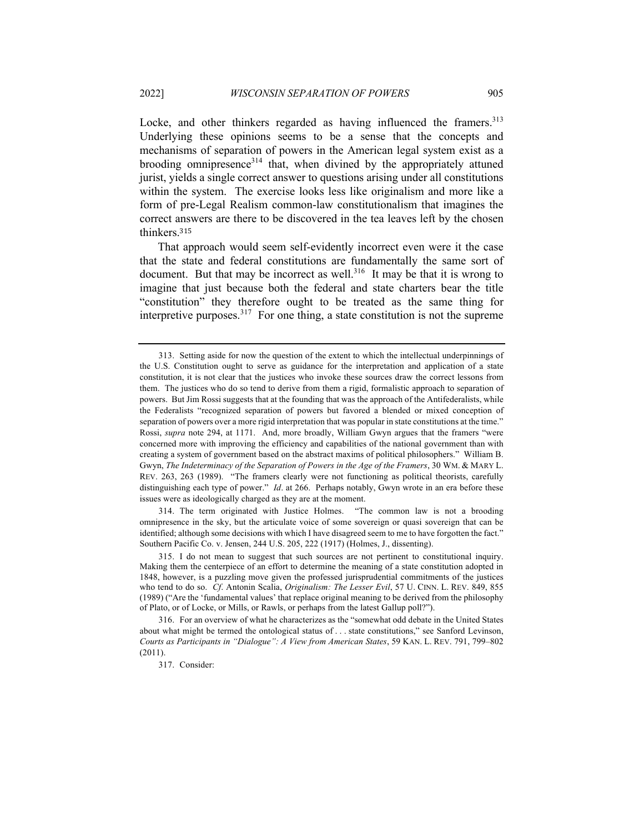Locke, and other thinkers regarded as having influenced the framers.<sup>313</sup> Underlying these opinions seems to be a sense that the concepts and mechanisms of separation of powers in the American legal system exist as a brooding omnipresence<sup>314</sup> that, when divined by the appropriately attuned jurist, yields a single correct answer to questions arising under all constitutions within the system. The exercise looks less like originalism and more like a form of pre-Legal Realism common-law constitutionalism that imagines the correct answers are there to be discovered in the tea leaves left by the chosen thinkers.<sup>315</sup>

That approach would seem self-evidently incorrect even were it the case that the state and federal constitutions are fundamentally the same sort of document. But that may be incorrect as well.<sup>316</sup> It may be that it is wrong to imagine that just because both the federal and state charters bear the title "constitution" they therefore ought to be treated as the same thing for interpretive purposes.<sup>317</sup> For one thing, a state constitution is not the supreme

314. The term originated with Justice Holmes. "The common law is not a brooding omnipresence in the sky, but the articulate voice of some sovereign or quasi sovereign that can be identified; although some decisions with which I have disagreed seem to me to have forgotten the fact." Southern Pacific Co. v. Jensen, 244 U.S. 205, 222 (1917) (Holmes, J., dissenting).

<sup>313.</sup> Setting aside for now the question of the extent to which the intellectual underpinnings of the U.S. Constitution ought to serve as guidance for the interpretation and application of a state constitution, it is not clear that the justices who invoke these sources draw the correct lessons from them. The justices who do so tend to derive from them a rigid, formalistic approach to separation of powers. But Jim Rossi suggests that at the founding that was the approach of the Antifederalists, while the Federalists "recognized separation of powers but favored a blended or mixed conception of separation of powers over a more rigid interpretation that was popular in state constitutions at the time." Rossi, *supra* note 294, at 1171. And, more broadly, William Gwyn argues that the framers "were concerned more with improving the efficiency and capabilities of the national government than with creating a system of government based on the abstract maxims of political philosophers." William B. Gwyn, *The Indeterminacy of the Separation of Powers in the Age of the Framers*, 30 WM. & MARY L. REV. 263, 263 (1989). "The framers clearly were not functioning as political theorists, carefully distinguishing each type of power." *Id*. at 266. Perhaps notably, Gwyn wrote in an era before these issues were as ideologically charged as they are at the moment.

<sup>315.</sup> I do not mean to suggest that such sources are not pertinent to constitutional inquiry. Making them the centerpiece of an effort to determine the meaning of a state constitution adopted in 1848, however, is a puzzling move given the professed jurisprudential commitments of the justices who tend to do so. *Cf*. Antonin Scalia, *Originalism: The Lesser Evil*, 57 U. CINN. L. REV. 849, 855 (1989) ("Are the 'fundamental values' that replace original meaning to be derived from the philosophy of Plato, or of Locke, or Mills, or Rawls, or perhaps from the latest Gallup poll?").

<sup>316.</sup> For an overview of what he characterizes as the "somewhat odd debate in the United States about what might be termed the ontological status of . . . state constitutions," see Sanford Levinson, *Courts as Participants in "Dialogue": A View from American States*, 59 KAN. L. REV. 791, 799–802 (2011).

<sup>317.</sup> Consider: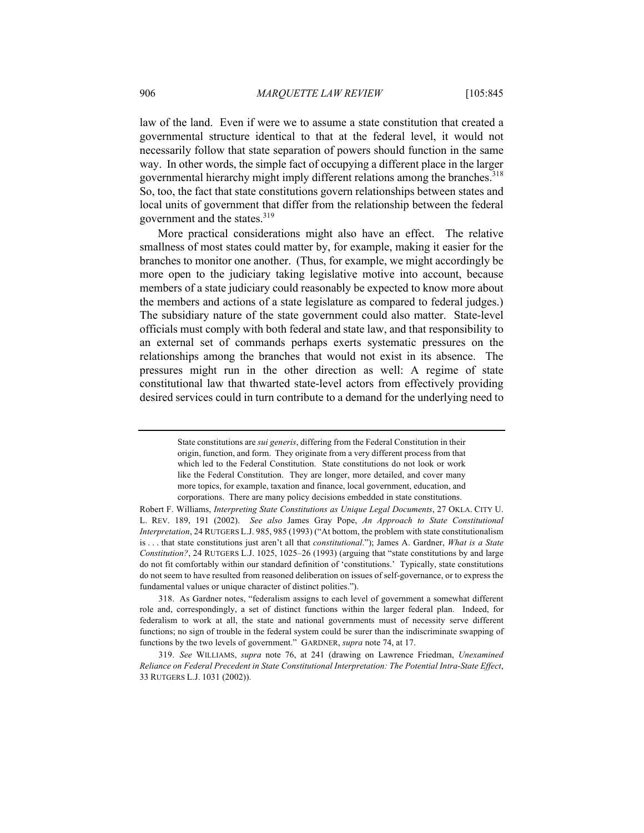law of the land. Even if were we to assume a state constitution that created a governmental structure identical to that at the federal level, it would not necessarily follow that state separation of powers should function in the same way. In other words, the simple fact of occupying a different place in the larger governmental hierarchy might imply different relations among the branches.<sup>318</sup> So, too, the fact that state constitutions govern relationships between states and local units of government that differ from the relationship between the federal government and the states.<sup>319</sup>

More practical considerations might also have an effect. The relative smallness of most states could matter by, for example, making it easier for the branches to monitor one another. (Thus, for example, we might accordingly be more open to the judiciary taking legislative motive into account, because members of a state judiciary could reasonably be expected to know more about the members and actions of a state legislature as compared to federal judges.) The subsidiary nature of the state government could also matter. State-level officials must comply with both federal and state law, and that responsibility to an external set of commands perhaps exerts systematic pressures on the relationships among the branches that would not exist in its absence. The pressures might run in the other direction as well: A regime of state constitutional law that thwarted state-level actors from effectively providing desired services could in turn contribute to a demand for the underlying need to

State constitutions are *sui generis*, differing from the Federal Constitution in their origin, function, and form. They originate from a very different process from that which led to the Federal Constitution. State constitutions do not look or work like the Federal Constitution. They are longer, more detailed, and cover many more topics, for example, taxation and finance, local government, education, and corporations. There are many policy decisions embedded in state constitutions.

Robert F. Williams, *Interpreting State Constitutions as Unique Legal Documents*, 27 OKLA. CITY U. L. REV. 189, 191 (2002). *See also* James Gray Pope, *An Approach to State Constitutional Interpretation*, 24 RUTGERS L.J. 985, 985 (1993) ("At bottom, the problem with state constitutionalism is . . . that state constitutions just aren't all that *constitutional*."); James A. Gardner, *What is a State Constitution?*, 24 RUTGERS L.J. 1025, 1025–26 (1993) (arguing that "state constitutions by and large do not fit comfortably within our standard definition of 'constitutions.' Typically, state constitutions do not seem to have resulted from reasoned deliberation on issues of self-governance, or to express the fundamental values or unique character of distinct polities.").

<sup>318.</sup> As Gardner notes, "federalism assigns to each level of government a somewhat different role and, correspondingly, a set of distinct functions within the larger federal plan. Indeed, for federalism to work at all, the state and national governments must of necessity serve different functions; no sign of trouble in the federal system could be surer than the indiscriminate swapping of functions by the two levels of government." GARDNER, *supra* note 74, at 17.

<sup>319.</sup> *See* WILLIAMS, *supra* note 76, at 241 (drawing on Lawrence Friedman, *Unexamined Reliance on Federal Precedent in State Constitutional Interpretation: The Potential Intra-State Effect*, 33 RUTGERS L.J. 1031 (2002)).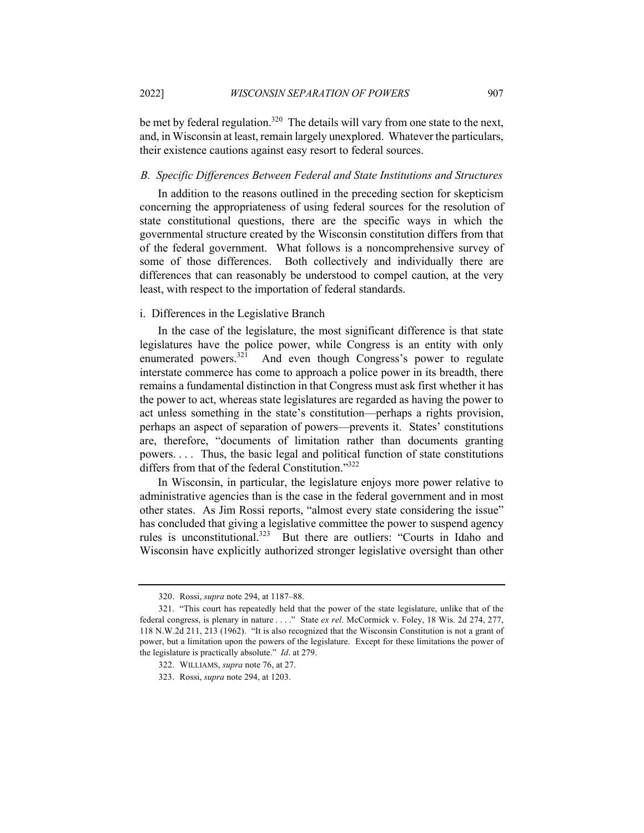be met by federal regulation.<sup>320</sup> The details will vary from one state to the next, and, in Wisconsin at least, remain largely unexplored. Whatever the particulars, their existence cautions against easy resort to federal sources.

#### *B. Specific Differences Between Federal and State Institutions and Structures*

In addition to the reasons outlined in the preceding section for skepticism concerning the appropriateness of using federal sources for the resolution of state constitutional questions, there are the specific ways in which the governmental structure created by the Wisconsin constitution differs from that of the federal government. What follows is a noncomprehensive survey of some of those differences. Both collectively and individually there are differences that can reasonably be understood to compel caution, at the very least, with respect to the importation of federal standards.

## i. Differences in the Legislative Branch

In the case of the legislature, the most significant difference is that state legislatures have the police power, while Congress is an entity with only enumerated powers.<sup>321</sup> And even though Congress's power to regulate interstate commerce has come to approach a police power in its breadth, there remains a fundamental distinction in that Congress must ask first whether it has the power to act, whereas state legislatures are regarded as having the power to act unless something in the state's constitution—perhaps a rights provision, perhaps an aspect of separation of powers—prevents it. States' constitutions are, therefore, "documents of limitation rather than documents granting powers. . . . Thus, the basic legal and political function of state constitutions differs from that of the federal Constitution."322

In Wisconsin, in particular, the legislature enjoys more power relative to administrative agencies than is the case in the federal government and in most other states. As Jim Rossi reports, "almost every state considering the issue" has concluded that giving a legislative committee the power to suspend agency rules is unconstitutional.<sup>323</sup> But there are outliers: "Courts in Idaho and Wisconsin have explicitly authorized stronger legislative oversight than other

<sup>320.</sup> Rossi, *supra* note 294, at 1187–88.

<sup>321.</sup> "This court has repeatedly held that the power of the state legislature, unlike that of the federal congress, is plenary in nature . . . ." State *ex rel*. McCormick v. Foley, 18 Wis. 2d 274, 277, 118 N.W.2d 211, 213 (1962). "It is also recognized that the Wisconsin Constitution is not a grant of power, but a limitation upon the powers of the legislature. Except for these limitations the power of the legislature is practically absolute." *Id*. at 279.

<sup>322.</sup> WILLIAMS, *supra* note 76, at 27.

<sup>323.</sup> Rossi, *supra* note 294, at 1203.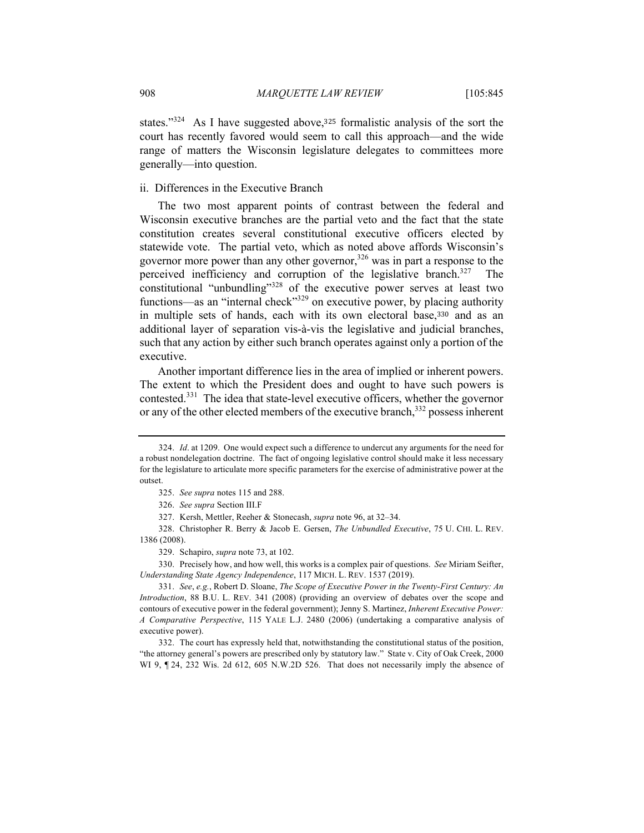states."<sup>324</sup> As I have suggested above,<sup>325</sup> formalistic analysis of the sort the court has recently favored would seem to call this approach—and the wide range of matters the Wisconsin legislature delegates to committees more generally—into question.

### ii. Differences in the Executive Branch

The two most apparent points of contrast between the federal and Wisconsin executive branches are the partial veto and the fact that the state constitution creates several constitutional executive officers elected by statewide vote. The partial veto, which as noted above affords Wisconsin's governor more power than any other governor,<sup>326</sup> was in part a response to the perceived inefficiency and corruption of the legislative branch.<sup>327</sup> The constitutional "unbundling"<sup>328</sup> of the executive power serves at least two functions—as an "internal check"<sup>329</sup> on executive power, by placing authority in multiple sets of hands, each with its own electoral base,<sup>330</sup> and as an additional layer of separation vis-à-vis the legislative and judicial branches, such that any action by either such branch operates against only a portion of the executive.

Another important difference lies in the area of implied or inherent powers. The extent to which the President does and ought to have such powers is contested.<sup>331</sup> The idea that state-level executive officers, whether the governor or any of the other elected members of the executive branch,<sup>332</sup> possess inherent

330. Precisely how, and how well, this works is a complex pair of questions. *See* Miriam Seifter, *Understanding State Agency Independence*, 117 MICH. L. REV. 1537 (2019).

331. *See*, *e.g.*, Robert D. Sloane, *The Scope of Executive Power in the Twenty-First Century: An Introduction*, 88 B.U. L. REV. 341 (2008) (providing an overview of debates over the scope and contours of executive power in the federal government); Jenny S. Martinez, *Inherent Executive Power: A Comparative Perspective*, 115 YALE L.J. 2480 (2006) (undertaking a comparative analysis of executive power).

332. The court has expressly held that, notwithstanding the constitutional status of the position, "the attorney general's powers are prescribed only by statutory law." State v. City of Oak Creek, 2000 WI 9,  $\P$  24, 232 Wis. 2d 612, 605 N.W.2D 526. That does not necessarily imply the absence of

<sup>324.</sup> *Id*. at 1209. One would expect such a difference to undercut any arguments for the need for a robust nondelegation doctrine. The fact of ongoing legislative control should make it less necessary for the legislature to articulate more specific parameters for the exercise of administrative power at the outset.

<sup>325.</sup> *See supra* notes 115 and 288.

<sup>326.</sup> *See supra* Section III.F

<sup>327.</sup> Kersh, Mettler, Reeher & Stonecash, *supra* note 96, at 32–34.

<sup>328.</sup> Christopher R. Berry & Jacob E. Gersen, *The Unbundled Executive*, 75 U. CHI. L. REV. 1386 (2008).

<sup>329.</sup> Schapiro, *supra* note 73, at 102.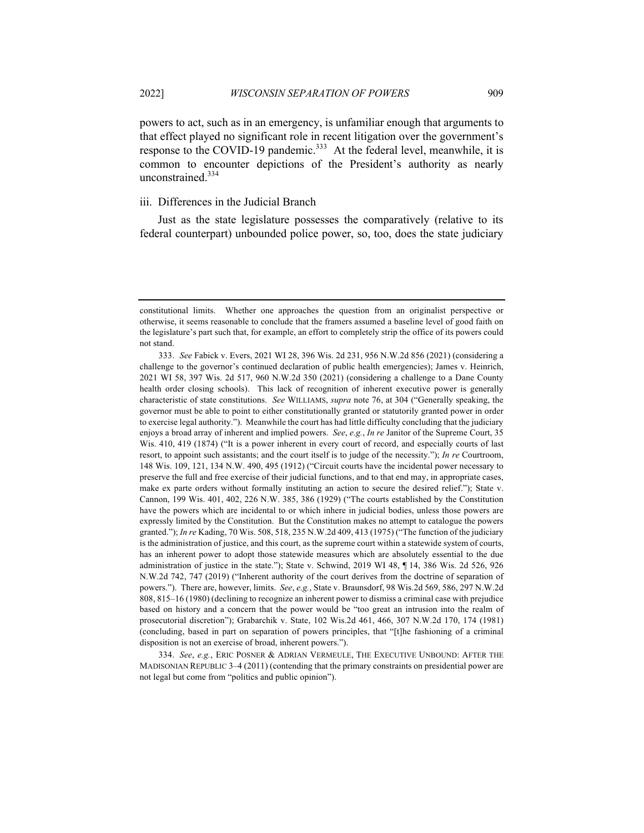powers to act, such as in an emergency, is unfamiliar enough that arguments to that effect played no significant role in recent litigation over the government's response to the COVID-19 pandemic.<sup>333</sup> At the federal level, meanwhile, it is common to encounter depictions of the President's authority as nearly unconstrained.<sup>334</sup>

## iii. Differences in the Judicial Branch

Just as the state legislature possesses the comparatively (relative to its federal counterpart) unbounded police power, so, too, does the state judiciary

constitutional limits. Whether one approaches the question from an originalist perspective or otherwise, it seems reasonable to conclude that the framers assumed a baseline level of good faith on the legislature's part such that, for example, an effort to completely strip the office of its powers could not stand.

<sup>333.</sup> *See* Fabick v. Evers, 2021 WI 28, 396 Wis. 2d 231, 956 N.W.2d 856 (2021) (considering a challenge to the governor's continued declaration of public health emergencies); James v. Heinrich, 2021 WI 58, 397 Wis. 2d 517, 960 N.W.2d 350 (2021) (considering a challenge to a Dane County health order closing schools). This lack of recognition of inherent executive power is generally characteristic of state constitutions. *See* WILLIAMS, *supra* note 76, at 304 ("Generally speaking, the governor must be able to point to either constitutionally granted or statutorily granted power in order to exercise legal authority."). Meanwhile the court has had little difficulty concluding that the judiciary enjoys a broad array of inherent and implied powers. *See*, *e.g.*, *In re* Janitor of the Supreme Court, 35 Wis. 410, 419 (1874) ("It is a power inherent in every court of record, and especially courts of last resort, to appoint such assistants; and the court itself is to judge of the necessity."); *In re* Courtroom, 148 Wis. 109, 121, 134 N.W. 490, 495 (1912) ("Circuit courts have the incidental power necessary to preserve the full and free exercise of their judicial functions, and to that end may, in appropriate cases, make ex parte orders without formally instituting an action to secure the desired relief."); State v. Cannon, 199 Wis. 401, 402, 226 N.W. 385, 386 (1929) ("The courts established by the Constitution have the powers which are incidental to or which inhere in judicial bodies, unless those powers are expressly limited by the Constitution. But the Constitution makes no attempt to catalogue the powers granted."); *In re* Kading, 70 Wis. 508, 518, 235 N.W.2d 409, 413 (1975) ("The function of the judiciary is the administration of justice, and this court, as the supreme court within a statewide system of courts, has an inherent power to adopt those statewide measures which are absolutely essential to the due administration of justice in the state."); State v. Schwind, 2019 WI 48, ¶ 14, 386 Wis. 2d 526, 926 N.W.2d 742, 747 (2019) ("Inherent authority of the court derives from the doctrine of separation of powers."). There are, however, limits. *See*, *e.g.*, State v. Braunsdorf, 98 Wis.2d 569, 586, 297 N.W.2d 808, 815–16 (1980) (declining to recognize an inherent power to dismiss a criminal case with prejudice based on history and a concern that the power would be "too great an intrusion into the realm of prosecutorial discretion"); Grabarchik v. State, 102 Wis.2d 461, 466, 307 N.W.2d 170, 174 (1981) (concluding, based in part on separation of powers principles, that "[t]he fashioning of a criminal disposition is not an exercise of broad, inherent powers.").

<sup>334.</sup> *See*, *e.g.*, ERIC POSNER & ADRIAN VERMEULE, THE EXECUTIVE UNBOUND: AFTER THE MADISONIAN REPUBLIC 3–4 (2011) (contending that the primary constraints on presidential power are not legal but come from "politics and public opinion").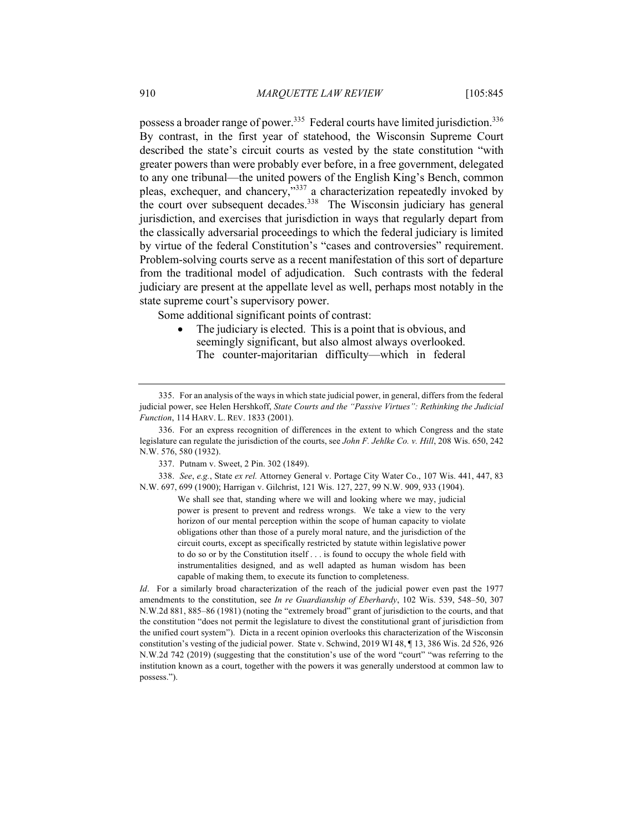possess a broader range of power.<sup>335</sup> Federal courts have limited jurisdiction.<sup>336</sup> By contrast, in the first year of statehood, the Wisconsin Supreme Court described the state's circuit courts as vested by the state constitution "with greater powers than were probably ever before, in a free government, delegated to any one tribunal—the united powers of the English King's Bench, common pleas, exchequer, and chancery,"337 a characterization repeatedly invoked by the court over subsequent decades.<sup>338</sup> The Wisconsin judiciary has general jurisdiction, and exercises that jurisdiction in ways that regularly depart from the classically adversarial proceedings to which the federal judiciary is limited by virtue of the federal Constitution's "cases and controversies" requirement. Problem-solving courts serve as a recent manifestation of this sort of departure from the traditional model of adjudication. Such contrasts with the federal judiciary are present at the appellate level as well, perhaps most notably in the state supreme court's supervisory power.

Some additional significant points of contrast:

The judiciary is elected. This is a point that is obvious, and seemingly significant, but also almost always overlooked. The counter-majoritarian difficulty—which in federal

338. *See*, *e.g.*, State *ex rel.* Attorney General v. Portage City Water Co., 107 Wis. 441, 447, 83 N.W. 697, 699 (1900); Harrigan v. Gilchrist, 121 Wis. 127, 227, 99 N.W. 909, 933 (1904).

> We shall see that, standing where we will and looking where we may, judicial power is present to prevent and redress wrongs. We take a view to the very horizon of our mental perception within the scope of human capacity to violate obligations other than those of a purely moral nature, and the jurisdiction of the circuit courts, except as specifically restricted by statute within legislative power to do so or by the Constitution itself . . . is found to occupy the whole field with instrumentalities designed, and as well adapted as human wisdom has been capable of making them, to execute its function to completeness.

<sup>335.</sup> For an analysis of the ways in which state judicial power, in general, differs from the federal judicial power, see Helen Hershkoff, *State Courts and the "Passive Virtues": Rethinking the Judicial Function*, 114 HARV. L. REV. 1833 (2001).

<sup>336.</sup> For an express recognition of differences in the extent to which Congress and the state legislature can regulate the jurisdiction of the courts, see *John F. Jehlke Co. v. Hill*, 208 Wis. 650, 242 N.W. 576, 580 (1932).

<sup>337.</sup> Putnam v. Sweet, 2 Pin. 302 (1849).

*Id*. For a similarly broad characterization of the reach of the judicial power even past the 1977 amendments to the constitution, see *In re Guardianship of Eberhardy*, 102 Wis. 539, 548–50, 307 N.W.2d 881, 885–86 (1981) (noting the "extremely broad" grant of jurisdiction to the courts, and that the constitution "does not permit the legislature to divest the constitutional grant of jurisdiction from the unified court system"). Dicta in a recent opinion overlooks this characterization of the Wisconsin constitution's vesting of the judicial power. State v. Schwind, 2019 WI 48, ¶ 13, 386 Wis. 2d 526, 926 N.W.2d 742 (2019) (suggesting that the constitution's use of the word "court" "was referring to the institution known as a court, together with the powers it was generally understood at common law to possess.").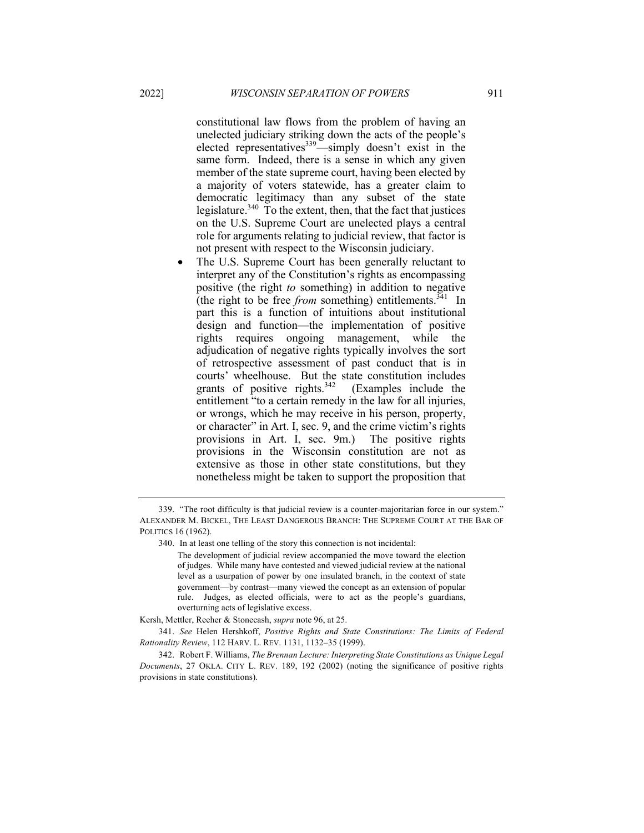constitutional law flows from the problem of having an unelected judiciary striking down the acts of the people's elected representatives<sup>339</sup>—simply doesn't exist in the same form. Indeed, there is a sense in which any given member of the state supreme court, having been elected by a majority of voters statewide, has a greater claim to democratic legitimacy than any subset of the state legislature.<sup>340</sup> To the extent, then, that the fact that justices on the U.S. Supreme Court are unelected plays a central role for arguments relating to judicial review, that factor is not present with respect to the Wisconsin judiciary.

The U.S. Supreme Court has been generally reluctant to interpret any of the Constitution's rights as encompassing positive (the right *to* something) in addition to negative (the right to be free *from* something) entitlements.<sup>341</sup> In part this is a function of intuitions about institutional design and function—the implementation of positive rights requires ongoing management, while the adjudication of negative rights typically involves the sort of retrospective assessment of past conduct that is in courts' wheelhouse. But the state constitution includes grants of positive rights. $342$  (Examples include the entitlement "to a certain remedy in the law for all injuries, or wrongs, which he may receive in his person, property, or character" in Art. I, sec. 9, and the crime victim's rights provisions in Art. I, sec. 9m.) The positive rights provisions in the Wisconsin constitution are not as extensive as those in other state constitutions, but they nonetheless might be taken to support the proposition that

340. In at least one telling of the story this connection is not incidental:

Kersh, Mettler, Reeher & Stonecash, *supra* note 96, at 25.

341. *See* Helen Hershkoff, *Positive Rights and State Constitutions: The Limits of Federal Rationality Review*, 112 HARV. L. REV. 1131, 1132–35 (1999).

342. Robert F. Williams, *The Brennan Lecture: Interpreting State Constitutions as Unique Legal Documents*, 27 OKLA. CITY L. REV. 189, 192 (2002) (noting the significance of positive rights provisions in state constitutions).

<sup>339.</sup> "The root difficulty is that judicial review is a counter-majoritarian force in our system." ALEXANDER M. BICKEL, THE LEAST DANGEROUS BRANCH: THE SUPREME COURT AT THE BAR OF POLITICS 16 (1962).

The development of judicial review accompanied the move toward the election of judges. While many have contested and viewed judicial review at the national level as a usurpation of power by one insulated branch, in the context of state government—by contrast—many viewed the concept as an extension of popular rule. Judges, as elected officials, were to act as the people's guardians, overturning acts of legislative excess.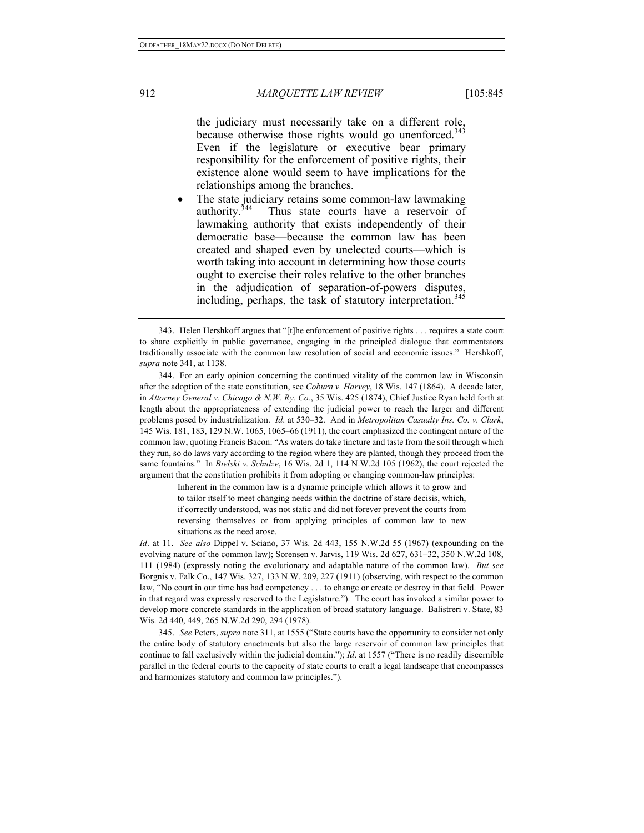## 912 *MARQUETTE LAW REVIEW* [105:845

the judiciary must necessarily take on a different role, because otherwise those rights would go unenforced.<sup>343</sup> Even if the legislature or executive bear primary responsibility for the enforcement of positive rights, their existence alone would seem to have implications for the relationships among the branches.

The state judiciary retains some common-law lawmaking authority.<sup>344</sup> Thus state courts have a reservoir of lawmaking authority that exists independently of their democratic base—because the common law has been created and shaped even by unelected courts—which is worth taking into account in determining how those courts ought to exercise their roles relative to the other branches in the adjudication of separation-of-powers disputes, including, perhaps, the task of statutory interpretation.<sup>345</sup>

344. For an early opinion concerning the continued vitality of the common law in Wisconsin after the adoption of the state constitution, see *Coburn v. Harvey*, 18 Wis. 147 (1864). A decade later, in *Attorney General v. Chicago & N.W. Ry. Co.*, 35 Wis. 425 (1874), Chief Justice Ryan held forth at length about the appropriateness of extending the judicial power to reach the larger and different problems posed by industrialization. *Id*. at 530–32. And in *Metropolitan Casualty Ins. Co. v. Clark*, 145 Wis. 181, 183, 129 N.W. 1065, 1065–66 (1911), the court emphasized the contingent nature of the common law, quoting Francis Bacon: "As waters do take tincture and taste from the soil through which they run, so do laws vary according to the region where they are planted, though they proceed from the same fountains." In *Bielski v. Schulze*, 16 Wis. 2d 1, 114 N.W.2d 105 (1962), the court rejected the argument that the constitution prohibits it from adopting or changing common-law principles:

> Inherent in the common law is a dynamic principle which allows it to grow and to tailor itself to meet changing needs within the doctrine of stare decisis, which, if correctly understood, was not static and did not forever prevent the courts from reversing themselves or from applying principles of common law to new situations as the need arose.

*Id*. at 11. *See also* Dippel v. Sciano, 37 Wis. 2d 443, 155 N.W.2d 55 (1967) (expounding on the evolving nature of the common law); Sorensen v. Jarvis, 119 Wis. 2d 627, 631–32, 350 N.W.2d 108, 111 (1984) (expressly noting the evolutionary and adaptable nature of the common law). *But see* Borgnis v. Falk Co., 147 Wis. 327, 133 N.W. 209, 227 (1911) (observing, with respect to the common law, "No court in our time has had competency . . . to change or create or destroy in that field. Power in that regard was expressly reserved to the Legislature."). The court has invoked a similar power to develop more concrete standards in the application of broad statutory language. Balistreri v. State, 83 Wis. 2d 440, 449, 265 N.W.2d 290, 294 (1978).

345. *See* Peters, *supra* note 311, at 1555 ("State courts have the opportunity to consider not only the entire body of statutory enactments but also the large reservoir of common law principles that continue to fall exclusively within the judicial domain."); *Id*. at 1557 ("There is no readily discernible parallel in the federal courts to the capacity of state courts to craft a legal landscape that encompasses and harmonizes statutory and common law principles.").

<sup>343.</sup> Helen Hershkoff argues that "[t]he enforcement of positive rights . . . requires a state court to share explicitly in public governance, engaging in the principled dialogue that commentators traditionally associate with the common law resolution of social and economic issues." Hershkoff, *supra* note 341, at 1138.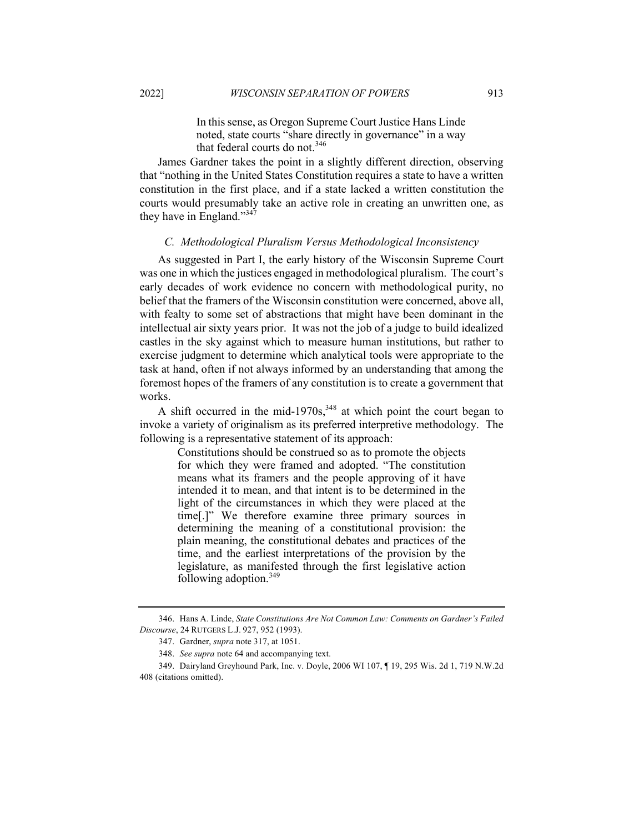In this sense, as Oregon Supreme Court Justice Hans Linde noted, state courts "share directly in governance" in a way

that federal courts do not.<sup>346</sup>

James Gardner takes the point in a slightly different direction, observing that "nothing in the United States Constitution requires a state to have a written constitution in the first place, and if a state lacked a written constitution the courts would presumably take an active role in creating an unwritten one, as they have in England."<sup>347</sup>

### *C. Methodological Pluralism Versus Methodological Inconsistency*

As suggested in Part I, the early history of the Wisconsin Supreme Court was one in which the justices engaged in methodological pluralism. The court's early decades of work evidence no concern with methodological purity, no belief that the framers of the Wisconsin constitution were concerned, above all, with fealty to some set of abstractions that might have been dominant in the intellectual air sixty years prior. It was not the job of a judge to build idealized castles in the sky against which to measure human institutions, but rather to exercise judgment to determine which analytical tools were appropriate to the task at hand, often if not always informed by an understanding that among the foremost hopes of the framers of any constitution is to create a government that works.

A shift occurred in the mid-1970s,  $348$  at which point the court began to invoke a variety of originalism as its preferred interpretive methodology. The following is a representative statement of its approach:

> Constitutions should be construed so as to promote the objects for which they were framed and adopted. "The constitution means what its framers and the people approving of it have intended it to mean, and that intent is to be determined in the light of the circumstances in which they were placed at the time[.]" We therefore examine three primary sources in determining the meaning of a constitutional provision: the plain meaning, the constitutional debates and practices of the time, and the earliest interpretations of the provision by the legislature, as manifested through the first legislative action following adoption.<sup>349</sup>

<sup>346.</sup> Hans A. Linde, *State Constitutions Are Not Common Law: Comments on Gardner's Failed Discourse*, 24 RUTGERS L.J. 927, 952 (1993).

<sup>347.</sup> Gardner, *supra* note 317, at 1051.

<sup>348.</sup> *See supra* note 64 and accompanying text.

<sup>349.</sup> Dairyland Greyhound Park, Inc. v. Doyle, 2006 WI 107, ¶ 19, 295 Wis. 2d 1, 719 N.W.2d 408 (citations omitted).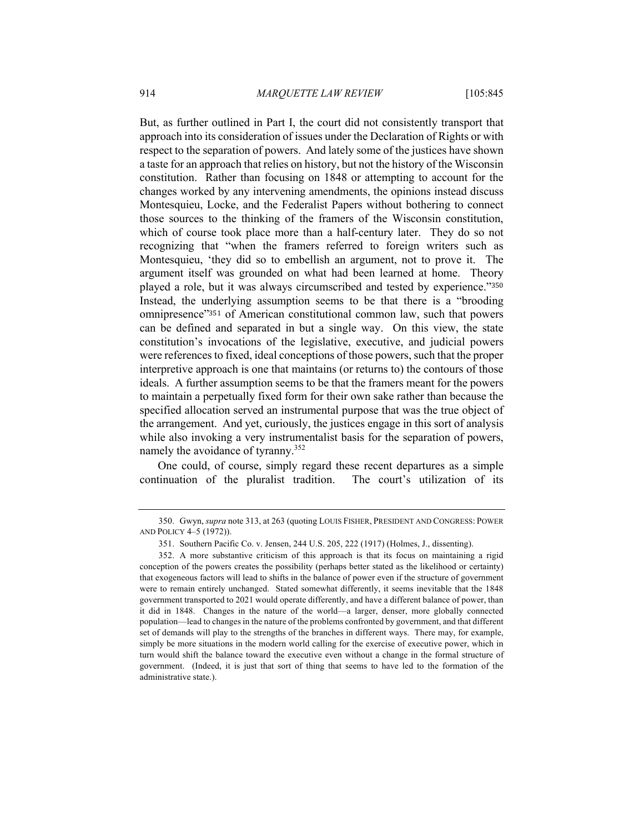But, as further outlined in Part I, the court did not consistently transport that approach into its consideration of issues under the Declaration of Rights or with respect to the separation of powers. And lately some of the justices have shown a taste for an approach that relies on history, but not the history of the Wisconsin constitution. Rather than focusing on 1848 or attempting to account for the changes worked by any intervening amendments, the opinions instead discuss Montesquieu, Locke, and the Federalist Papers without bothering to connect those sources to the thinking of the framers of the Wisconsin constitution, which of course took place more than a half-century later. They do so not recognizing that "when the framers referred to foreign writers such as Montesquieu, 'they did so to embellish an argument, not to prove it. The argument itself was grounded on what had been learned at home. Theory played a role, but it was always circumscribed and tested by experience."<sup>350</sup> Instead, the underlying assumption seems to be that there is a "brooding omnipresence"<sup>351</sup> of American constitutional common law, such that powers can be defined and separated in but a single way. On this view, the state constitution's invocations of the legislative, executive, and judicial powers were references to fixed, ideal conceptions of those powers, such that the proper interpretive approach is one that maintains (or returns to) the contours of those ideals. A further assumption seems to be that the framers meant for the powers to maintain a perpetually fixed form for their own sake rather than because the specified allocation served an instrumental purpose that was the true object of the arrangement. And yet, curiously, the justices engage in this sort of analysis while also invoking a very instrumentalist basis for the separation of powers, namely the avoidance of tyranny.<sup>352</sup>

One could, of course, simply regard these recent departures as a simple continuation of the pluralist tradition. The court's utilization of its

<sup>350.</sup> Gwyn, *supra* note 313, at 263 (quoting LOUIS FISHER, PRESIDENT AND CONGRESS: POWER AND POLICY 4–5 (1972)).

<sup>351.</sup> Southern Pacific Co. v. Jensen, 244 U.S. 205, 222 (1917) (Holmes, J., dissenting).

<sup>352.</sup> A more substantive criticism of this approach is that its focus on maintaining a rigid conception of the powers creates the possibility (perhaps better stated as the likelihood or certainty) that exogeneous factors will lead to shifts in the balance of power even if the structure of government were to remain entirely unchanged. Stated somewhat differently, it seems inevitable that the 1848 government transported to 2021 would operate differently, and have a different balance of power, than it did in 1848. Changes in the nature of the world—a larger, denser, more globally connected population—lead to changes in the nature of the problems confronted by government, and that different set of demands will play to the strengths of the branches in different ways. There may, for example, simply be more situations in the modern world calling for the exercise of executive power, which in turn would shift the balance toward the executive even without a change in the formal structure of government. (Indeed, it is just that sort of thing that seems to have led to the formation of the administrative state.).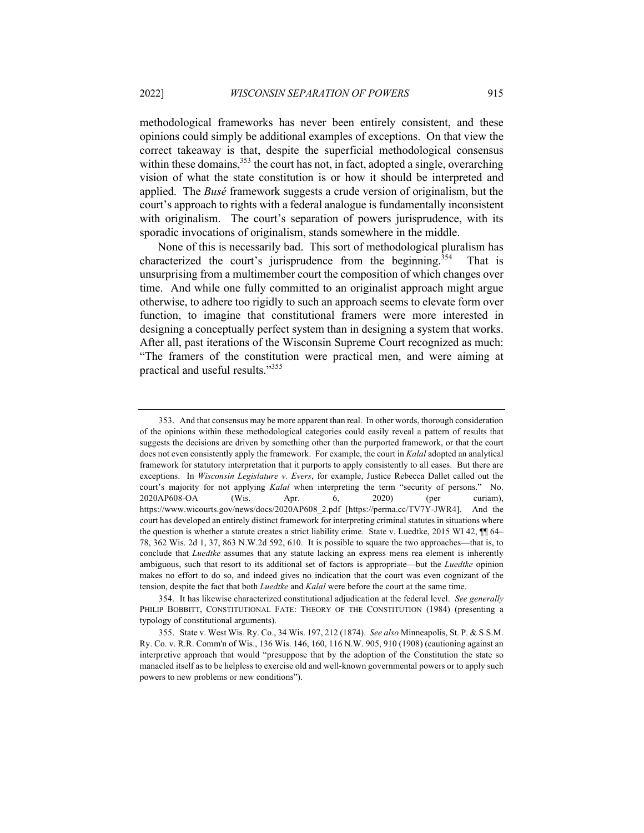methodological frameworks has never been entirely consistent, and these opinions could simply be additional examples of exceptions. On that view the correct takeaway is that, despite the superficial methodological consensus within these domains,  $353$  the court has not, in fact, adopted a single, overarching vision of what the state constitution is or how it should be interpreted and applied. The *Busé* framework suggests a crude version of originalism, but the court's approach to rights with a federal analogue is fundamentally inconsistent with originalism. The court's separation of powers jurisprudence, with its sporadic invocations of originalism, stands somewhere in the middle.

None of this is necessarily bad. This sort of methodological pluralism has characterized the court's jurisprudence from the beginning.<sup>354</sup> That is unsurprising from a multimember court the composition of which changes over time. And while one fully committed to an originalist approach might argue otherwise, to adhere too rigidly to such an approach seems to elevate form over function, to imagine that constitutional framers were more interested in designing a conceptually perfect system than in designing a system that works. After all, past iterations of the Wisconsin Supreme Court recognized as much: "The framers of the constitution were practical men, and were aiming at practical and useful results."355

<sup>353.</sup> And that consensus may be more apparent than real. In other words, thorough consideration of the opinions within these methodological categories could easily reveal a pattern of results that suggests the decisions are driven by something other than the purported framework, or that the court does not even consistently apply the framework. For example, the court in *Kalal* adopted an analytical framework for statutory interpretation that it purports to apply consistently to all cases. But there are exceptions. In *Wisconsin Legislature v. Evers*, for example, Justice Rebecca Dallet called out the court's majority for not applying *Kalal* when interpreting the term "security of persons." No. 2020AP608-OA (Wis. Apr. 6, 2020) (per curiam), https://www.wicourts.gov/news/docs/2020AP608\_2.pdf [https://perma.cc/TV7Y-JWR4]. And the court has developed an entirely distinct framework for interpreting criminal statutes in situations where the question is whether a statute creates a strict liability crime. State v. Luedtke, 2015 WI 42,  $\P$  64– 78, 362 Wis. 2d 1, 37, 863 N.W.2d 592, 610. It is possible to square the two approaches—that is, to conclude that *Luedtke* assumes that any statute lacking an express mens rea element is inherently ambiguous, such that resort to its additional set of factors is appropriate—but the *Luedtke* opinion makes no effort to do so, and indeed gives no indication that the court was even cognizant of the tension, despite the fact that both *Luedtke* and *Kalal* were before the court at the same time.

<sup>354.</sup> It has likewise characterized constitutional adjudication at the federal level. *See generally* PHILIP BOBBITT, CONSTITUTIONAL FATE: THEORY OF THE CONSTITUTION (1984) (presenting a typology of constitutional arguments).

<sup>355.</sup> State v. West Wis. Ry. Co., 34 Wis. 197, 212 (1874). *See also* Minneapolis, St. P. & S.S.M. Ry. Co. v. R.R. Comm'n of Wis., 136 Wis. 146, 160, 116 N.W. 905, 910 (1908) (cautioning against an interpretive approach that would "presuppose that by the adoption of the Constitution the state so manacled itself as to be helpless to exercise old and well-known governmental powers or to apply such powers to new problems or new conditions").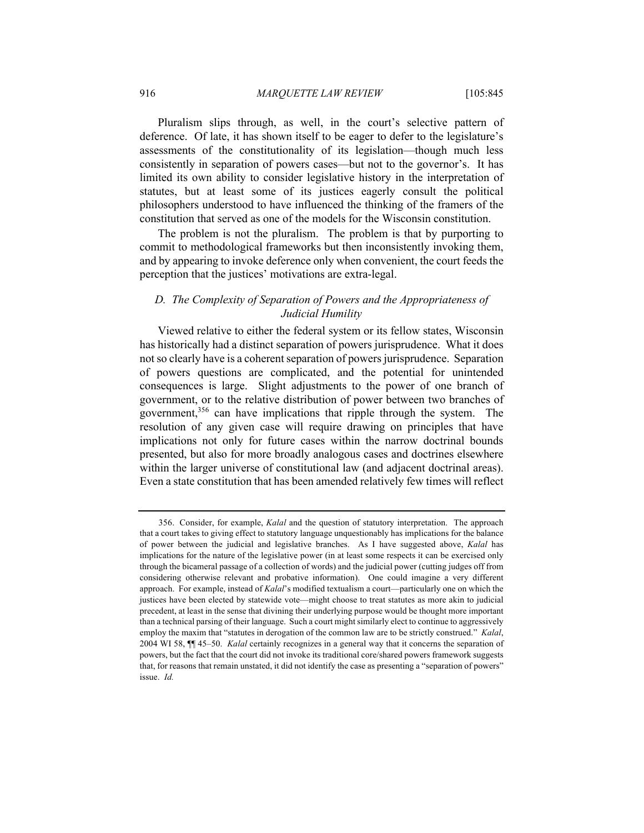Pluralism slips through, as well, in the court's selective pattern of deference. Of late, it has shown itself to be eager to defer to the legislature's assessments of the constitutionality of its legislation—though much less consistently in separation of powers cases—but not to the governor's. It has limited its own ability to consider legislative history in the interpretation of statutes, but at least some of its justices eagerly consult the political philosophers understood to have influenced the thinking of the framers of the constitution that served as one of the models for the Wisconsin constitution.

The problem is not the pluralism. The problem is that by purporting to commit to methodological frameworks but then inconsistently invoking them, and by appearing to invoke deference only when convenient, the court feeds the perception that the justices' motivations are extra-legal.

## *D. The Complexity of Separation of Powers and the Appropriateness of Judicial Humility*

Viewed relative to either the federal system or its fellow states, Wisconsin has historically had a distinct separation of powers jurisprudence. What it does not so clearly have is a coherent separation of powers jurisprudence. Separation of powers questions are complicated, and the potential for unintended consequences is large. Slight adjustments to the power of one branch of government, or to the relative distribution of power between two branches of government,<sup>356</sup> can have implications that ripple through the system. The resolution of any given case will require drawing on principles that have implications not only for future cases within the narrow doctrinal bounds presented, but also for more broadly analogous cases and doctrines elsewhere within the larger universe of constitutional law (and adjacent doctrinal areas). Even a state constitution that has been amended relatively few times will reflect

<sup>356.</sup> Consider, for example, *Kalal* and the question of statutory interpretation. The approach that a court takes to giving effect to statutory language unquestionably has implications for the balance of power between the judicial and legislative branches. As I have suggested above, *Kalal* has implications for the nature of the legislative power (in at least some respects it can be exercised only through the bicameral passage of a collection of words) and the judicial power (cutting judges off from considering otherwise relevant and probative information). One could imagine a very different approach. For example, instead of *Kalal*'s modified textualism a court—particularly one on which the justices have been elected by statewide vote—might choose to treat statutes as more akin to judicial precedent, at least in the sense that divining their underlying purpose would be thought more important than a technical parsing of their language. Such a court might similarly elect to continue to aggressively employ the maxim that "statutes in derogation of the common law are to be strictly construed." *Kalal*, 2004 WI 58, ¶¶ 45–50. *Kalal* certainly recognizes in a general way that it concerns the separation of powers, but the fact that the court did not invoke its traditional core/shared powers framework suggests that, for reasons that remain unstated, it did not identify the case as presenting a "separation of powers" issue. *Id.*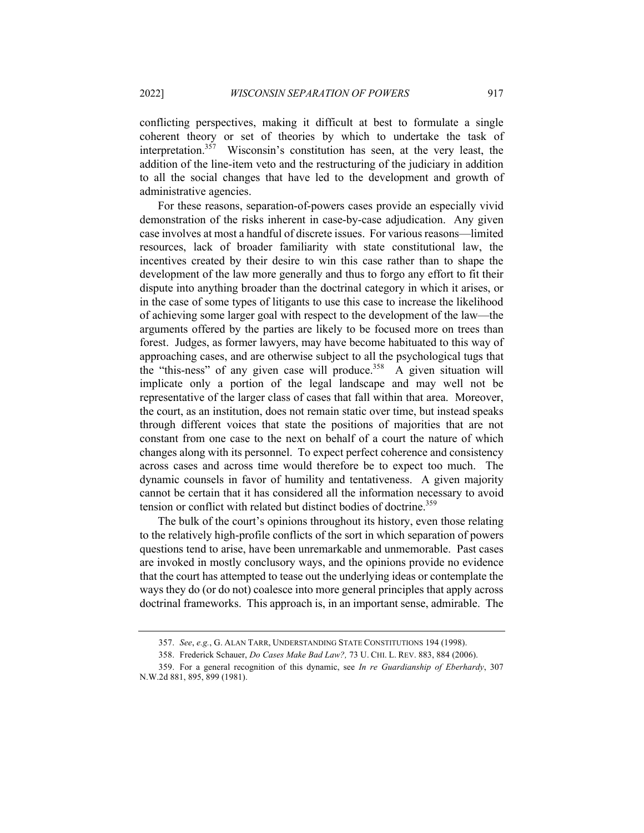conflicting perspectives, making it difficult at best to formulate a single coherent theory or set of theories by which to undertake the task of interpretation.<sup>357</sup> Wisconsin's constitution has seen, at the very least, the addition of the line-item veto and the restructuring of the judiciary in addition to all the social changes that have led to the development and growth of administrative agencies.

For these reasons, separation-of-powers cases provide an especially vivid demonstration of the risks inherent in case-by-case adjudication. Any given case involves at most a handful of discrete issues. For various reasons—limited resources, lack of broader familiarity with state constitutional law, the incentives created by their desire to win this case rather than to shape the development of the law more generally and thus to forgo any effort to fit their dispute into anything broader than the doctrinal category in which it arises, or in the case of some types of litigants to use this case to increase the likelihood of achieving some larger goal with respect to the development of the law—the arguments offered by the parties are likely to be focused more on trees than forest. Judges, as former lawyers, may have become habituated to this way of approaching cases, and are otherwise subject to all the psychological tugs that the "this-ness" of any given case will produce.<sup>358</sup> A given situation will implicate only a portion of the legal landscape and may well not be representative of the larger class of cases that fall within that area. Moreover, the court, as an institution, does not remain static over time, but instead speaks through different voices that state the positions of majorities that are not constant from one case to the next on behalf of a court the nature of which changes along with its personnel. To expect perfect coherence and consistency across cases and across time would therefore be to expect too much. The dynamic counsels in favor of humility and tentativeness. A given majority cannot be certain that it has considered all the information necessary to avoid tension or conflict with related but distinct bodies of doctrine.<sup>359</sup>

The bulk of the court's opinions throughout its history, even those relating to the relatively high-profile conflicts of the sort in which separation of powers questions tend to arise, have been unremarkable and unmemorable. Past cases are invoked in mostly conclusory ways, and the opinions provide no evidence that the court has attempted to tease out the underlying ideas or contemplate the ways they do (or do not) coalesce into more general principles that apply across doctrinal frameworks. This approach is, in an important sense, admirable. The

<sup>357.</sup> *See*, *e.g.*, G. ALAN TARR, UNDERSTANDING STATE CONSTITUTIONS 194 (1998).

<sup>358.</sup> Frederick Schauer, *Do Cases Make Bad Law?,* 73 U. CHI. L. REV. 883, 884 (2006).

<sup>359.</sup> For a general recognition of this dynamic, see *In re Guardianship of Eberhardy*, 307 N.W.2d 881, 895, 899 (1981).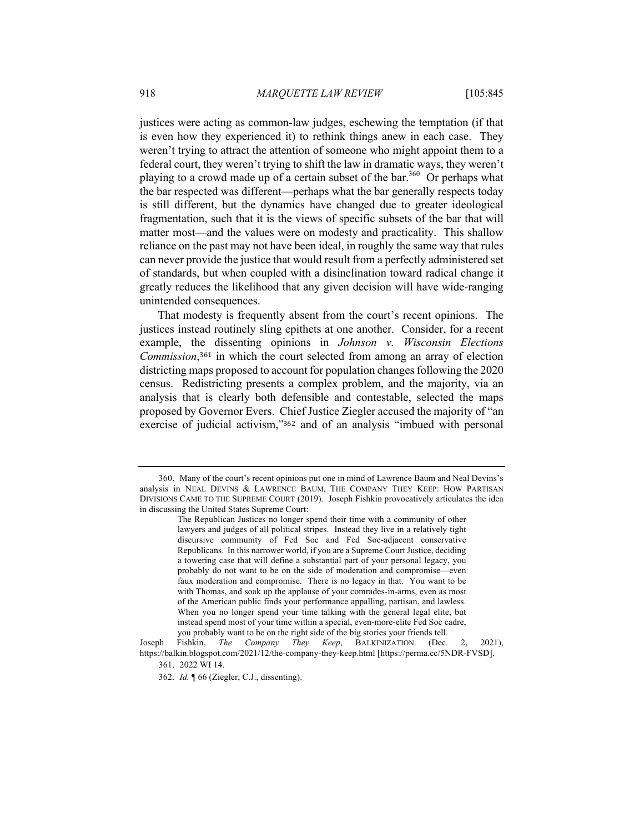justices were acting as common-law judges, eschewing the temptation (if that is even how they experienced it) to rethink things anew in each case. They weren't trying to attract the attention of someone who might appoint them to a federal court, they weren't trying to shift the law in dramatic ways, they weren't playing to a crowd made up of a certain subset of the bar.<sup>360</sup> Or perhaps what the bar respected was different—perhaps what the bar generally respects today is still different, but the dynamics have changed due to greater ideological fragmentation, such that it is the views of specific subsets of the bar that will matter most—and the values were on modesty and practicality. This shallow reliance on the past may not have been ideal, in roughly the same way that rules can never provide the justice that would result from a perfectly administered set of standards, but when coupled with a disinclination toward radical change it greatly reduces the likelihood that any given decision will have wide-ranging unintended consequences.

That modesty is frequently absent from the court's recent opinions. The justices instead routinely sling epithets at one another. Consider, for a recent example, the dissenting opinions in *Johnson v. Wisconsin Elections Commission*,<sup>361</sup> in which the court selected from among an array of election districting maps proposed to account for population changes following the 2020 census. Redistricting presents a complex problem, and the majority, via an analysis that is clearly both defensible and contestable, selected the maps proposed by Governor Evers. Chief Justice Ziegler accused the majority of "an exercise of judicial activism,"<sup>362</sup> and of an analysis "imbued with personal

<sup>360.</sup> Many of the court's recent opinions put one in mind of Lawrence Baum and Neal Devins's analysis in NEAL DEVINS & LAWRENCE BAUM, THE COMPANY THEY KEEP: HOW PARTISAN DIVISIONS CAME TO THE SUPREME COURT (2019). Joseph Fishkin provocatively articulates the idea in discussing the United States Supreme Court:

The Republican Justices no longer spend their time with a community of other lawyers and judges of all political stripes. Instead they live in a relatively tight discursive community of Fed Soc and Fed Soc-adjacent conservative Republicans. In this narrower world, if you are a Supreme Court Justice, deciding a towering case that will define a substantial part of your personal legacy, you probably do not want to be on the side of moderation and compromise—even faux moderation and compromise. There is no legacy in that. You want to be with Thomas, and soak up the applause of your comrades-in-arms, even as most of the American public finds your performance appalling, partisan, and lawless. When you no longer spend your time talking with the general legal elite, but instead spend most of your time within a special, even-more-elite Fed Soc cadre, you probably want to be on the right side of the big stories your friends tell.

Joseph Fishkin, *The Company They Keep*, BALKINIZATION. (Dec. 2, 2021), https://balkin.blogspot.com/2021/12/the-company-they-keep.html [https://perma.cc/5NDR-FVSD].

<sup>361.</sup> 2022 WI 14.

<sup>362.</sup> *Id.* ¶ 66 (Ziegler, C.J., dissenting).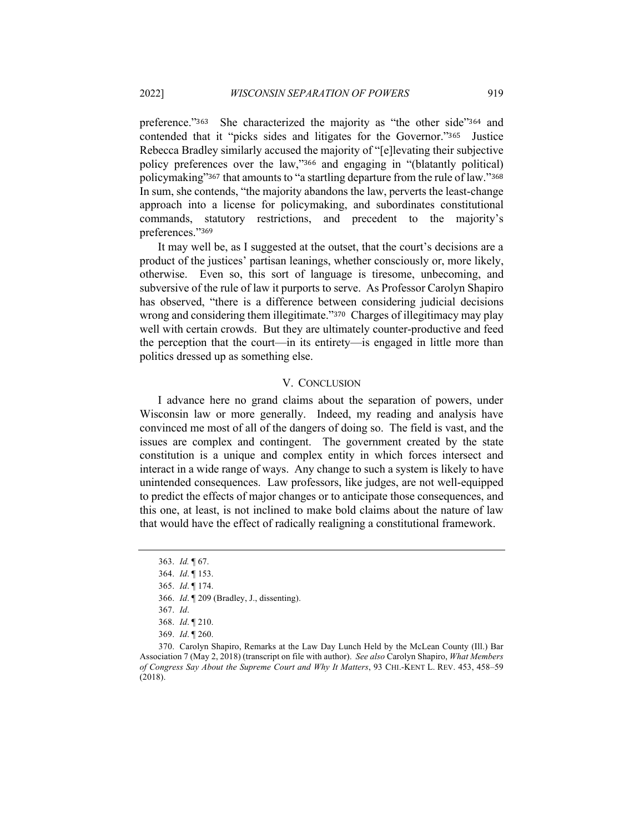preference."363 She characterized the majority as "the other side"<sup>364</sup> and contended that it "picks sides and litigates for the Governor."365 Justice Rebecca Bradley similarly accused the majority of "[e]levating their subjective policy preferences over the law,"<sup>366</sup> and engaging in "(blatantly political) policymaking"<sup>367</sup> that amounts to "a startling departure from the rule of law."<sup>368</sup> In sum, she contends, "the majority abandons the law, perverts the least-change approach into a license for policymaking, and subordinates constitutional commands, statutory restrictions, and precedent to the majority's preferences."<sup>369</sup>

It may well be, as I suggested at the outset, that the court's decisions are a product of the justices' partisan leanings, whether consciously or, more likely, otherwise. Even so, this sort of language is tiresome, unbecoming, and subversive of the rule of law it purports to serve. As Professor Carolyn Shapiro has observed, "there is a difference between considering judicial decisions wrong and considering them illegitimate."<sup>370</sup> Charges of illegitimacy may play well with certain crowds. But they are ultimately counter-productive and feed the perception that the court—in its entirety—is engaged in little more than politics dressed up as something else.

## V. CONCLUSION

I advance here no grand claims about the separation of powers, under Wisconsin law or more generally. Indeed, my reading and analysis have convinced me most of all of the dangers of doing so. The field is vast, and the issues are complex and contingent. The government created by the state constitution is a unique and complex entity in which forces intersect and interact in a wide range of ways. Any change to such a system is likely to have unintended consequences. Law professors, like judges, are not well-equipped to predict the effects of major changes or to anticipate those consequences, and this one, at least, is not inclined to make bold claims about the nature of law that would have the effect of radically realigning a constitutional framework.

<sup>363.</sup> *Id.* ¶ 67.

<sup>364.</sup> *Id*. ¶ 153.

<sup>365.</sup> *Id*. ¶ 174.

<sup>366.</sup> *Id*. ¶ 209 (Bradley, J., dissenting).

<sup>367.</sup> *Id*.

<sup>368.</sup> *Id*. ¶ 210.

<sup>369.</sup> *Id*. ¶ 260.

<sup>370.</sup> Carolyn Shapiro, Remarks at the Law Day Lunch Held by the McLean County (Ill.) Bar Association 7 (May 2, 2018) (transcript on file with author). *See also* Carolyn Shapiro, *What Members of Congress Say About the Supreme Court and Why It Matters*, 93 CHI.-KENT L. REV. 453, 458–59 (2018).